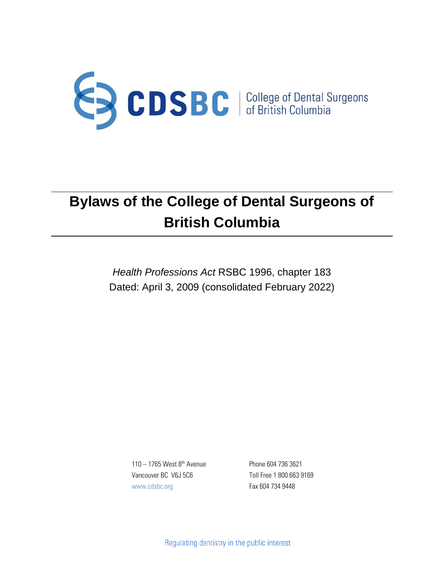

*Health Professions Act* RSBC 1996, chapter 183 Dated: April 3, 2009 (consolidated February 2022)

 $110 - 1765$  West  $8<sup>th</sup>$  Avenue Vancouver BC V6J 5C6 www.cdsbc.org

Phone 604 736 3621 Toll Free 1 800 663 9169 Fax 604 734 9448

Regulating dentistry in the public interest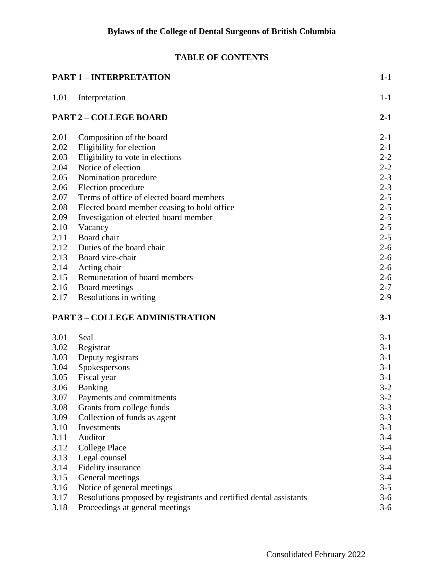# **TABLE OF CONTENTS**

| <b>PART 1 - INTERPRETATION</b> |                                                                     | $1-1$   |
|--------------------------------|---------------------------------------------------------------------|---------|
| 1.01                           | Interpretation                                                      | $1-1$   |
| <b>PART 2 - COLLEGE BOARD</b>  |                                                                     | $2 - 1$ |
| 2.01                           | Composition of the board                                            | $2 - 1$ |
| 2.02                           | Eligibility for election                                            | $2 - 1$ |
| 2.03                           | Eligibility to vote in elections                                    | $2 - 2$ |
| 2.04                           | Notice of election                                                  | $2 - 2$ |
| 2.05                           | Nomination procedure                                                | $2 - 3$ |
| 2.06                           | Election procedure                                                  | $2 - 3$ |
| 2.07                           | Terms of office of elected board members                            | $2 - 5$ |
| 2.08                           | Elected board member ceasing to hold office                         | $2 - 5$ |
| 2.09                           | Investigation of elected board member                               | $2 - 5$ |
| 2.10                           | Vacancy                                                             | $2 - 5$ |
| 2.11                           | Board chair                                                         | $2 - 5$ |
| 2.12                           | Duties of the board chair                                           | $2 - 6$ |
| 2.13                           | Board vice-chair                                                    | $2 - 6$ |
| 2.14                           | Acting chair                                                        | $2 - 6$ |
| 2.15                           | Remuneration of board members                                       | $2 - 6$ |
| 2.16                           | Board meetings                                                      | $2 - 7$ |
| 2.17                           | Resolutions in writing                                              | $2-9$   |
|                                | <b>PART 3 - COLLEGE ADMINISTRATION</b>                              | $3-1$   |
| 3.01                           | Seal                                                                | $3-1$   |
| 3.02                           | Registrar                                                           | $3-1$   |
| 3.03                           | Deputy registrars                                                   | $3-1$   |
| 3.04                           | Spokespersons                                                       | $3-1$   |
| 3.05                           | Fiscal year                                                         | $3-1$   |
| 3.06                           | <b>Banking</b>                                                      | $3-2$   |
| 3.07                           | Payments and commitments                                            | $3-2$   |
| 3.08                           | Grants from college funds                                           | $3-3$   |
| 3.09                           | Collection of funds as agent                                        | $3 - 3$ |
| 3.10                           | Investments                                                         | $3 - 3$ |
| 3.11                           | Auditor                                                             | $3-4$   |
| 3.12                           | <b>College Place</b>                                                | $3-4$   |
| 3.13                           | Legal counsel                                                       | $3-4$   |
| 3.14                           | Fidelity insurance                                                  | $3-4$   |
| 3.15                           | General meetings                                                    | $3-4$   |
| 3.16                           | Notice of general meetings                                          | $3 - 5$ |
| 3.17                           | Resolutions proposed by registrants and certified dental assistants | $3-6$   |
| 3.18                           | Proceedings at general meetings                                     | $3-6$   |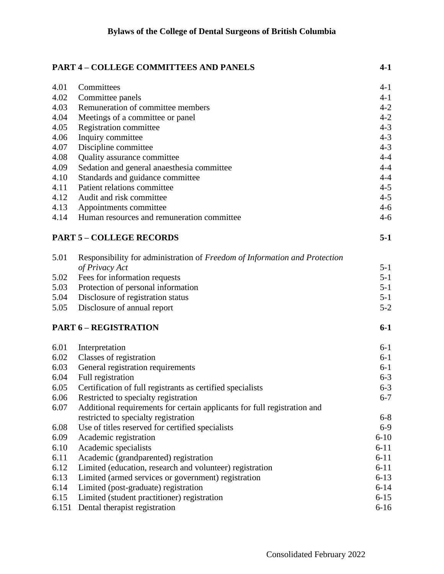|       | <b>PART 4 - COLLEGE COMMITTEES AND PANELS</b>                              | $4-1$    |
|-------|----------------------------------------------------------------------------|----------|
| 4.01  | Committees                                                                 | $4-1$    |
| 4.02  | Committee panels                                                           | $4 - 1$  |
| 4.03  | Remuneration of committee members                                          | $4 - 2$  |
| 4.04  | Meetings of a committee or panel                                           | $4 - 2$  |
| 4.05  | Registration committee                                                     | $4 - 3$  |
| 4.06  | Inquiry committee                                                          | $4 - 3$  |
| 4.07  | Discipline committee                                                       | $4 - 3$  |
| 4.08  | Quality assurance committee                                                | $4 - 4$  |
| 4.09  | Sedation and general anaesthesia committee                                 | $4 - 4$  |
| 4.10  | Standards and guidance committee                                           | $4 - 4$  |
| 4.11  | Patient relations committee                                                | $4 - 5$  |
| 4.12  | Audit and risk committee                                                   | $4 - 5$  |
| 4.13  | Appointments committee                                                     | $4 - 6$  |
| 4.14  | Human resources and remuneration committee                                 | $4 - 6$  |
|       | <b>PART 5 - COLLEGE RECORDS</b>                                            | $5-1$    |
| 5.01  | Responsibility for administration of Freedom of Information and Protection |          |
|       | of Privacy Act                                                             | $5 - 1$  |
| 5.02  | Fees for information requests                                              | $5 - 1$  |
| 5.03  | Protection of personal information                                         | $5 - 1$  |
| 5.04  | Disclosure of registration status                                          | $5 - 1$  |
| 5.05  | Disclosure of annual report                                                | $5 - 2$  |
|       | <b>PART 6 - REGISTRATION</b>                                               | $6-1$    |
| 6.01  | Interpretation                                                             | $6-1$    |
| 6.02  | Classes of registration                                                    | $6-1$    |
| 6.03  | General registration requirements                                          | $6-1$    |
| 6.04  | Full registration                                                          | $6 - 3$  |
| 6.05  | Certification of full registrants as certified specialists                 | $6 - 3$  |
| 6.06  | Restricted to specialty registration                                       | $6 - 7$  |
| 6.07  | Additional requirements for certain applicants for full registration and   |          |
|       | restricted to specialty registration                                       | $6 - 8$  |
| 6.08  | Use of titles reserved for certified specialists                           | $6-9$    |
| 6.09  | Academic registration                                                      | $6 - 10$ |
| 6.10  | Academic specialists                                                       | $6 - 11$ |
| 6.11  | Academic (grandparented) registration                                      | $6 - 11$ |
| 6.12  | Limited (education, research and volunteer) registration                   | $6 - 11$ |
| 6.13  | Limited (armed services or government) registration                        | $6 - 13$ |
| 6.14  | Limited (post-graduate) registration                                       | $6 - 14$ |
| 6.15  | Limited (student practitioner) registration                                | $6 - 15$ |
| 6.151 | Dental therapist registration                                              | $6 - 16$ |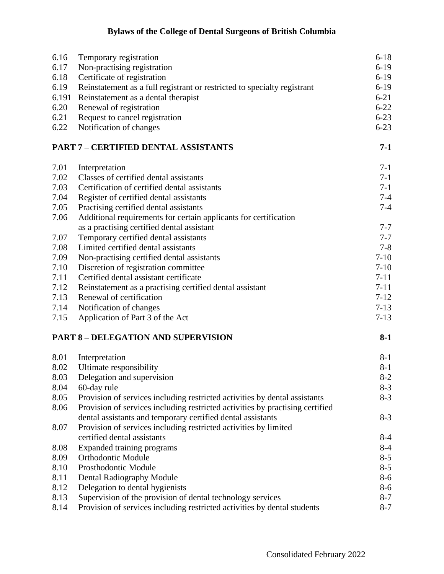| 6.16  | Temporary registration                                                        | $6 - 18$ |
|-------|-------------------------------------------------------------------------------|----------|
| 6.17  | Non-practising registration                                                   | $6-19$   |
| 6.18  | Certificate of registration                                                   | $6-19$   |
| 6.19  | Reinstatement as a full registrant or restricted to specialty registrant      | $6-19$   |
| 6.191 | Reinstatement as a dental therapist                                           | $6 - 21$ |
| 6.20  | Renewal of registration                                                       | $6 - 22$ |
| 6.21  | Request to cancel registration                                                | $6 - 23$ |
| 6.22  | Notification of changes                                                       | $6 - 23$ |
|       | <b>PART 7 - CERTIFIED DENTAL ASSISTANTS</b>                                   | $7-1$    |
| 7.01  | Interpretation                                                                | $7-1$    |
| 7.02  | Classes of certified dental assistants                                        | $7-1$    |
| 7.03  | Certification of certified dental assistants                                  | $7-1$    |
| 7.04  | Register of certified dental assistants                                       | $7 - 4$  |
| 7.05  | Practising certified dental assistants                                        | $7 - 4$  |
| 7.06  | Additional requirements for certain applicants for certification              |          |
|       | as a practising certified dental assistant                                    | $7 - 7$  |
| 7.07  | Temporary certified dental assistants                                         | $7 - 7$  |
| 7.08  | Limited certified dental assistants                                           | $7 - 8$  |
| 7.09  | Non-practising certified dental assistants                                    | $7 - 10$ |
| 7.10  | Discretion of registration committee                                          | $7 - 10$ |
| 7.11  | Certified dental assistant certificate                                        | $7 - 11$ |
| 7.12  | Reinstatement as a practising certified dental assistant                      | $7 - 11$ |
| 7.13  | Renewal of certification                                                      | $7 - 12$ |
| 7.14  | Notification of changes                                                       | $7-13$   |
| 7.15  | Application of Part 3 of the Act                                              | $7-13$   |
|       | <b>PART 8 - DELEGATION AND SUPERVISION</b>                                    | $8-1$    |
| 8.01  | Interpretation                                                                | $8 - 1$  |
| 8.02  | Ultimate responsibility                                                       | $8-1$    |
| 8.03  | Delegation and supervision                                                    | $8 - 2$  |
| 8.04  | 60-day rule                                                                   | $8 - 3$  |
| 8.05  | Provision of services including restricted activities by dental assistants    | $8-3$    |
| 8.06  | Provision of services including restricted activities by practising certified |          |
|       | dental assistants and temporary certified dental assistants                   | $8-3$    |
| 8.07  | Provision of services including restricted activities by limited              |          |
|       | certified dental assistants                                                   | $8 - 4$  |
| 8.08  | Expanded training programs                                                    | $8-4$    |
| 8.09  | <b>Orthodontic Module</b>                                                     | $8 - 5$  |
| 8.10  | Prosthodontic Module                                                          | $8 - 5$  |
| 8.11  | Dental Radiography Module                                                     | $8 - 6$  |
| 8.12  | Delegation to dental hygienists                                               | $8 - 6$  |
| 8.13  | Supervision of the provision of dental technology services                    | $8 - 7$  |
| 8.14  | Provision of services including restricted activities by dental students      | $8 - 7$  |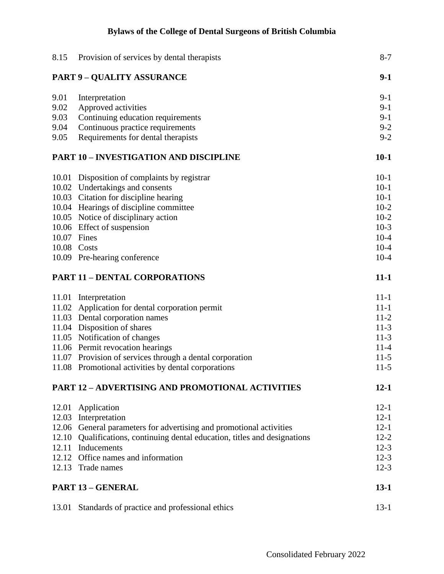| 8.15                                                    | Provision of services by dental therapists                                 | $8 - 7$  |
|---------------------------------------------------------|----------------------------------------------------------------------------|----------|
|                                                         | <b>PART 9 - QUALITY ASSURANCE</b>                                          | $9-1$    |
| 9.01                                                    | Interpretation                                                             | $9-1$    |
| 9.02                                                    | Approved activities                                                        | $9-1$    |
| 9.03                                                    | Continuing education requirements                                          | $9-1$    |
| 9.04                                                    | Continuous practice requirements                                           | $9 - 2$  |
| 9.05                                                    | Requirements for dental therapists                                         | $9 - 2$  |
| <b>PART 10 - INVESTIGATION AND DISCIPLINE</b>           |                                                                            | $10-1$   |
| 10.01                                                   | Disposition of complaints by registrar                                     | $10-1$   |
|                                                         | 10.02 Undertakings and consents                                            | $10-1$   |
|                                                         | 10.03 Citation for discipline hearing                                      | $10-1$   |
|                                                         | 10.04 Hearings of discipline committee                                     | $10-2$   |
|                                                         | 10.05 Notice of disciplinary action                                        | $10-2$   |
|                                                         | 10.06 Effect of suspension                                                 | $10-3$   |
| 10.07 Fines                                             |                                                                            | $10-4$   |
|                                                         | 10.08 Costs                                                                | $10 - 4$ |
|                                                         | 10.09 Pre-hearing conference                                               | $10 - 4$ |
| <b>PART 11 - DENTAL CORPORATIONS</b>                    |                                                                            | $11 - 1$ |
|                                                         | 11.01 Interpretation                                                       | $11 - 1$ |
|                                                         | 11.02 Application for dental corporation permit                            | $11 - 1$ |
|                                                         | 11.03 Dental corporation names                                             | $11-2$   |
|                                                         | 11.04 Disposition of shares                                                | $11-3$   |
|                                                         | 11.05 Notification of changes                                              | $11-3$   |
|                                                         | 11.06 Permit revocation hearings                                           | $11 - 4$ |
|                                                         | 11.07 Provision of services through a dental corporation                   | $11-5$   |
|                                                         | 11.08 Promotional activities by dental corporations                        | $11-5$   |
| <b>PART 12 - ADVERTISING AND PROMOTIONAL ACTIVITIES</b> |                                                                            | $12 - 1$ |
|                                                         | 12.01 Application                                                          | $12 - 1$ |
|                                                         | 12.03 Interpretation                                                       | $12 - 1$ |
|                                                         | 12.06 General parameters for advertising and promotional activities        | $12 - 1$ |
|                                                         | 12.10 Qualifications, continuing dental education, titles and designations | $12 - 2$ |
| 12.11                                                   | Inducements                                                                | $12-3$   |
|                                                         | 12.12 Office names and information                                         | $12 - 3$ |
|                                                         | 12.13 Trade names                                                          | $12-3$   |
|                                                         | <b>PART 13 - GENERAL</b>                                                   | $13-1$   |
|                                                         | 13.01 Standards of practice and professional ethics                        | $13-1$   |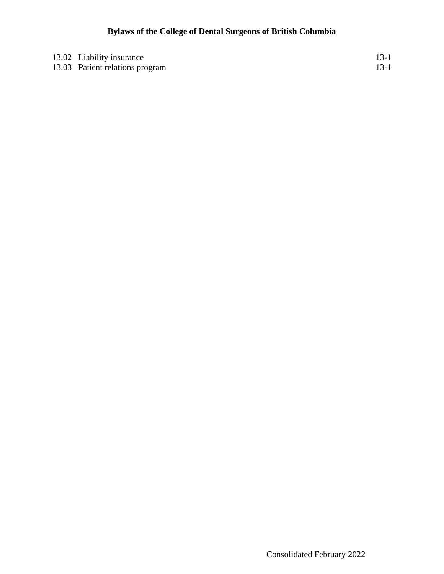| 13.02 Liability insurance       | $13-1$ |
|---------------------------------|--------|
| 13.03 Patient relations program | $13-1$ |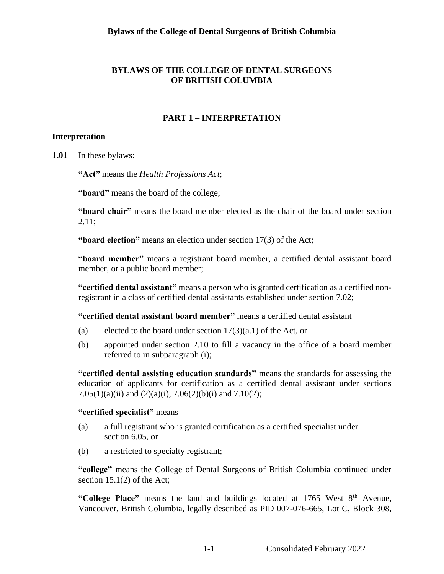## **BYLAWS OF THE COLLEGE OF DENTAL SURGEONS OF BRITISH COLUMBIA**

## **PART 1 – INTERPRETATION**

#### <span id="page-6-1"></span><span id="page-6-0"></span>**Interpretation**

**1.01** In these bylaws:

**"Act"** means the *Health Professions Act*;

**"board"** means the board of the college;

**"board chair"** means the board member elected as the chair of the board under section 2.11;

**"board election"** means an election under section 17(3) of the Act;

**"board member"** means a registrant board member, a certified dental assistant board member, or a public board member;

**"certified dental assistant"** means a person who is granted certification as a certified nonregistrant in a class of certified dental assistants established under section 7.02;

**"certified dental assistant board member"** means a certified dental assistant

- (a) elected to the board under section  $17(3)(a.1)$  of the Act, or
- (b) appointed under section 2.10 to fill a vacancy in the office of a board member referred to in subparagraph (i);

**"certified dental assisting education standards"** means the standards for assessing the education of applicants for certification as a certified dental assistant under sections 7.05(1)(a)(ii) and (2)(a)(i), 7.06(2)(b)(i) and 7.10(2);

#### **"certified specialist"** means

- (a) a full registrant who is granted certification as a certified specialist under section 6.05, or
- (b) a restricted to specialty registrant;

**"college"** means the College of Dental Surgeons of British Columbia continued under section 15.1(2) of the Act;

"College Place" means the land and buildings located at 1765 West 8<sup>th</sup> Avenue, Vancouver, British Columbia, legally described as PID 007-076-665, Lot C, Block 308,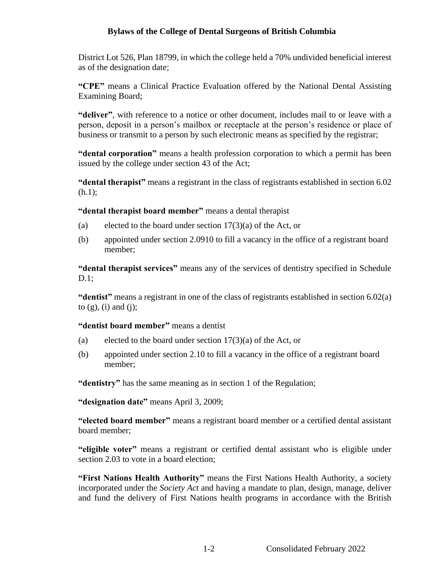District Lot 526, Plan 18799, in which the college held a 70% undivided beneficial interest as of the designation date;

**"CPE"** means a Clinical Practice Evaluation offered by the National Dental Assisting Examining Board;

**"deliver"**, with reference to a notice or other document, includes mail to or leave with a person, deposit in a person's mailbox or receptacle at the person's residence or place of business or transmit to a person by such electronic means as specified by the registrar;

**"dental corporation"** means a health profession corporation to which a permit has been issued by the college under section 43 of the Act;

**"dental therapist"** means a registrant in the class of registrants established in section 6.02 (h.1);

**"dental therapist board member"** means a dental therapist

- (a) elected to the board under section  $17(3)(a)$  of the Act, or
- (b) appointed under section 2.0910 to fill a vacancy in the office of a registrant board member;

**"dental therapist services"** means any of the services of dentistry specified in Schedule D.1;

**"dentist"** means a registrant in one of the class of registrants established in section 6.02(a) to  $(g)$ ,  $(i)$  and  $(j)$ ;

**"dentist board member"** means a dentist

- (a) elected to the board under section  $17(3)(a)$  of the Act, or
- (b) appointed under section 2.10 to fill a vacancy in the office of a registrant board member;

**"dentistry"** has the same meaning as in section 1 of the Regulation;

**"designation date"** means April 3, 2009;

**"elected board member"** means a registrant board member or a certified dental assistant board member;

**"eligible voter"** means a registrant or certified dental assistant who is eligible under section 2.03 to vote in a board election;

**"First Nations Health Authority"** means the First Nations Health Authority, a society incorporated under the *Society Act* and having a mandate to plan, design, manage, deliver and fund the delivery of First Nations health programs in accordance with the British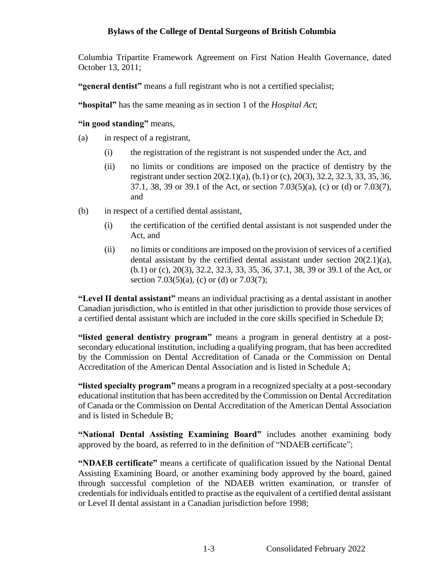Columbia Tripartite Framework Agreement on First Nation Health Governance, dated October 13, 2011;

**"general dentist"** means a full registrant who is not a certified specialist;

**"hospital"** has the same meaning as in section 1 of the *Hospital Act*;

**"in good standing"** means,

- (a) in respect of a registrant,
	- (i) the registration of the registrant is not suspended under the Act, and
	- (ii) no limits or conditions are imposed on the practice of dentistry by the registrant under section 20(2.1)(a), (b.1) or (c), 20(3), 32.2, 32.3, 33, 35, 36, 37.1, 38, 39 or 39.1 of the Act, or section 7.03(5)(a), (c) or (d) or 7.03(7), and
- (b) in respect of a certified dental assistant,
	- (i) the certification of the certified dental assistant is not suspended under the Act, and
	- (ii) no limits or conditions are imposed on the provision of services of a certified dental assistant by the certified dental assistant under section  $20(2.1)(a)$ , (b.1) or (c), 20(3), 32.2, 32.3, 33, 35, 36, 37.1, 38, 39 or 39.1 of the Act, or section 7.03(5)(a), (c) or (d) or 7.03(7);

**"Level II dental assistant"** means an individual practising as a dental assistant in another Canadian jurisdiction, who is entitled in that other jurisdiction to provide those services of a certified dental assistant which are included in the core skills specified in Schedule D;

**"listed general dentistry program"** means a program in general dentistry at a postsecondary educational institution, including a qualifying program, that has been accredited by the Commission on Dental Accreditation of Canada or the Commission on Dental Accreditation of the American Dental Association and is listed in Schedule A;

**"listed specialty program"** means a program in a recognized specialty at a post-secondary educational institution that has been accredited by the Commission on Dental Accreditation of Canada or the Commission on Dental Accreditation of the American Dental Association and is listed in Schedule B;

**"National Dental Assisting Examining Board"** includes another examining body approved by the board, as referred to in the definition of "NDAEB certificate";

**"NDAEB certificate"** means a certificate of qualification issued by the National Dental Assisting Examining Board, or another examining body approved by the board, gained through successful completion of the NDAEB written examination, or transfer of credentials for individuals entitled to practise as the equivalent of a certified dental assistant or Level II dental assistant in a Canadian jurisdiction before 1998;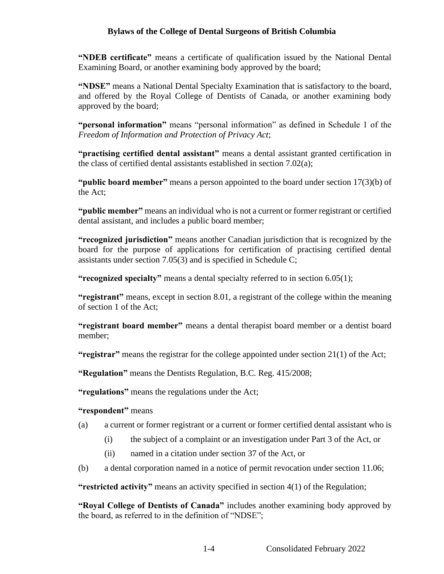**"NDEB certificate"** means a certificate of qualification issued by the National Dental Examining Board, or another examining body approved by the board;

**"NDSE"** means a National Dental Specialty Examination that is satisfactory to the board, and offered by the Royal College of Dentists of Canada, or another examining body approved by the board;

**"personal information"** means "personal information" as defined in Schedule 1 of the *Freedom of Information and Protection of Privacy Act*;

**"practising certified dental assistant"** means a dental assistant granted certification in the class of certified dental assistants established in section 7.02(a);

**"public board member"** means a person appointed to the board under section 17(3)(b) of the Act;

**"public member"** means an individual who is not a current or former registrant or certified dental assistant, and includes a public board member;

**"recognized jurisdiction"** means another Canadian jurisdiction that is recognized by the board for the purpose of applications for certification of practising certified dental assistants under section 7.05(3) and is specified in Schedule C;

**"recognized specialty"** means a dental specialty referred to in section 6.05(1);

**"registrant"** means, except in section 8.01, a registrant of the college within the meaning of section 1 of the Act;

**"registrant board member"** means a dental therapist board member or a dentist board member;

**"registrar"** means the registrar for the college appointed under section 21(1) of the Act;

**"Regulation"** means the Dentists Regulation, B.C. Reg. 415/2008;

**"regulations"** means the regulations under the Act;

#### **"respondent"** means

- (a) a current or former registrant or a current or former certified dental assistant who is
	- (i) the subject of a complaint or an investigation under Part 3 of the Act, or
	- (ii) named in a citation under section 37 of the Act, or
- (b) a dental corporation named in a notice of permit revocation under section 11.06;

**"restricted activity"** means an activity specified in section 4(1) of the Regulation;

**"Royal College of Dentists of Canada"** includes another examining body approved by the board, as referred to in the definition of "NDSE";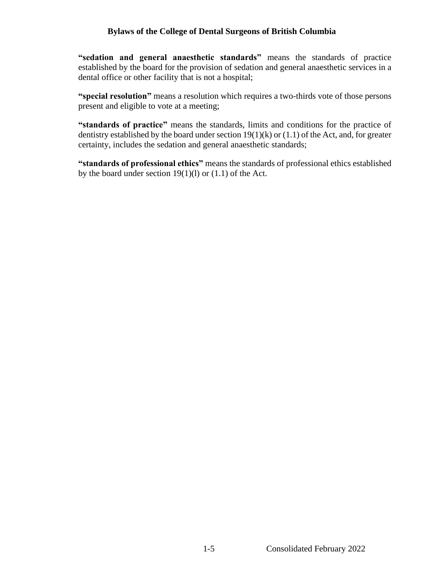**"sedation and general anaesthetic standards"** means the standards of practice established by the board for the provision of sedation and general anaesthetic services in a dental office or other facility that is not a hospital;

**"special resolution"** means a resolution which requires a two-thirds vote of those persons present and eligible to vote at a meeting;

**"standards of practice"** means the standards, limits and conditions for the practice of dentistry established by the board under section  $19(1)(k)$  or  $(1.1)$  of the Act, and, for greater certainty, includes the sedation and general anaesthetic standards;

**"standards of professional ethics"** means the standards of professional ethics established by the board under section  $19(1)(l)$  or  $(1.1)$  of the Act.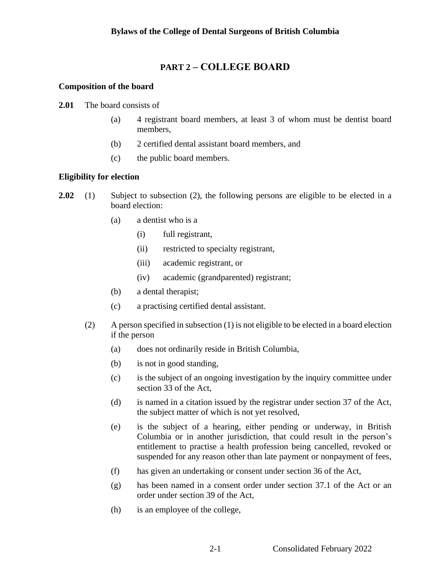## <span id="page-11-0"></span>**PART 2 – COLLEGE BOARD**

## <span id="page-11-1"></span>**Composition of the board**

- **2.01** The board consists of
	- (a) 4 registrant board members, at least 3 of whom must be dentist board members,
	- (b) 2 certified dental assistant board members, and
	- (c) the public board members.

## <span id="page-11-2"></span>**Eligibility for election**

- **2.02** (1) Subject to subsection (2), the following persons are eligible to be elected in a board election:
	- (a) a dentist who is a
		- (i) full registrant,
		- (ii) restricted to specialty registrant,
		- (iii) academic registrant, or
		- (iv) academic (grandparented) registrant;
	- (b) a dental therapist;
	- (c) a practising certified dental assistant.
	- (2) A person specified in subsection (1) is not eligible to be elected in a board election if the person
		- (a) does not ordinarily reside in British Columbia,
		- (b) is not in good standing,
		- (c) is the subject of an ongoing investigation by the inquiry committee under section 33 of the Act,
		- (d) is named in a citation issued by the registrar under section 37 of the Act, the subject matter of which is not yet resolved,
		- (e) is the subject of a hearing, either pending or underway, in British Columbia or in another jurisdiction, that could result in the person's entitlement to practise a health profession being cancelled, revoked or suspended for any reason other than late payment or nonpayment of fees,
		- (f) has given an undertaking or consent under section 36 of the Act,
		- (g) has been named in a consent order under section 37.1 of the Act or an order under section 39 of the Act,
		- (h) is an employee of the college,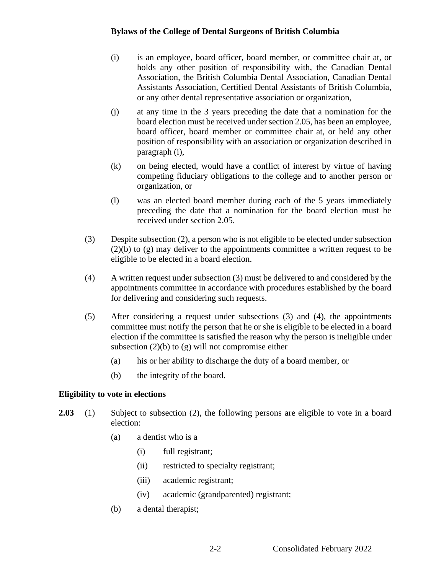- (i) is an employee, board officer, board member, or committee chair at, or holds any other position of responsibility with, the Canadian Dental Association, the British Columbia Dental Association, Canadian Dental Assistants Association, Certified Dental Assistants of British Columbia, or any other dental representative association or organization,
- (j) at any time in the 3 years preceding the date that a nomination for the board election must be received under section 2.05, has been an employee, board officer, board member or committee chair at, or held any other position of responsibility with an association or organization described in paragraph (i),
- (k) on being elected, would have a conflict of interest by virtue of having competing fiduciary obligations to the college and to another person or organization, or
- (l) was an elected board member during each of the 5 years immediately preceding the date that a nomination for the board election must be received under section 2.05.
- (3) Despite subsection (2), a person who is not eligible to be elected under subsection  $(2)(b)$  to  $(g)$  may deliver to the appointments committee a written request to be eligible to be elected in a board election.
- (4) A written request under subsection (3) must be delivered to and considered by the appointments committee in accordance with procedures established by the board for delivering and considering such requests.
- (5) After considering a request under subsections (3) and (4), the appointments committee must notify the person that he or she is eligible to be elected in a board election if the committee is satisfied the reason why the person is ineligible under subsection  $(2)(b)$  to  $(g)$  will not compromise either
	- (a) his or her ability to discharge the duty of a board member, or
	- (b) the integrity of the board.

#### <span id="page-12-0"></span>**Eligibility to vote in elections**

- **2.03** (1) Subject to subsection (2), the following persons are eligible to vote in a board election:
	- (a) a dentist who is a
		- (i) full registrant;
		- (ii) restricted to specialty registrant;
		- (iii) academic registrant;
		- (iv) academic (grandparented) registrant;
	- (b) a dental therapist;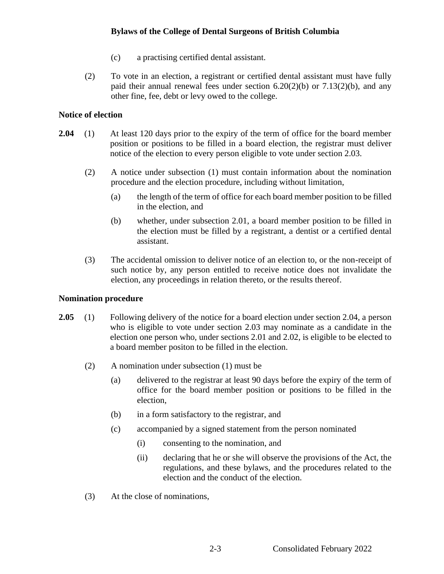- (c) a practising certified dental assistant.
- (2) To vote in an election, a registrant or certified dental assistant must have fully paid their annual renewal fees under section  $6.20(2)(b)$  or  $7.13(2)(b)$ , and any other fine, fee, debt or levy owed to the college.

## <span id="page-13-0"></span>**Notice of election**

- **2.04** (1) At least 120 days prior to the expiry of the term of office for the board member position or positions to be filled in a board election, the registrar must deliver notice of the election to every person eligible to vote under section 2.03.
	- (2) A notice under subsection (1) must contain information about the nomination procedure and the election procedure, including without limitation,
		- (a) the length of the term of office for each board member position to be filled in the election, and
		- (b) whether, under subsection 2.01, a board member position to be filled in the election must be filled by a registrant, a dentist or a certified dental assistant.
	- (3) The accidental omission to deliver notice of an election to, or the non-receipt of such notice by, any person entitled to receive notice does not invalidate the election, any proceedings in relation thereto, or the results thereof.

#### <span id="page-13-1"></span>**Nomination procedure**

- **2.05** (1) Following delivery of the notice for a board election under section 2.04, a person who is eligible to vote under section 2.03 may nominate as a candidate in the election one person who, under sections 2.01 and 2.02, is eligible to be elected to a board member positon to be filled in the election.
	- (2) A nomination under subsection (1) must be
		- (a) delivered to the registrar at least 90 days before the expiry of the term of office for the board member position or positions to be filled in the election,
		- (b) in a form satisfactory to the registrar, and
		- (c) accompanied by a signed statement from the person nominated
			- (i) consenting to the nomination, and
			- (ii) declaring that he or she will observe the provisions of the Act, the regulations, and these bylaws, and the procedures related to the election and the conduct of the election.
	- (3) At the close of nominations,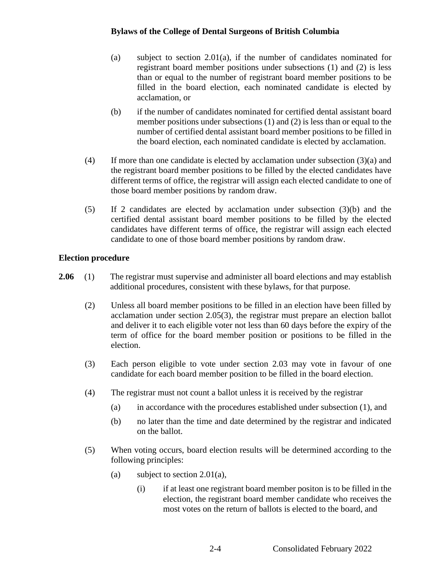- (a) subject to section 2.01(a), if the number of candidates nominated for registrant board member positions under subsections (1) and (2) is less than or equal to the number of registrant board member positions to be filled in the board election, each nominated candidate is elected by acclamation, or
- (b) if the number of candidates nominated for certified dental assistant board member positions under subsections (1) and (2) is less than or equal to the number of certified dental assistant board member positions to be filled in the board election, each nominated candidate is elected by acclamation.
- (4) If more than one candidate is elected by acclamation under subsection (3)(a) and the registrant board member positions to be filled by the elected candidates have different terms of office, the registrar will assign each elected candidate to one of those board member positions by random draw.
- (5) If 2 candidates are elected by acclamation under subsection (3)(b) and the certified dental assistant board member positions to be filled by the elected candidates have different terms of office, the registrar will assign each elected candidate to one of those board member positions by random draw.

## <span id="page-14-0"></span>**Election procedure**

- **2.06** (1) The registrar must supervise and administer all board elections and may establish additional procedures, consistent with these bylaws, for that purpose.
	- (2) Unless all board member positions to be filled in an election have been filled by acclamation under section 2.05(3), the registrar must prepare an election ballot and deliver it to each eligible voter not less than 60 days before the expiry of the term of office for the board member position or positions to be filled in the election.
	- (3) Each person eligible to vote under section 2.03 may vote in favour of one candidate for each board member position to be filled in the board election.
	- (4) The registrar must not count a ballot unless it is received by the registrar
		- (a) in accordance with the procedures established under subsection (1), and
		- (b) no later than the time and date determined by the registrar and indicated on the ballot.
	- (5) When voting occurs, board election results will be determined according to the following principles:
		- (a) subject to section 2.01(a),
			- (i) if at least one registrant board member positon is to be filled in the election, the registrant board member candidate who receives the most votes on the return of ballots is elected to the board, and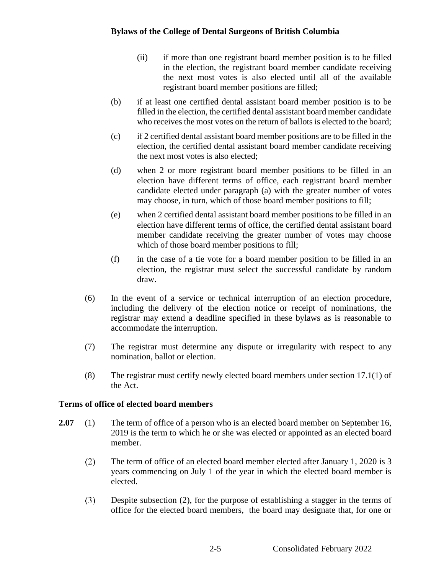- (ii) if more than one registrant board member position is to be filled in the election, the registrant board member candidate receiving the next most votes is also elected until all of the available registrant board member positions are filled;
- (b) if at least one certified dental assistant board member position is to be filled in the election, the certified dental assistant board member candidate who receives the most votes on the return of ballots is elected to the board;
- (c) if 2 certified dental assistant board member positions are to be filled in the election, the certified dental assistant board member candidate receiving the next most votes is also elected;
- (d) when 2 or more registrant board member positions to be filled in an election have different terms of office, each registrant board member candidate elected under paragraph (a) with the greater number of votes may choose, in turn, which of those board member positions to fill;
- (e) when 2 certified dental assistant board member positions to be filled in an election have different terms of office, the certified dental assistant board member candidate receiving the greater number of votes may choose which of those board member positions to fill;
- (f) in the case of a tie vote for a board member position to be filled in an election, the registrar must select the successful candidate by random draw.
- (6) In the event of a service or technical interruption of an election procedure, including the delivery of the election notice or receipt of nominations, the registrar may extend a deadline specified in these bylaws as is reasonable to accommodate the interruption.
- (7) The registrar must determine any dispute or irregularity with respect to any nomination, ballot or election.
- (8) The registrar must certify newly elected board members under section 17.1(1) of the Act.

## <span id="page-15-0"></span>**Terms of office of elected board members**

- **2.07** (1) The term of office of a person who is an elected board member on September 16, 2019 is the term to which he or she was elected or appointed as an elected board member.
	- $(2)$ The term of office of an elected board member elected after January 1, 2020 is 3 years commencing on July 1 of the year in which the elected board member is elected.
	- Despite subsection (2), for the purpose of establishing a stagger in the terms of  $(3)$ office for the elected board members, the board may designate that, for one or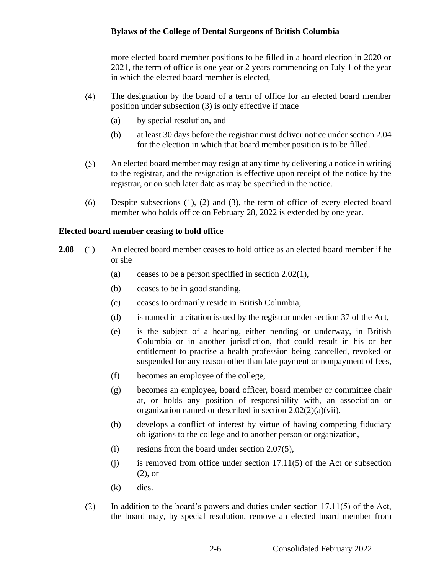more elected board member positions to be filled in a board election in 2020 or 2021, the term of office is one year or 2 years commencing on July 1 of the year in which the elected board member is elected,

- $(4)$ The designation by the board of a term of office for an elected board member position under subsection (3) is only effective if made
	- (a) by special resolution, and
	- (b) at least 30 days before the registrar must deliver notice under section 2.04 for the election in which that board member position is to be filled.
- $(5)$ An elected board member may resign at any time by delivering a notice in writing to the registrar, and the resignation is effective upon receipt of the notice by the registrar, or on such later date as may be specified in the notice.
- Despite subsections (1), (2) and (3), the term of office of every elected board  $(6)$ member who holds office on February 28, 2022 is extended by one year.

#### <span id="page-16-0"></span>**Elected board member ceasing to hold office**

- **2.08** (1) An elected board member ceases to hold office as an elected board member if he or she
	- (a) ceases to be a person specified in section  $2.02(1)$ ,
	- (b) ceases to be in good standing,
	- (c) ceases to ordinarily reside in British Columbia,
	- (d) is named in a citation issued by the registrar under section 37 of the Act,
	- (e) is the subject of a hearing, either pending or underway, in British Columbia or in another jurisdiction, that could result in his or her entitlement to practise a health profession being cancelled, revoked or suspended for any reason other than late payment or nonpayment of fees,
	- (f) becomes an employee of the college,
	- (g) becomes an employee, board officer, board member or committee chair at, or holds any position of responsibility with, an association or organization named or described in section 2.02(2)(a)(vii),
	- (h) develops a conflict of interest by virtue of having competing fiduciary obligations to the college and to another person or organization,
	- (i) resigns from the board under section 2.07(5),
	- $(i)$  is removed from office under section 17.11(5) of the Act or subsection (2), or
	- (k) dies.
	- $(2)$ In addition to the board's powers and duties under section  $17.11(5)$  of the Act, the board may, by special resolution, remove an elected board member from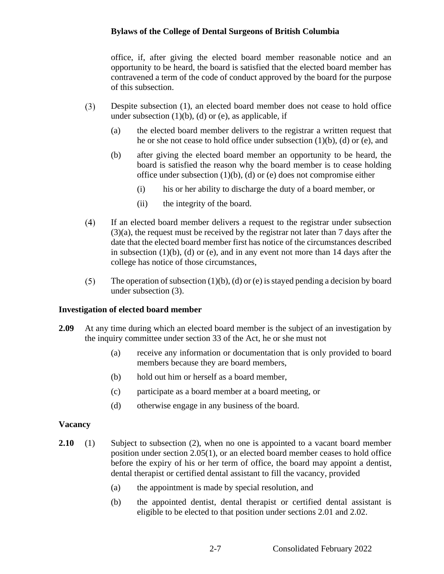office, if, after giving the elected board member reasonable notice and an opportunity to be heard, the board is satisfied that the elected board member has contravened a term of the code of conduct approved by the board for the purpose of this subsection.

- $(3)$ Despite subsection (1), an elected board member does not cease to hold office under subsection  $(1)(b)$ ,  $(d)$  or  $(e)$ , as applicable, if
	- (a) the elected board member delivers to the registrar a written request that he or she not cease to hold office under subsection  $(1)(b)$ ,  $(d)$  or  $(e)$ , and
	- (b) after giving the elected board member an opportunity to be heard, the board is satisfied the reason why the board member is to cease holding office under subsection  $(1)(b)$ ,  $(d)$  or  $(e)$  does not compromise either
		- (i) his or her ability to discharge the duty of a board member, or
		- (ii) the integrity of the board.
- $(4)$ If an elected board member delivers a request to the registrar under subsection (3)(a), the request must be received by the registrar not later than 7 days after the date that the elected board member first has notice of the circumstances described in subsection  $(1)(b)$ ,  $(d)$  or  $(e)$ , and in any event not more than 14 days after the college has notice of those circumstances,
- $(5)$ The operation of subsection  $(1)(b)$ ,  $(d)$  or  $(e)$  is stayed pending a decision by board under subsection (3).

#### **Investigation of elected board member**

- **2.09** At any time during which an elected board member is the subject of an investigation by the inquiry committee under section 33 of the Act, he or she must not
	- (a) receive any information or documentation that is only provided to board members because they are board members,
	- (b) hold out him or herself as a board member,
	- (c) participate as a board member at a board meeting, or
	- (d) otherwise engage in any business of the board.

#### <span id="page-17-0"></span>**Vacancy**

- **2.10** (1) Subject to subsection (2), when no one is appointed to a vacant board member position under section 2.05(1), or an elected board member ceases to hold office before the expiry of his or her term of office, the board may appoint a dentist, dental therapist or certified dental assistant to fill the vacancy, provided
	- (a) the appointment is made by special resolution, and
	- (b) the appointed dentist, dental therapist or certified dental assistant is eligible to be elected to that position under sections 2.01 and 2.02.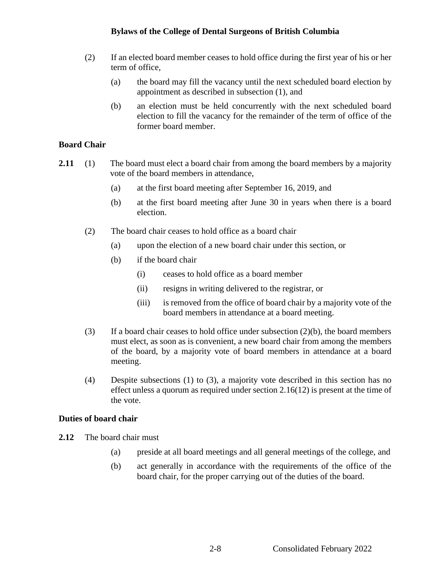- (2) If an elected board member ceases to hold office during the first year of his or her term of office,
	- (a) the board may fill the vacancy until the next scheduled board election by appointment as described in subsection (1), and
	- (b) an election must be held concurrently with the next scheduled board election to fill the vacancy for the remainder of the term of office of the former board member.

## **Board Chair**

- **2.11** (1) The board must elect a board chair from among the board members by a majority vote of the board members in attendance,
	- (a) at the first board meeting after September 16, 2019, and
	- (b) at the first board meeting after June 30 in years when there is a board election.
	- (2) The board chair ceases to hold office as a board chair
		- (a) upon the election of a new board chair under this section, or
		- (b) if the board chair
			- (i) ceases to hold office as a board member
			- (ii) resigns in writing delivered to the registrar, or
			- (iii) is removed from the office of board chair by a majority vote of the board members in attendance at a board meeting.
	- (3) If a board chair ceases to hold office under subsection  $(2)(b)$ , the board members must elect, as soon as is convenient, a new board chair from among the members of the board, by a majority vote of board members in attendance at a board meeting.
	- (4) Despite subsections (1) to (3), a majority vote described in this section has no effect unless a quorum as required under section 2.16(12) is present at the time of the vote.

#### <span id="page-18-0"></span>**Duties of board chair**

- **2.12** The board chair must
	- (a) preside at all board meetings and all general meetings of the college, and
	- (b) act generally in accordance with the requirements of the office of the board chair, for the proper carrying out of the duties of the board.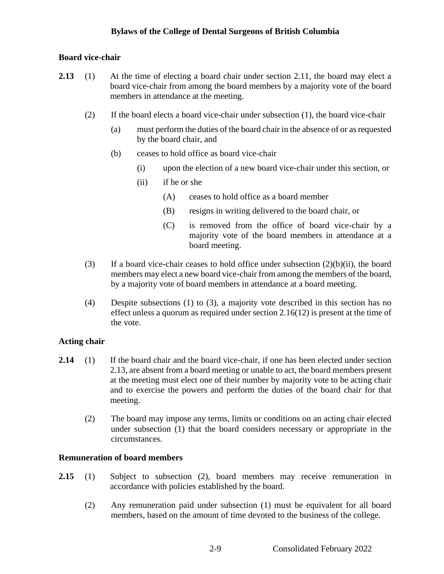## <span id="page-19-0"></span>**Board vice-chair**

- **2.13** (1) At the time of electing a board chair under section 2.11, the board may elect a board vice-chair from among the board members by a majority vote of the board members in attendance at the meeting.
	- (2) If the board elects a board vice-chair under subsection (1), the board vice-chair
		- (a) must perform the duties of the board chair in the absence of or as requested by the board chair, and
		- (b) ceases to hold office as board vice-chair
			- (i) upon the election of a new board vice-chair under this section, or
			- (ii) if he or she
				- (A) ceases to hold office as a board member
				- (B) resigns in writing delivered to the board chair, or
				- (C) is removed from the office of board vice-chair by a majority vote of the board members in attendance at a board meeting.
	- (3) If a board vice-chair ceases to hold office under subsection  $(2)(b)(ii)$ , the board members may elect a new board vice-chair from among the members of the board, by a majority vote of board members in attendance at a board meeting.
	- (4) Despite subsections (1) to (3), a majority vote described in this section has no effect unless a quorum as required under section 2.16(12) is present at the time of the vote.

## **Acting chair**

- **2.14** (1) If the board chair and the board vice-chair, if one has been elected under section 2.13, are absent from a board meeting or unable to act, the board members present at the meeting must elect one of their number by majority vote to be acting chair and to exercise the powers and perform the duties of the board chair for that meeting.
	- (2) The board may impose any terms, limits or conditions on an acting chair elected under subsection (1) that the board considers necessary or appropriate in the circumstances.

## **Remuneration of board members**

- **2.15** (1) Subject to subsection (2), board members may receive remuneration in accordance with policies established by the board.
	- (2) Any remuneration paid under subsection (1) must be equivalent for all board members, based on the amount of time devoted to the business of the college.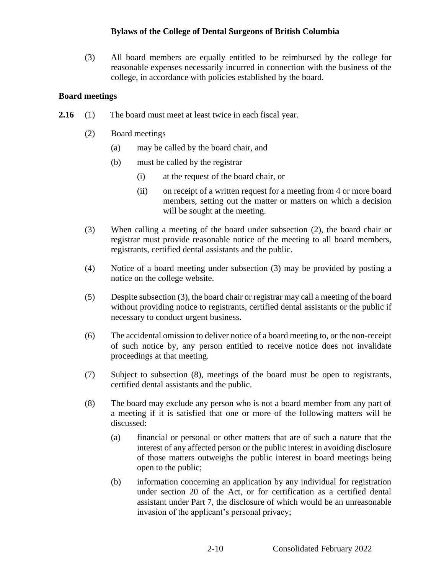(3) All board members are equally entitled to be reimbursed by the college for reasonable expenses necessarily incurred in connection with the business of the college, in accordance with policies established by the board.

## <span id="page-20-0"></span>**Board meetings**

- **2.16** (1) The board must meet at least twice in each fiscal year.
	- (2) Board meetings
		- (a) may be called by the board chair, and
		- (b) must be called by the registrar
			- (i) at the request of the board chair, or
			- (ii) on receipt of a written request for a meeting from 4 or more board members, setting out the matter or matters on which a decision will be sought at the meeting.
	- (3) When calling a meeting of the board under subsection (2), the board chair or registrar must provide reasonable notice of the meeting to all board members, registrants, certified dental assistants and the public.
	- (4) Notice of a board meeting under subsection (3) may be provided by posting a notice on the college website.
	- (5) Despite subsection (3), the board chair or registrar may call a meeting of the board without providing notice to registrants, certified dental assistants or the public if necessary to conduct urgent business.
	- (6) The accidental omission to deliver notice of a board meeting to, or the non-receipt of such notice by, any person entitled to receive notice does not invalidate proceedings at that meeting.
	- (7) Subject to subsection (8), meetings of the board must be open to registrants, certified dental assistants and the public.
	- (8) The board may exclude any person who is not a board member from any part of a meeting if it is satisfied that one or more of the following matters will be discussed:
		- (a) financial or personal or other matters that are of such a nature that the interest of any affected person or the public interest in avoiding disclosure of those matters outweighs the public interest in board meetings being open to the public;
		- (b) information concerning an application by any individual for registration under section 20 of the Act, or for certification as a certified dental assistant under Part 7, the disclosure of which would be an unreasonable invasion of the applicant's personal privacy;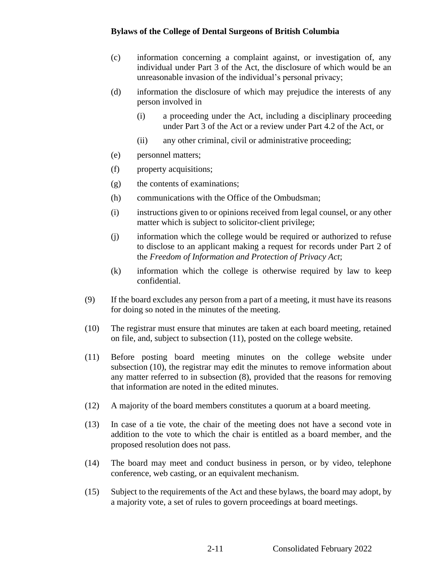- (c) information concerning a complaint against, or investigation of, any individual under Part 3 of the Act, the disclosure of which would be an unreasonable invasion of the individual's personal privacy;
- (d) information the disclosure of which may prejudice the interests of any person involved in
	- (i) a proceeding under the Act, including a disciplinary proceeding under Part 3 of the Act or a review under Part 4.2 of the Act, or
	- (ii) any other criminal, civil or administrative proceeding;
- (e) personnel matters;
- (f) property acquisitions;
- (g) the contents of examinations;
- (h) communications with the Office of the Ombudsman;
- (i) instructions given to or opinions received from legal counsel, or any other matter which is subject to solicitor-client privilege;
- (j) information which the college would be required or authorized to refuse to disclose to an applicant making a request for records under Part 2 of the *Freedom of Information and Protection of Privacy Act*;
- (k) information which the college is otherwise required by law to keep confidential.
- (9) If the board excludes any person from a part of a meeting, it must have its reasons for doing so noted in the minutes of the meeting.
- (10) The registrar must ensure that minutes are taken at each board meeting, retained on file, and, subject to subsection (11), posted on the college website.
- (11) Before posting board meeting minutes on the college website under subsection (10), the registrar may edit the minutes to remove information about any matter referred to in subsection (8), provided that the reasons for removing that information are noted in the edited minutes.
- (12) A majority of the board members constitutes a quorum at a board meeting.
- (13) In case of a tie vote, the chair of the meeting does not have a second vote in addition to the vote to which the chair is entitled as a board member, and the proposed resolution does not pass.
- (14) The board may meet and conduct business in person, or by video, telephone conference, web casting, or an equivalent mechanism.
- (15) Subject to the requirements of the Act and these bylaws, the board may adopt, by a majority vote, a set of rules to govern proceedings at board meetings.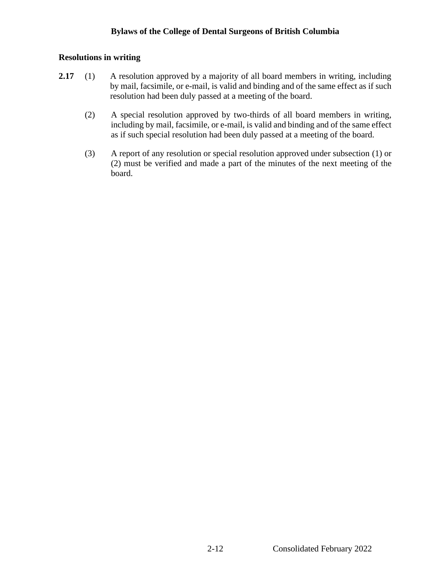#### <span id="page-22-0"></span>**Resolutions in writing**

- **2.17** (1) A resolution approved by a majority of all board members in writing, including by mail, facsimile, or e-mail, is valid and binding and of the same effect as if such resolution had been duly passed at a meeting of the board.
	- (2) A special resolution approved by two-thirds of all board members in writing, including by mail, facsimile, or e-mail, is valid and binding and of the same effect as if such special resolution had been duly passed at a meeting of the board.
	- (3) A report of any resolution or special resolution approved under subsection (1) or (2) must be verified and made a part of the minutes of the next meeting of the board.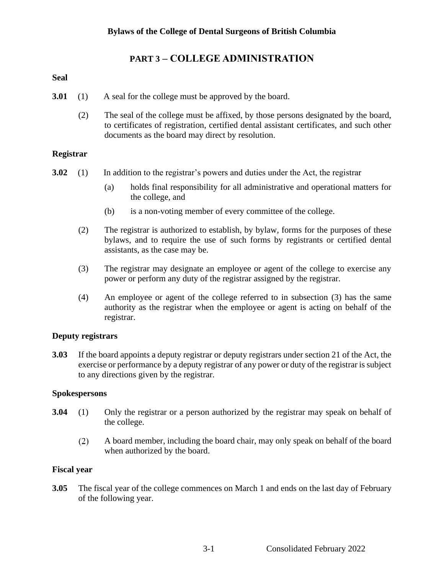# <span id="page-23-0"></span>**PART 3 – COLLEGE ADMINISTRATION**

## <span id="page-23-1"></span>**Seal**

- **3.01** (1) A seal for the college must be approved by the board.
	- (2) The seal of the college must be affixed, by those persons designated by the board, to certificates of registration, certified dental assistant certificates, and such other documents as the board may direct by resolution.

## <span id="page-23-2"></span>**Registrar**

- **3.02** (1) In addition to the registrar's powers and duties under the Act, the registrar
	- (a) holds final responsibility for all administrative and operational matters for the college, and
	- (b) is a non-voting member of every committee of the college.
	- (2) The registrar is authorized to establish, by bylaw, forms for the purposes of these bylaws, and to require the use of such forms by registrants or certified dental assistants, as the case may be.
	- (3) The registrar may designate an employee or agent of the college to exercise any power or perform any duty of the registrar assigned by the registrar.
	- (4) An employee or agent of the college referred to in subsection (3) has the same authority as the registrar when the employee or agent is acting on behalf of the registrar.

## <span id="page-23-3"></span>**Deputy registrars**

**3.03** If the board appoints a deputy registrar or deputy registrars under section 21 of the Act, the exercise or performance by a deputy registrar of any power or duty of the registrar is subject to any directions given by the registrar.

#### <span id="page-23-4"></span>**Spokespersons**

- <span id="page-23-5"></span>**3.04** (1) Only the registrar or a person authorized by the registrar may speak on behalf of the college.
	- $(2)$ A board member, including the board chair, may only speak on behalf of the board when authorized by the board.

#### **Fiscal year**

**3.05** The fiscal year of the college commences on March 1 and ends on the last day of February of the following year.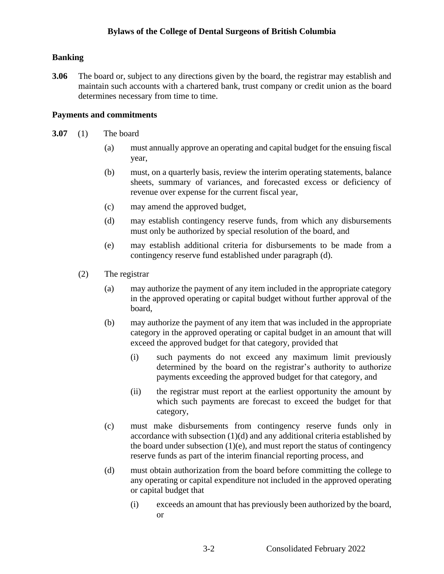## **Banking**

**3.06** The board or, subject to any directions given by the board, the registrar may establish and maintain such accounts with a chartered bank, trust company or credit union as the board determines necessary from time to time.

## <span id="page-24-0"></span>**Payments and commitments**

- **3.07** (1) The board
	- (a) must annually approve an operating and capital budget for the ensuing fiscal year,
	- (b) must, on a quarterly basis, review the interim operating statements, balance sheets, summary of variances, and forecasted excess or deficiency of revenue over expense for the current fiscal year,
	- (c) may amend the approved budget,
	- (d) may establish contingency reserve funds, from which any disbursements must only be authorized by special resolution of the board, and
	- (e) may establish additional criteria for disbursements to be made from a contingency reserve fund established under paragraph (d).
	- (2) The registrar
		- (a) may authorize the payment of any item included in the appropriate category in the approved operating or capital budget without further approval of the board,
		- (b) may authorize the payment of any item that was included in the appropriate category in the approved operating or capital budget in an amount that will exceed the approved budget for that category, provided that
			- (i) such payments do not exceed any maximum limit previously determined by the board on the registrar's authority to authorize payments exceeding the approved budget for that category, and
			- (ii) the registrar must report at the earliest opportunity the amount by which such payments are forecast to exceed the budget for that category,
		- (c) must make disbursements from contingency reserve funds only in accordance with subsection (1)(d) and any additional criteria established by the board under subsection  $(1)(e)$ , and must report the status of contingency reserve funds as part of the interim financial reporting process, and
		- (d) must obtain authorization from the board before committing the college to any operating or capital expenditure not included in the approved operating or capital budget that
			- (i) exceeds an amount that has previously been authorized by the board, or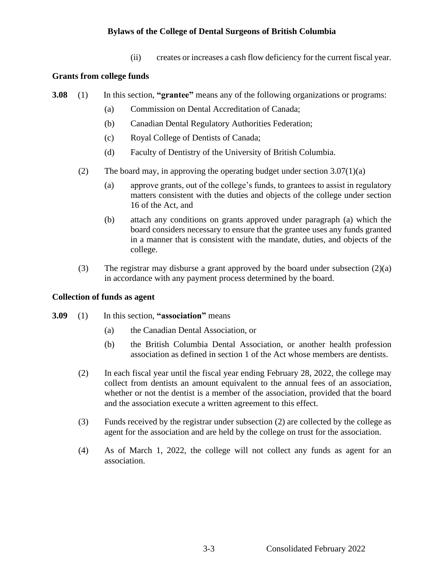(ii) creates or increases a cash flow deficiency for the current fiscal year.

## <span id="page-25-0"></span>**Grants from college funds**

- **3.08** (1) In this section, **"grantee"** means any of the following organizations or programs:
	- (a) Commission on Dental Accreditation of Canada;
	- (b) Canadian Dental Regulatory Authorities Federation;
	- (c) Royal College of Dentists of Canada;
	- (d) Faculty of Dentistry of the University of British Columbia.
	- (2) The board may, in approving the operating budget under section 3.07(1)(a)
		- (a) approve grants, out of the college's funds, to grantees to assist in regulatory matters consistent with the duties and objects of the college under section 16 of the Act, and
		- (b) attach any conditions on grants approved under paragraph (a) which the board considers necessary to ensure that the grantee uses any funds granted in a manner that is consistent with the mandate, duties, and objects of the college.
	- (3) The registrar may disburse a grant approved by the board under subsection (2)(a) in accordance with any payment process determined by the board.

#### <span id="page-25-1"></span>**Collection of funds as agent**

- **3.09** (1) In this section, **"association"** means
	- (a) the Canadian Dental Association, or
	- (b) the British Columbia Dental Association, or another health profession association as defined in section 1 of the Act whose members are dentists.
	- (2) In each fiscal year until the fiscal year ending February 28, 2022, the college may collect from dentists an amount equivalent to the annual fees of an association, whether or not the dentist is a member of the association, provided that the board and the association execute a written agreement to this effect.
	- (3) Funds received by the registrar under subsection (2) are collected by the college as agent for the association and are held by the college on trust for the association.
	- (4) As of March 1, 2022, the college will not collect any funds as agent for an association.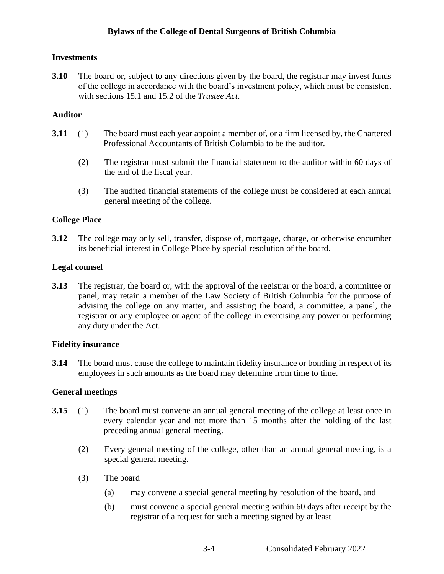## <span id="page-26-0"></span>**Investments**

**3.10** The board or, subject to any directions given by the board, the registrar may invest funds of the college in accordance with the board's investment policy, which must be consistent with sections 15.1 and 15.2 of the *Trustee Act*.

## <span id="page-26-1"></span>**Auditor**

- **3.11** (1) The board must each year appoint a member of, or a firm licensed by, the Chartered Professional Accountants of British Columbia to be the auditor.
	- (2) The registrar must submit the financial statement to the auditor within 60 days of the end of the fiscal year.
	- (3) The audited financial statements of the college must be considered at each annual general meeting of the college.

## <span id="page-26-2"></span>**College Place**

**3.12** The college may only sell, transfer, dispose of, mortgage, charge, or otherwise encumber its beneficial interest in College Place by special resolution of the board.

#### <span id="page-26-3"></span>**Legal counsel**

**3.13** The registrar, the board or, with the approval of the registrar or the board, a committee or panel, may retain a member of the Law Society of British Columbia for the purpose of advising the college on any matter, and assisting the board, a committee, a panel, the registrar or any employee or agent of the college in exercising any power or performing any duty under the Act.

#### <span id="page-26-4"></span>**Fidelity insurance**

**3.14** The board must cause the college to maintain fidelity insurance or bonding in respect of its employees in such amounts as the board may determine from time to time.

#### <span id="page-26-5"></span>**General meetings**

- **3.15** (1) The board must convene an annual general meeting of the college at least once in every calendar year and not more than 15 months after the holding of the last preceding annual general meeting.
	- (2) Every general meeting of the college, other than an annual general meeting, is a special general meeting.
	- (3) The board
		- (a) may convene a special general meeting by resolution of the board, and
		- (b) must convene a special general meeting within 60 days after receipt by the registrar of a request for such a meeting signed by at least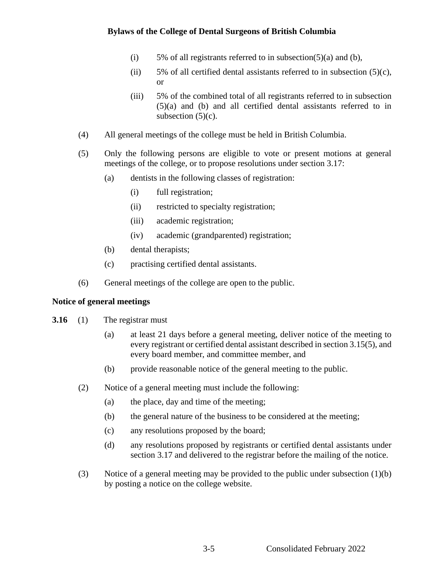- (i) 5% of all registrants referred to in subsection(5)(a) and (b),
- (ii) 5% of all certified dental assistants referred to in subsection  $(5)(c)$ , or
- (iii) 5% of the combined total of all registrants referred to in subsection (5)(a) and (b) and all certified dental assistants referred to in subsection  $(5)(c)$ .
- (4) All general meetings of the college must be held in British Columbia.
- (5) Only the following persons are eligible to vote or present motions at general meetings of the college, or to propose resolutions under section 3.17:
	- (a) dentists in the following classes of registration:
		- (i) full registration;
		- (ii) restricted to specialty registration;
		- (iii) academic registration;
		- (iv) academic (grandparented) registration;
	- (b) dental therapists;
	- (c) practising certified dental assistants.
- (6) General meetings of the college are open to the public.

#### <span id="page-27-0"></span>**Notice of general meetings**

- **3.16** (1) The registrar must
	- (a) at least 21 days before a general meeting, deliver notice of the meeting to every registrant or certified dental assistant described in section 3.15(5), and every board member, and committee member, and
	- (b) provide reasonable notice of the general meeting to the public.
	- (2) Notice of a general meeting must include the following:
		- (a) the place, day and time of the meeting;
		- (b) the general nature of the business to be considered at the meeting;
		- (c) any resolutions proposed by the board;
		- (d) any resolutions proposed by registrants or certified dental assistants under section 3.17 and delivered to the registrar before the mailing of the notice.
	- (3) Notice of a general meeting may be provided to the public under subsection (1)(b) by posting a notice on the college website.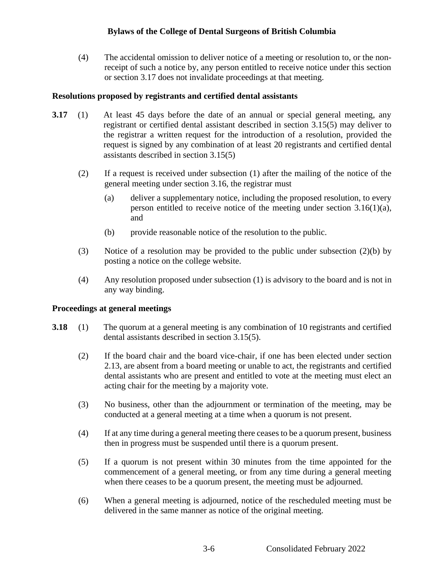(4) The accidental omission to deliver notice of a meeting or resolution to, or the nonreceipt of such a notice by, any person entitled to receive notice under this section or section 3.17 does not invalidate proceedings at that meeting.

#### <span id="page-28-0"></span>**Resolutions proposed by registrants and certified dental assistants**

- **3.17** (1) At least 45 days before the date of an annual or special general meeting, any registrant or certified dental assistant described in section 3.15(5) may deliver to the registrar a written request for the introduction of a resolution, provided the request is signed by any combination of at least 20 registrants and certified dental assistants described in section 3.15(5)
	- (2) If a request is received under subsection (1) after the mailing of the notice of the general meeting under section 3.16, the registrar must
		- (a) deliver a supplementary notice, including the proposed resolution, to every person entitled to receive notice of the meeting under section 3.16(1)(a), and
		- (b) provide reasonable notice of the resolution to the public.
	- (3) Notice of a resolution may be provided to the public under subsection (2)(b) by posting a notice on the college website.
	- (4) Any resolution proposed under subsection (1) is advisory to the board and is not in any way binding.

#### <span id="page-28-1"></span>**Proceedings at general meetings**

- **3.18** (1) The quorum at a general meeting is any combination of 10 registrants and certified dental assistants described in section 3.15(5).
	- (2) If the board chair and the board vice-chair, if one has been elected under section 2.13, are absent from a board meeting or unable to act, the registrants and certified dental assistants who are present and entitled to vote at the meeting must elect an acting chair for the meeting by a majority vote.
	- (3) No business, other than the adjournment or termination of the meeting, may be conducted at a general meeting at a time when a quorum is not present.
	- (4) If at any time during a general meeting there ceases to be a quorum present, business then in progress must be suspended until there is a quorum present.
	- (5) If a quorum is not present within 30 minutes from the time appointed for the commencement of a general meeting, or from any time during a general meeting when there ceases to be a quorum present, the meeting must be adjourned.
	- (6) When a general meeting is adjourned, notice of the rescheduled meeting must be delivered in the same manner as notice of the original meeting.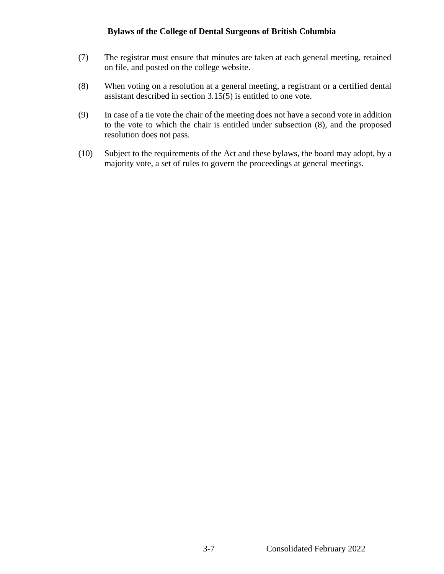- (7) The registrar must ensure that minutes are taken at each general meeting, retained on file, and posted on the college website.
- (8) When voting on a resolution at a general meeting, a registrant or a certified dental assistant described in section 3.15(5) is entitled to one vote.
- (9) In case of a tie vote the chair of the meeting does not have a second vote in addition to the vote to which the chair is entitled under subsection (8), and the proposed resolution does not pass.
- (10) Subject to the requirements of the Act and these bylaws, the board may adopt, by a majority vote, a set of rules to govern the proceedings at general meetings.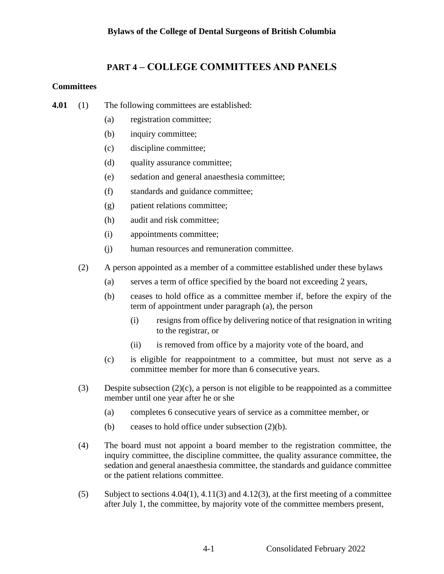# <span id="page-30-0"></span>**PART 4 – COLLEGE COMMITTEES AND PANELS**

## <span id="page-30-1"></span>**Committees**

- **4.01** (1) The following committees are established:
	- (a) registration committee;
	- (b) inquiry committee;
	- (c) discipline committee;
	- (d) quality assurance committee;
	- (e) sedation and general anaesthesia committee;
	- (f) standards and guidance committee;
	- (g) patient relations committee;
	- (h) audit and risk committee;
	- (i) appointments committee;
	- (j) human resources and remuneration committee.
	- (2) A person appointed as a member of a committee established under these bylaws
		- (a) serves a term of office specified by the board not exceeding 2 years,
		- (b) ceases to hold office as a committee member if, before the expiry of the term of appointment under paragraph (a), the person
			- (i) resigns from office by delivering notice of that resignation in writing to the registrar, or
			- (ii) is removed from office by a majority vote of the board, and
		- (c) is eligible for reappointment to a committee, but must not serve as a committee member for more than 6 consecutive years.
	- (3) Despite subsection  $(2)(c)$ , a person is not eligible to be reappointed as a committee member until one year after he or she
		- (a) completes 6 consecutive years of service as a committee member, or
		- (b) ceases to hold office under subsection  $(2)(b)$ .
	- (4) The board must not appoint a board member to the registration committee, the inquiry committee, the discipline committee, the quality assurance committee, the sedation and general anaesthesia committee, the standards and guidance committee or the patient relations committee.
	- (5) Subject to sections  $4.04(1)$ ,  $4.11(3)$  and  $4.12(3)$ , at the first meeting of a committee after July 1, the committee, by majority vote of the committee members present,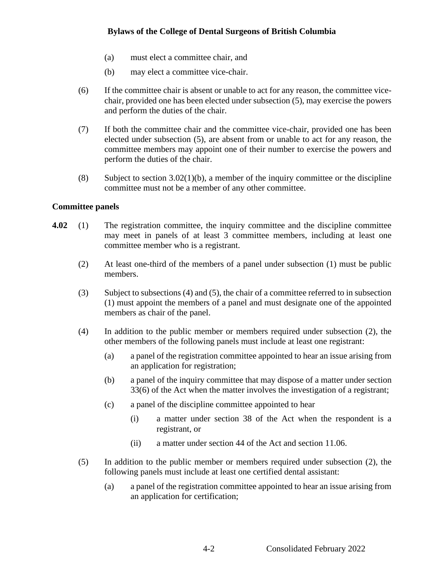- (a) must elect a committee chair, and
- (b) may elect a committee vice-chair.
- (6) If the committee chair is absent or unable to act for any reason, the committee vicechair, provided one has been elected under subsection (5), may exercise the powers and perform the duties of the chair.
- (7) If both the committee chair and the committee vice-chair, provided one has been elected under subsection (5), are absent from or unable to act for any reason, the committee members may appoint one of their number to exercise the powers and perform the duties of the chair.
- (8) Subject to section  $3.02(1)(b)$ , a member of the inquiry committee or the discipline committee must not be a member of any other committee.

## <span id="page-31-0"></span>**Committee panels**

- **4.02** (1) The registration committee, the inquiry committee and the discipline committee may meet in panels of at least 3 committee members, including at least one committee member who is a registrant.
	- (2) At least one-third of the members of a panel under subsection (1) must be public members.
	- (3) Subject to subsections (4) and (5), the chair of a committee referred to in subsection (1) must appoint the members of a panel and must designate one of the appointed members as chair of the panel.
	- (4) In addition to the public member or members required under subsection (2), the other members of the following panels must include at least one registrant:
		- (a) a panel of the registration committee appointed to hear an issue arising from an application for registration;
		- (b) a panel of the inquiry committee that may dispose of a matter under section 33(6) of the Act when the matter involves the investigation of a registrant;
		- (c) a panel of the discipline committee appointed to hear
			- (i) a matter under section 38 of the Act when the respondent is a registrant, or
			- (ii) a matter under section 44 of the Act and section 11.06.
	- (5) In addition to the public member or members required under subsection (2), the following panels must include at least one certified dental assistant:
		- (a) a panel of the registration committee appointed to hear an issue arising from an application for certification;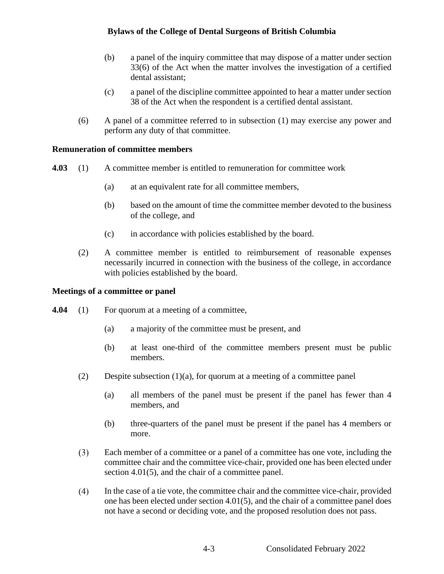- (b) a panel of the inquiry committee that may dispose of a matter under section 33(6) of the Act when the matter involves the investigation of a certified dental assistant;
- (c) a panel of the discipline committee appointed to hear a matter under section 38 of the Act when the respondent is a certified dental assistant.
- (6) A panel of a committee referred to in subsection (1) may exercise any power and perform any duty of that committee.

## <span id="page-32-0"></span>**Remuneration of committee members**

- **4.03** (1) A committee member is entitled to remuneration for committee work
	- (a) at an equivalent rate for all committee members,
	- (b) based on the amount of time the committee member devoted to the business of the college, and
	- (c) in accordance with policies established by the board.
	- (2) A committee member is entitled to reimbursement of reasonable expenses necessarily incurred in connection with the business of the college, in accordance with policies established by the board.

#### <span id="page-32-1"></span>**Meetings of a committee or panel**

- **4.04** (1) For quorum at a meeting of a committee,
	- (a) a majority of the committee must be present, and
	- (b) at least one-third of the committee members present must be public members.
	- (2) Despite subsection  $(1)(a)$ , for quorum at a meeting of a committee panel
		- (a) all members of the panel must be present if the panel has fewer than 4 members, and
		- (b) three-quarters of the panel must be present if the panel has 4 members or more.
	- $(3)$ Each member of a committee or a panel of a committee has one vote, including the committee chair and the committee vice-chair, provided one has been elected under section 4.01(5), and the chair of a committee panel.
	- $(4)$ In the case of a tie vote, the committee chair and the committee vice-chair, provided one has been elected under section 4.01(5), and the chair of a committee panel does not have a second or deciding vote, and the proposed resolution does not pass.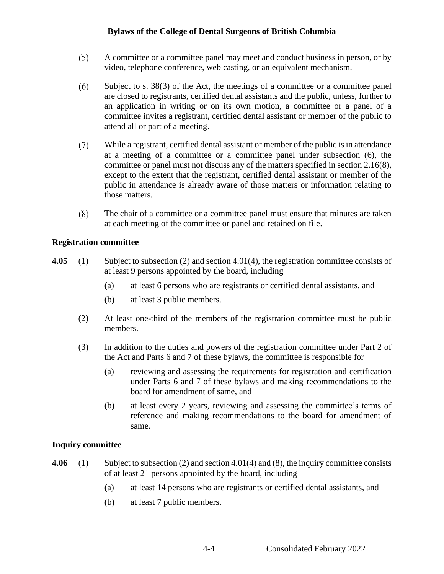- $(5)$ A committee or a committee panel may meet and conduct business in person, or by video, telephone conference, web casting, or an equivalent mechanism.
- $(6)$ Subject to s. 38(3) of the Act, the meetings of a committee or a committee panel are closed to registrants, certified dental assistants and the public, unless, further to an application in writing or on its own motion, a committee or a panel of a committee invites a registrant, certified dental assistant or member of the public to attend all or part of a meeting.
- $(7)$ While a registrant, certified dental assistant or member of the public is in attendance at a meeting of a committee or a committee panel under subsection (6), the committee or panel must not discuss any of the matters specified in section 2.16(8), except to the extent that the registrant, certified dental assistant or member of the public in attendance is already aware of those matters or information relating to those matters.
- $(8)$ The chair of a committee or a committee panel must ensure that minutes are taken at each meeting of the committee or panel and retained on file.

#### <span id="page-33-0"></span>**Registration committee**

- **4.05** (1) Subject to subsection (2) and section 4.01(4), the registration committee consists of at least 9 persons appointed by the board, including
	- (a) at least 6 persons who are registrants or certified dental assistants, and
	- (b) at least 3 public members.
	- (2) At least one-third of the members of the registration committee must be public members.
	- (3) In addition to the duties and powers of the registration committee under Part 2 of the Act and Parts 6 and 7 of these bylaws, the committee is responsible for
		- (a) reviewing and assessing the requirements for registration and certification under Parts 6 and 7 of these bylaws and making recommendations to the board for amendment of same, and
		- (b) at least every 2 years, reviewing and assessing the committee's terms of reference and making recommendations to the board for amendment of same.

#### <span id="page-33-1"></span>**Inquiry committee**

- **4.06** (1) Subject to subsection (2) and section 4.01(4) and (8), the inquiry committee consists of at least 21 persons appointed by the board, including
	- (a) at least 14 persons who are registrants or certified dental assistants, and
	- (b) at least 7 public members.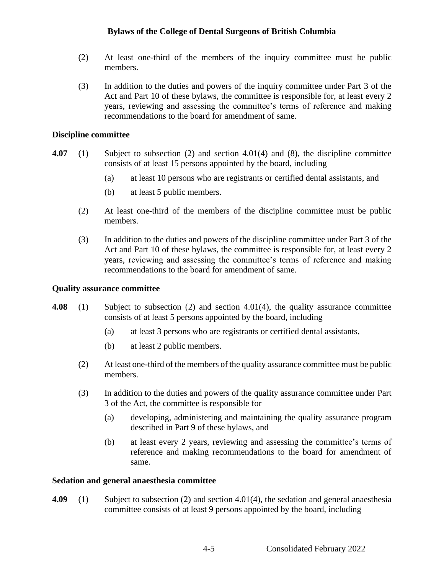- (2) At least one-third of the members of the inquiry committee must be public members.
- (3) In addition to the duties and powers of the inquiry committee under Part 3 of the Act and Part 10 of these bylaws, the committee is responsible for, at least every 2 years, reviewing and assessing the committee's terms of reference and making recommendations to the board for amendment of same.

#### <span id="page-34-0"></span>**Discipline committee**

- **4.07** (1) Subject to subsection (2) and section 4.01(4) and (8), the discipline committee consists of at least 15 persons appointed by the board, including
	- (a) at least 10 persons who are registrants or certified dental assistants, and
	- (b) at least 5 public members.
	- (2) At least one-third of the members of the discipline committee must be public members.
	- (3) In addition to the duties and powers of the discipline committee under Part 3 of the Act and Part 10 of these bylaws, the committee is responsible for, at least every 2 years, reviewing and assessing the committee's terms of reference and making recommendations to the board for amendment of same.

#### <span id="page-34-1"></span>**Quality assurance committee**

- **4.08** (1) Subject to subsection (2) and section 4.01(4), the quality assurance committee consists of at least 5 persons appointed by the board, including
	- (a) at least 3 persons who are registrants or certified dental assistants,
	- (b) at least 2 public members.
	- (2) At least one-third of the members of the quality assurance committee must be public members.
	- (3) In addition to the duties and powers of the quality assurance committee under Part 3 of the Act, the committee is responsible for
		- (a) developing, administering and maintaining the quality assurance program described in Part 9 of these bylaws, and
		- (b) at least every 2 years, reviewing and assessing the committee's terms of reference and making recommendations to the board for amendment of same.

#### <span id="page-34-2"></span>**Sedation and general anaesthesia committee**

**4.09** (1) Subject to subsection (2) and section 4.01(4), the sedation and general anaesthesia committee consists of at least 9 persons appointed by the board, including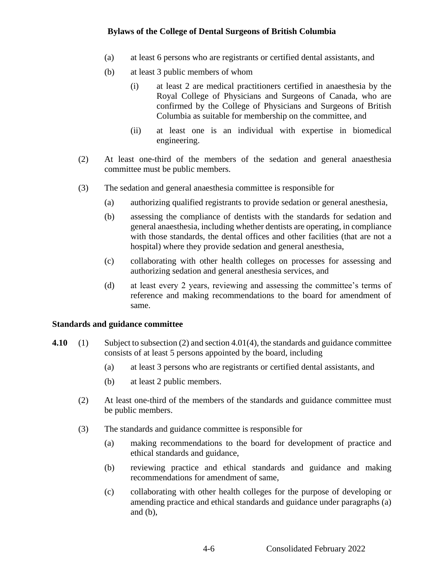- (a) at least 6 persons who are registrants or certified dental assistants, and
- (b) at least 3 public members of whom
	- (i) at least 2 are medical practitioners certified in anaesthesia by the Royal College of Physicians and Surgeons of Canada, who are confirmed by the College of Physicians and Surgeons of British Columbia as suitable for membership on the committee, and
	- (ii) at least one is an individual with expertise in biomedical engineering.
- (2) At least one-third of the members of the sedation and general anaesthesia committee must be public members.
- (3) The sedation and general anaesthesia committee is responsible for
	- (a) authorizing qualified registrants to provide sedation or general anesthesia,
	- (b) assessing the compliance of dentists with the standards for sedation and general anaesthesia, including whether dentists are operating, in compliance with those standards, the dental offices and other facilities (that are not a hospital) where they provide sedation and general anesthesia,
	- (c) collaborating with other health colleges on processes for assessing and authorizing sedation and general anesthesia services, and
	- (d) at least every 2 years, reviewing and assessing the committee's terms of reference and making recommendations to the board for amendment of same.

#### <span id="page-35-0"></span>**Standards and guidance committee**

- **4.10** (1) Subject to subsection (2) and section 4.01(4), the standards and guidance committee consists of at least 5 persons appointed by the board, including
	- (a) at least 3 persons who are registrants or certified dental assistants, and
	- (b) at least 2 public members.
	- (2) At least one-third of the members of the standards and guidance committee must be public members.
	- (3) The standards and guidance committee is responsible for
		- (a) making recommendations to the board for development of practice and ethical standards and guidance,
		- (b) reviewing practice and ethical standards and guidance and making recommendations for amendment of same,
		- (c) collaborating with other health colleges for the purpose of developing or amending practice and ethical standards and guidance under paragraphs (a) and  $(b)$ ,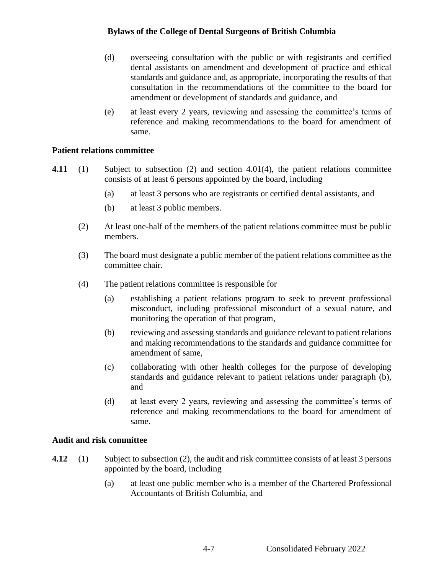- (d) overseeing consultation with the public or with registrants and certified dental assistants on amendment and development of practice and ethical standards and guidance and, as appropriate, incorporating the results of that consultation in the recommendations of the committee to the board for amendment or development of standards and guidance, and
- (e) at least every 2 years, reviewing and assessing the committee's terms of reference and making recommendations to the board for amendment of same.

### **Patient relations committee**

- **4.11** (1) Subject to subsection (2) and section 4.01(4), the patient relations committee consists of at least 6 persons appointed by the board, including
	- (a) at least 3 persons who are registrants or certified dental assistants, and
	- (b) at least 3 public members.
	- (2) At least one-half of the members of the patient relations committee must be public members.
	- (3) The board must designate a public member of the patient relations committee as the committee chair.
	- (4) The patient relations committee is responsible for
		- (a) establishing a patient relations program to seek to prevent professional misconduct, including professional misconduct of a sexual nature, and monitoring the operation of that program,
		- (b) reviewing and assessing standards and guidance relevant to patient relations and making recommendations to the standards and guidance committee for amendment of same,
		- (c) collaborating with other health colleges for the purpose of developing standards and guidance relevant to patient relations under paragraph (b), and
		- (d) at least every 2 years, reviewing and assessing the committee's terms of reference and making recommendations to the board for amendment of same.

#### **Audit and risk committee**

- **4.12** (1) Subject to subsection (2), the audit and risk committee consists of at least 3 persons appointed by the board, including
	- (a) at least one public member who is a member of the Chartered Professional Accountants of British Columbia, and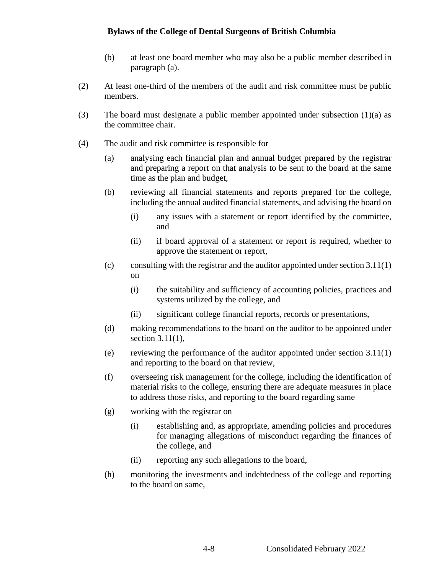- (b) at least one board member who may also be a public member described in paragraph (a).
- (2) At least one-third of the members of the audit and risk committee must be public members.
- (3) The board must designate a public member appointed under subsection (1)(a) as the committee chair.
- (4) The audit and risk committee is responsible for
	- (a) analysing each financial plan and annual budget prepared by the registrar and preparing a report on that analysis to be sent to the board at the same time as the plan and budget,
	- (b) reviewing all financial statements and reports prepared for the college, including the annual audited financial statements, and advising the board on
		- (i) any issues with a statement or report identified by the committee, and
		- (ii) if board approval of a statement or report is required, whether to approve the statement or report,
	- (c) consulting with the registrar and the auditor appointed under section  $3.11(1)$ on
		- (i) the suitability and sufficiency of accounting policies, practices and systems utilized by the college, and
		- (ii) significant college financial reports, records or presentations,
	- (d) making recommendations to the board on the auditor to be appointed under section 3.11(1),
	- (e) reviewing the performance of the auditor appointed under section 3.11(1) and reporting to the board on that review,
	- (f) overseeing risk management for the college, including the identification of material risks to the college, ensuring there are adequate measures in place to address those risks, and reporting to the board regarding same
	- (g) working with the registrar on
		- (i) establishing and, as appropriate, amending policies and procedures for managing allegations of misconduct regarding the finances of the college, and
		- (ii) reporting any such allegations to the board,
	- (h) monitoring the investments and indebtedness of the college and reporting to the board on same,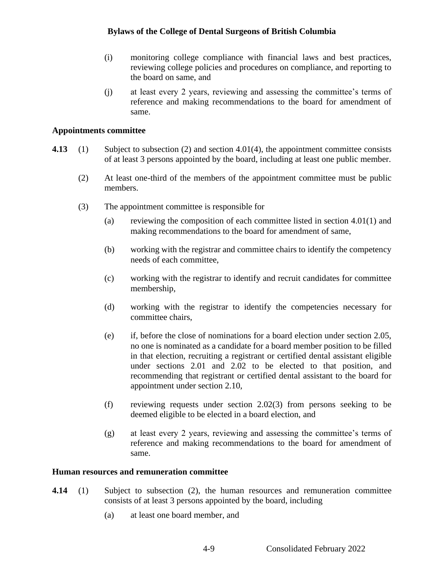- (i) monitoring college compliance with financial laws and best practices, reviewing college policies and procedures on compliance, and reporting to the board on same, and
- (j) at least every 2 years, reviewing and assessing the committee's terms of reference and making recommendations to the board for amendment of same.

#### **Appointments committee**

- **4.13** (1) Subject to subsection (2) and section 4.01(4), the appointment committee consists of at least 3 persons appointed by the board, including at least one public member.
	- (2) At least one-third of the members of the appointment committee must be public members.
	- (3) The appointment committee is responsible for
		- (a) reviewing the composition of each committee listed in section  $4.01(1)$  and making recommendations to the board for amendment of same,
		- (b) working with the registrar and committee chairs to identify the competency needs of each committee,
		- (c) working with the registrar to identify and recruit candidates for committee membership,
		- (d) working with the registrar to identify the competencies necessary for committee chairs,
		- (e) if, before the close of nominations for a board election under section 2.05, no one is nominated as a candidate for a board member position to be filled in that election, recruiting a registrant or certified dental assistant eligible under sections 2.01 and 2.02 to be elected to that position, and recommending that registrant or certified dental assistant to the board for appointment under section 2.10,
		- (f) reviewing requests under section 2.02(3) from persons seeking to be deemed eligible to be elected in a board election, and
		- (g) at least every 2 years, reviewing and assessing the committee's terms of reference and making recommendations to the board for amendment of same.

#### **Human resources and remuneration committee**

- **4.14** (1) Subject to subsection (2), the human resources and remuneration committee consists of at least 3 persons appointed by the board, including
	- (a) at least one board member, and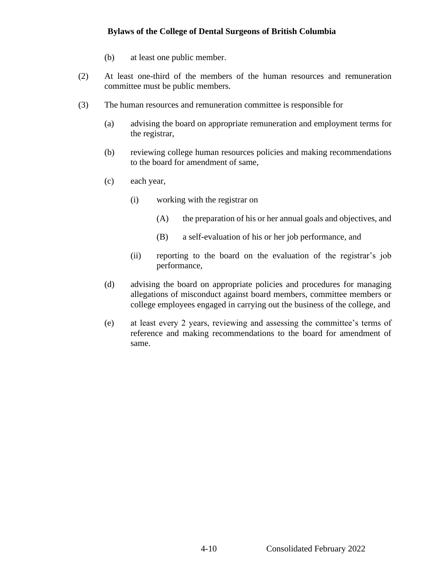- (b) at least one public member.
- (2) At least one-third of the members of the human resources and remuneration committee must be public members.
- (3) The human resources and remuneration committee is responsible for
	- (a) advising the board on appropriate remuneration and employment terms for the registrar,
	- (b) reviewing college human resources policies and making recommendations to the board for amendment of same,
	- (c) each year,
		- (i) working with the registrar on
			- (A) the preparation of his or her annual goals and objectives, and
			- (B) a self-evaluation of his or her job performance, and
		- (ii) reporting to the board on the evaluation of the registrar's job performance,
	- (d) advising the board on appropriate policies and procedures for managing allegations of misconduct against board members, committee members or college employees engaged in carrying out the business of the college, and
	- (e) at least every 2 years, reviewing and assessing the committee's terms of reference and making recommendations to the board for amendment of same.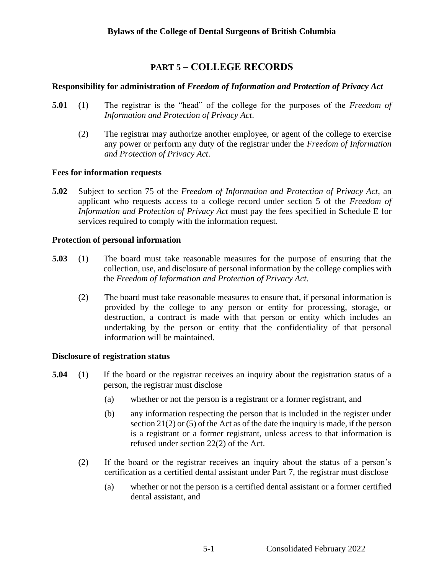# **PART 5 – COLLEGE RECORDS**

## **Responsibility for administration of** *Freedom of Information and Protection of Privacy Act*

- **5.01** (1) The registrar is the "head" of the college for the purposes of the *Freedom of Information and Protection of Privacy Act*.
	- (2) The registrar may authorize another employee, or agent of the college to exercise any power or perform any duty of the registrar under the *Freedom of Information and Protection of Privacy Act*.

### **Fees for information requests**

**5.02** Subject to section 75 of the *Freedom of Information and Protection of Privacy Act*, an applicant who requests access to a college record under section 5 of the *Freedom of Information and Protection of Privacy Act* must pay the fees specified in Schedule E for services required to comply with the information request.

### **Protection of personal information**

- **5.03** (1) The board must take reasonable measures for the purpose of ensuring that the collection, use, and disclosure of personal information by the college complies with the *Freedom of Information and Protection of Privacy Act*.
	- (2) The board must take reasonable measures to ensure that, if personal information is provided by the college to any person or entity for processing, storage, or destruction, a contract is made with that person or entity which includes an undertaking by the person or entity that the confidentiality of that personal information will be maintained.

# **Disclosure of registration status**

- **5.04** (1) If the board or the registrar receives an inquiry about the registration status of a person, the registrar must disclose
	- (a) whether or not the person is a registrant or a former registrant, and
	- (b) any information respecting the person that is included in the register under section 21(2) or (5) of the Act as of the date the inquiry is made, if the person is a registrant or a former registrant, unless access to that information is refused under section 22(2) of the Act.
	- (2) If the board or the registrar receives an inquiry about the status of a person's certification as a certified dental assistant under Part 7, the registrar must disclose
		- (a) whether or not the person is a certified dental assistant or a former certified dental assistant, and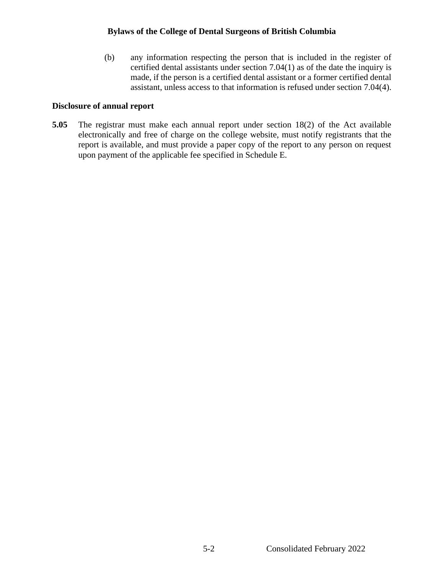(b) any information respecting the person that is included in the register of certified dental assistants under section 7.04(1) as of the date the inquiry is made, if the person is a certified dental assistant or a former certified dental assistant, unless access to that information is refused under section 7.04(4).

#### **Disclosure of annual report**

**5.05** The registrar must make each annual report under section 18(2) of the Act available electronically and free of charge on the college website, must notify registrants that the report is available, and must provide a paper copy of the report to any person on request upon payment of the applicable fee specified in Schedule E.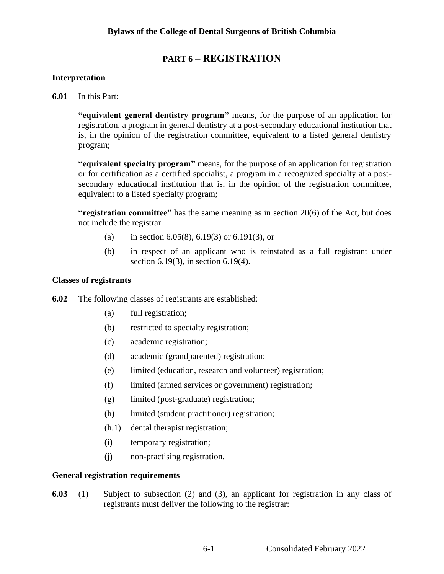# **PART 6 – REGISTRATION**

### **Interpretation**

**6.01** In this Part:

**"equivalent general dentistry program"** means, for the purpose of an application for registration, a program in general dentistry at a post-secondary educational institution that is, in the opinion of the registration committee, equivalent to a listed general dentistry program;

**"equivalent specialty program"** means, for the purpose of an application for registration or for certification as a certified specialist, a program in a recognized specialty at a postsecondary educational institution that is, in the opinion of the registration committee, equivalent to a listed specialty program;

**"registration committee"** has the same meaning as in section 20(6) of the Act, but does not include the registrar

- (a) in section 6.05(8), 6.19(3) or 6.191(3), or
- (b) in respect of an applicant who is reinstated as a full registrant under section 6.19(3), in section 6.19(4).

#### **Classes of registrants**

**6.02** The following classes of registrants are established:

- (a) full registration;
- (b) restricted to specialty registration;
- (c) academic registration;
- (d) academic (grandparented) registration;
- (e) limited (education, research and volunteer) registration;
- (f) limited (armed services or government) registration;
- (g) limited (post-graduate) registration;
- (h) limited (student practitioner) registration;
- (h.1) dental therapist registration;
- (i) temporary registration;
- (j) non-practising registration.

#### **General registration requirements**

**6.03** (1) Subject to subsection (2) and (3), an applicant for registration in any class of registrants must deliver the following to the registrar: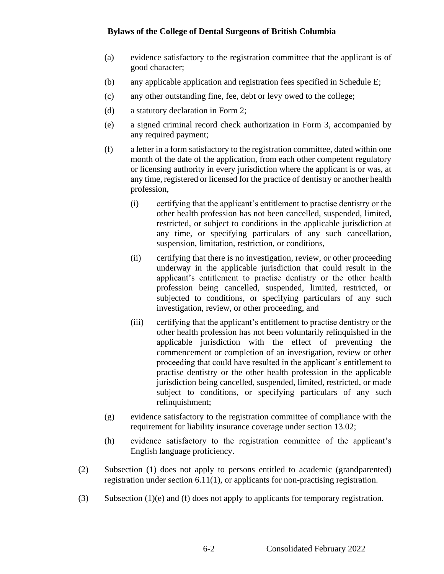- (a) evidence satisfactory to the registration committee that the applicant is of good character;
- (b) any applicable application and registration fees specified in Schedule E;
- (c) any other outstanding fine, fee, debt or levy owed to the college;
- (d) a statutory declaration in Form 2;
- (e) a signed criminal record check authorization in Form 3, accompanied by any required payment;
- (f) a letter in a form satisfactory to the registration committee, dated within one month of the date of the application, from each other competent regulatory or licensing authority in every jurisdiction where the applicant is or was, at any time, registered or licensed for the practice of dentistry or another health profession,
	- (i) certifying that the applicant's entitlement to practise dentistry or the other health profession has not been cancelled, suspended, limited, restricted, or subject to conditions in the applicable jurisdiction at any time, or specifying particulars of any such cancellation, suspension, limitation, restriction, or conditions,
	- (ii) certifying that there is no investigation, review, or other proceeding underway in the applicable jurisdiction that could result in the applicant's entitlement to practise dentistry or the other health profession being cancelled, suspended, limited, restricted, or subjected to conditions, or specifying particulars of any such investigation, review, or other proceeding, and
	- (iii) certifying that the applicant's entitlement to practise dentistry or the other health profession has not been voluntarily relinquished in the applicable jurisdiction with the effect of preventing the commencement or completion of an investigation, review or other proceeding that could have resulted in the applicant's entitlement to practise dentistry or the other health profession in the applicable jurisdiction being cancelled, suspended, limited, restricted, or made subject to conditions, or specifying particulars of any such relinquishment;
- (g) evidence satisfactory to the registration committee of compliance with the requirement for liability insurance coverage under section 13.02;
- (h) evidence satisfactory to the registration committee of the applicant's English language proficiency.
- (2) Subsection (1) does not apply to persons entitled to academic (grandparented) registration under section 6.11(1), or applicants for non-practising registration.
- (3) Subsection (1)(e) and (f) does not apply to applicants for temporary registration.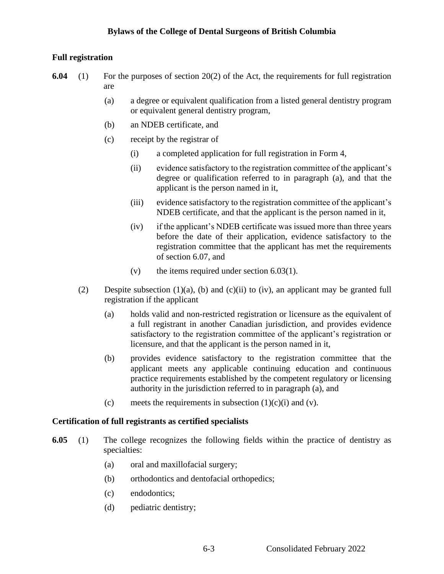# **Full registration**

- **6.04** (1) For the purposes of section 20(2) of the Act, the requirements for full registration are
	- (a) a degree or equivalent qualification from a listed general dentistry program or equivalent general dentistry program,
	- (b) an NDEB certificate, and
	- (c) receipt by the registrar of
		- (i) a completed application for full registration in Form 4,
		- (ii) evidence satisfactory to the registration committee of the applicant's degree or qualification referred to in paragraph (a), and that the applicant is the person named in it,
		- (iii) evidence satisfactory to the registration committee of the applicant's NDEB certificate, and that the applicant is the person named in it,
		- (iv) if the applicant's NDEB certificate was issued more than three years before the date of their application, evidence satisfactory to the registration committee that the applicant has met the requirements of section 6.07, and
		- (v) the items required under section  $6.03(1)$ .
	- (2) Despite subsection (1)(a), (b) and (c)(ii) to (iv), an applicant may be granted full registration if the applicant
		- (a) holds valid and non-restricted registration or licensure as the equivalent of a full registrant in another Canadian jurisdiction, and provides evidence satisfactory to the registration committee of the applicant's registration or licensure, and that the applicant is the person named in it,
		- (b) provides evidence satisfactory to the registration committee that the applicant meets any applicable continuing education and continuous practice requirements established by the competent regulatory or licensing authority in the jurisdiction referred to in paragraph (a), and
		- (c) meets the requirements in subsection  $(1)(c)(i)$  and  $(v)$ .

#### **Certification of full registrants as certified specialists**

- **6.05** (1) The college recognizes the following fields within the practice of dentistry as specialties:
	- (a) oral and maxillofacial surgery;
	- (b) orthodontics and dentofacial orthopedics;
	- (c) endodontics;
	- (d) pediatric dentistry;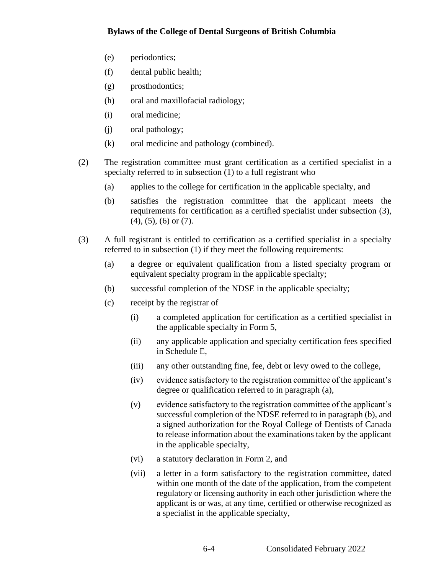- (e) periodontics;
- (f) dental public health;
- (g) prosthodontics;
- (h) oral and maxillofacial radiology;
- (i) oral medicine;
- (j) oral pathology;
- (k) oral medicine and pathology (combined).
- (2) The registration committee must grant certification as a certified specialist in a specialty referred to in subsection (1) to a full registrant who
	- (a) applies to the college for certification in the applicable specialty, and
	- (b) satisfies the registration committee that the applicant meets the requirements for certification as a certified specialist under subsection (3), (4), (5), (6) or (7).
- (3) A full registrant is entitled to certification as a certified specialist in a specialty referred to in subsection (1) if they meet the following requirements:
	- (a) a degree or equivalent qualification from a listed specialty program or equivalent specialty program in the applicable specialty;
	- (b) successful completion of the NDSE in the applicable specialty;
	- (c) receipt by the registrar of
		- (i) a completed application for certification as a certified specialist in the applicable specialty in Form 5,
		- (ii) any applicable application and specialty certification fees specified in Schedule E,
		- (iii) any other outstanding fine, fee, debt or levy owed to the college,
		- (iv) evidence satisfactory to the registration committee of the applicant's degree or qualification referred to in paragraph (a),
		- (v) evidence satisfactory to the registration committee of the applicant's successful completion of the NDSE referred to in paragraph (b), and a signed authorization for the Royal College of Dentists of Canada to release information about the examinations taken by the applicant in the applicable specialty,
		- (vi) a statutory declaration in Form 2, and
		- (vii) a letter in a form satisfactory to the registration committee, dated within one month of the date of the application, from the competent regulatory or licensing authority in each other jurisdiction where the applicant is or was, at any time, certified or otherwise recognized as a specialist in the applicable specialty,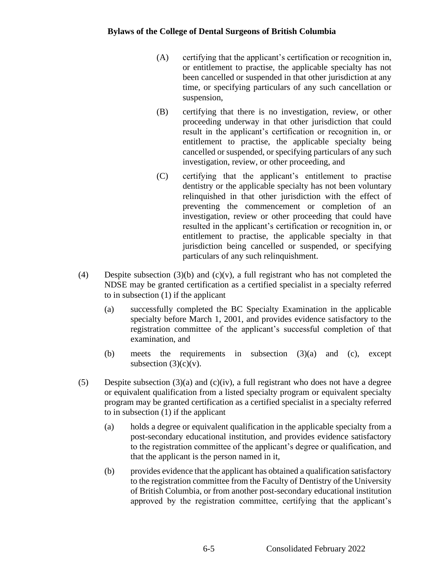- (A) certifying that the applicant's certification or recognition in, or entitlement to practise, the applicable specialty has not been cancelled or suspended in that other jurisdiction at any time, or specifying particulars of any such cancellation or suspension,
- (B) certifying that there is no investigation, review, or other proceeding underway in that other jurisdiction that could result in the applicant's certification or recognition in, or entitlement to practise, the applicable specialty being cancelled or suspended, or specifying particulars of any such investigation, review, or other proceeding, and
- (C) certifying that the applicant's entitlement to practise dentistry or the applicable specialty has not been voluntary relinquished in that other jurisdiction with the effect of preventing the commencement or completion of an investigation, review or other proceeding that could have resulted in the applicant's certification or recognition in, or entitlement to practise, the applicable specialty in that jurisdiction being cancelled or suspended, or specifying particulars of any such relinquishment.
- (4) Despite subsection (3)(b) and (c)(v), a full registrant who has not completed the NDSE may be granted certification as a certified specialist in a specialty referred to in subsection (1) if the applicant
	- (a) successfully completed the BC Specialty Examination in the applicable specialty before March 1, 2001, and provides evidence satisfactory to the registration committee of the applicant's successful completion of that examination, and
	- (b) meets the requirements in subsection (3)(a) and (c), except subsection  $(3)(c)(v)$ .
- (5) Despite subsection  $(3)(a)$  and  $(c)(iv)$ , a full registrant who does not have a degree or equivalent qualification from a listed specialty program or equivalent specialty program may be granted certification as a certified specialist in a specialty referred to in subsection (1) if the applicant
	- (a) holds a degree or equivalent qualification in the applicable specialty from a post-secondary educational institution, and provides evidence satisfactory to the registration committee of the applicant's degree or qualification, and that the applicant is the person named in it,
	- (b) provides evidence that the applicant has obtained a qualification satisfactory to the registration committee from the Faculty of Dentistry of the University of British Columbia, or from another post-secondary educational institution approved by the registration committee, certifying that the applicant's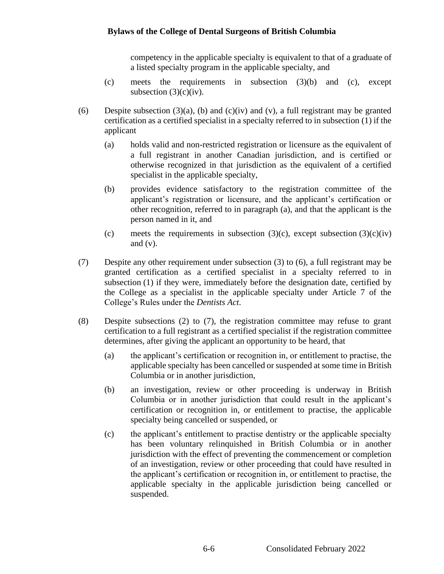competency in the applicable specialty is equivalent to that of a graduate of a listed specialty program in the applicable specialty, and

- (c) meets the requirements in subsection (3)(b) and (c), except subsection  $(3)(c)(iv)$ .
- (6) Despite subsection (3)(a), (b) and (c)(iv) and (v), a full registrant may be granted certification as a certified specialist in a specialty referred to in subsection (1) if the applicant
	- (a) holds valid and non-restricted registration or licensure as the equivalent of a full registrant in another Canadian jurisdiction, and is certified or otherwise recognized in that jurisdiction as the equivalent of a certified specialist in the applicable specialty,
	- (b) provides evidence satisfactory to the registration committee of the applicant's registration or licensure, and the applicant's certification or other recognition, referred to in paragraph (a), and that the applicant is the person named in it, and
	- (c) meets the requirements in subsection  $(3)(c)$ , except subsection  $(3)(c)(iv)$ and  $(v)$ .
- (7) Despite any other requirement under subsection (3) to (6), a full registrant may be granted certification as a certified specialist in a specialty referred to in subsection (1) if they were, immediately before the designation date, certified by the College as a specialist in the applicable specialty under Article 7 of the College's Rules under the *Dentists Act*.
- (8) Despite subsections (2) to (7), the registration committee may refuse to grant certification to a full registrant as a certified specialist if the registration committee determines, after giving the applicant an opportunity to be heard, that
	- (a) the applicant's certification or recognition in, or entitlement to practise, the applicable specialty has been cancelled or suspended at some time in British Columbia or in another jurisdiction,
	- (b) an investigation, review or other proceeding is underway in British Columbia or in another jurisdiction that could result in the applicant's certification or recognition in, or entitlement to practise, the applicable specialty being cancelled or suspended, or
	- (c) the applicant's entitlement to practise dentistry or the applicable specialty has been voluntary relinquished in British Columbia or in another jurisdiction with the effect of preventing the commencement or completion of an investigation, review or other proceeding that could have resulted in the applicant's certification or recognition in, or entitlement to practise, the applicable specialty in the applicable jurisdiction being cancelled or suspended.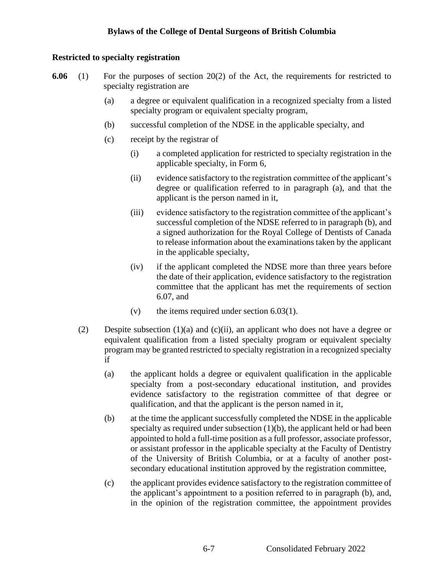# **Restricted to specialty registration**

- **6.06** (1) For the purposes of section 20(2) of the Act, the requirements for restricted to specialty registration are
	- (a) a degree or equivalent qualification in a recognized specialty from a listed specialty program or equivalent specialty program,
	- (b) successful completion of the NDSE in the applicable specialty, and
	- (c) receipt by the registrar of
		- (i) a completed application for restricted to specialty registration in the applicable specialty, in Form 6,
		- (ii) evidence satisfactory to the registration committee of the applicant's degree or qualification referred to in paragraph (a), and that the applicant is the person named in it,
		- (iii) evidence satisfactory to the registration committee of the applicant's successful completion of the NDSE referred to in paragraph (b), and a signed authorization for the Royal College of Dentists of Canada to release information about the examinations taken by the applicant in the applicable specialty,
		- (iv) if the applicant completed the NDSE more than three years before the date of their application, evidence satisfactory to the registration committee that the applicant has met the requirements of section 6.07, and
		- (v) the items required under section 6.03(1).
	- (2) Despite subsection (1)(a) and (c)(ii), an applicant who does not have a degree or equivalent qualification from a listed specialty program or equivalent specialty program may be granted restricted to specialty registration in a recognized specialty if
		- (a) the applicant holds a degree or equivalent qualification in the applicable specialty from a post-secondary educational institution, and provides evidence satisfactory to the registration committee of that degree or qualification, and that the applicant is the person named in it,
		- (b) at the time the applicant successfully completed the NDSE in the applicable specialty as required under subsection  $(1)(b)$ , the applicant held or had been appointed to hold a full-time position as a full professor, associate professor, or assistant professor in the applicable specialty at the Faculty of Dentistry of the University of British Columbia, or at a faculty of another postsecondary educational institution approved by the registration committee,
		- (c) the applicant provides evidence satisfactory to the registration committee of the applicant's appointment to a position referred to in paragraph (b), and, in the opinion of the registration committee, the appointment provides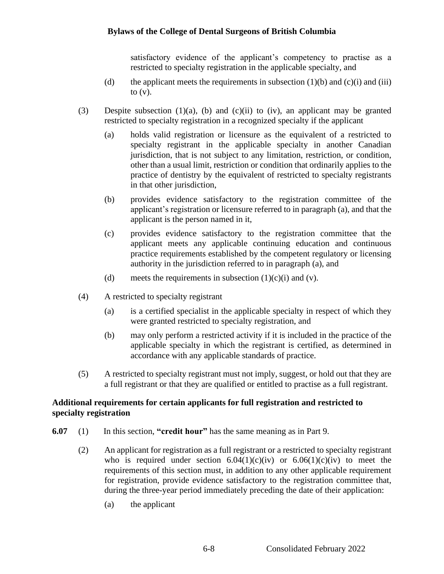satisfactory evidence of the applicant's competency to practise as a restricted to specialty registration in the applicable specialty, and

- (d) the applicant meets the requirements in subsection  $(1)(b)$  and  $(c)(i)$  and (iii) to  $(v)$ .
- (3) Despite subsection (1)(a), (b) and (c)(ii) to (iv), an applicant may be granted restricted to specialty registration in a recognized specialty if the applicant
	- (a) holds valid registration or licensure as the equivalent of a restricted to specialty registrant in the applicable specialty in another Canadian jurisdiction, that is not subject to any limitation, restriction, or condition, other than a usual limit, restriction or condition that ordinarily applies to the practice of dentistry by the equivalent of restricted to specialty registrants in that other jurisdiction,
	- (b) provides evidence satisfactory to the registration committee of the applicant's registration or licensure referred to in paragraph (a), and that the applicant is the person named in it,
	- (c) provides evidence satisfactory to the registration committee that the applicant meets any applicable continuing education and continuous practice requirements established by the competent regulatory or licensing authority in the jurisdiction referred to in paragraph (a), and
	- (d) meets the requirements in subsection  $(1)(c)(i)$  and  $(v)$ .
- (4) A restricted to specialty registrant
	- (a) is a certified specialist in the applicable specialty in respect of which they were granted restricted to specialty registration, and
	- (b) may only perform a restricted activity if it is included in the practice of the applicable specialty in which the registrant is certified, as determined in accordance with any applicable standards of practice.
- (5) A restricted to specialty registrant must not imply, suggest, or hold out that they are a full registrant or that they are qualified or entitled to practise as a full registrant.

### **Additional requirements for certain applicants for full registration and restricted to specialty registration**

- **6.07** (1) In this section, **"credit hour"** has the same meaning as in Part 9.
	- (2) An applicant for registration as a full registrant or a restricted to specialty registrant who is required under section  $6.04(1)(c)(iv)$  or  $6.06(1)(c)(iv)$  to meet the requirements of this section must, in addition to any other applicable requirement for registration, provide evidence satisfactory to the registration committee that, during the three-year period immediately preceding the date of their application:
		- (a) the applicant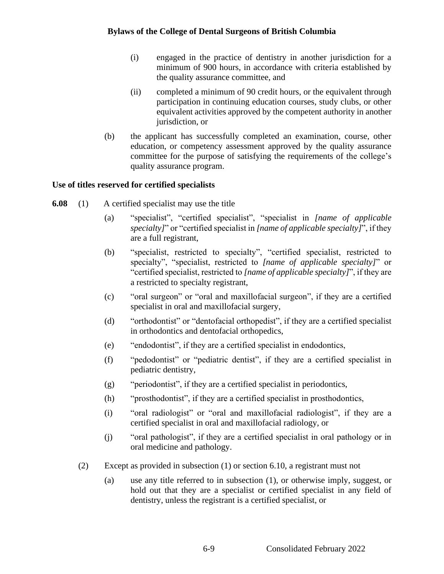- (i) engaged in the practice of dentistry in another jurisdiction for a minimum of 900 hours, in accordance with criteria established by the quality assurance committee, and
- (ii) completed a minimum of 90 credit hours, or the equivalent through participation in continuing education courses, study clubs, or other equivalent activities approved by the competent authority in another jurisdiction, or
- (b) the applicant has successfully completed an examination, course, other education, or competency assessment approved by the quality assurance committee for the purpose of satisfying the requirements of the college's quality assurance program.

# **Use of titles reserved for certified specialists**

- **6.08** (1) A certified specialist may use the title
	- (a) "specialist", "certified specialist", "specialist in *[name of applicable specialty]*" or "certified specialist in *[name of applicable specialty]*", if they are a full registrant,
	- (b) "specialist, restricted to specialty", "certified specialist, restricted to specialty", "specialist, restricted to *[name of applicable specialty]*" or "certified specialist, restricted to *[name of applicable specialty]*", if they are a restricted to specialty registrant,
	- (c) "oral surgeon" or "oral and maxillofacial surgeon", if they are a certified specialist in oral and maxillofacial surgery,
	- (d) "orthodontist" or "dentofacial orthopedist", if they are a certified specialist in orthodontics and dentofacial orthopedics,
	- (e) "endodontist", if they are a certified specialist in endodontics,
	- (f) "pedodontist" or "pediatric dentist", if they are a certified specialist in pediatric dentistry,
	- (g) "periodontist", if they are a certified specialist in periodontics,
	- (h) "prosthodontist", if they are a certified specialist in prosthodontics,
	- (i) "oral radiologist" or "oral and maxillofacial radiologist", if they are a certified specialist in oral and maxillofacial radiology, or
	- (j) "oral pathologist", if they are a certified specialist in oral pathology or in oral medicine and pathology.
	- (2) Except as provided in subsection (1) or section 6.10, a registrant must not
		- (a) use any title referred to in subsection (1), or otherwise imply, suggest, or hold out that they are a specialist or certified specialist in any field of dentistry, unless the registrant is a certified specialist, or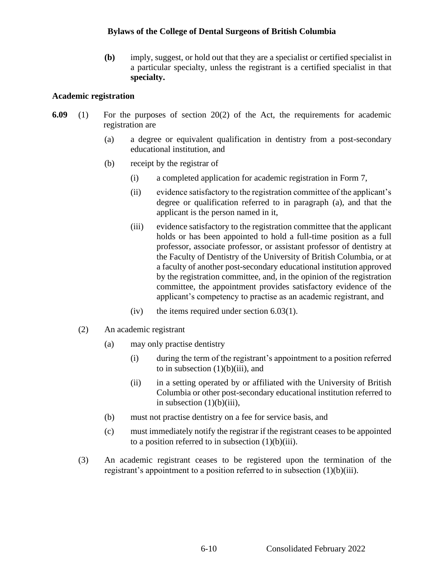**(b)** imply, suggest, or hold out that they are a specialist or certified specialist in a particular specialty, unless the registrant is a certified specialist in that **specialty.**

#### **Academic registration**

- **6.09** (1) For the purposes of section 20(2) of the Act, the requirements for academic registration are
	- (a) a degree or equivalent qualification in dentistry from a post-secondary educational institution, and
	- (b) receipt by the registrar of
		- (i) a completed application for academic registration in Form 7,
		- (ii) evidence satisfactory to the registration committee of the applicant's degree or qualification referred to in paragraph (a), and that the applicant is the person named in it,
		- (iii) evidence satisfactory to the registration committee that the applicant holds or has been appointed to hold a full-time position as a full professor, associate professor, or assistant professor of dentistry at the Faculty of Dentistry of the University of British Columbia, or at a faculty of another post-secondary educational institution approved by the registration committee, and, in the opinion of the registration committee, the appointment provides satisfactory evidence of the applicant's competency to practise as an academic registrant, and
		- (iv) the items required under section 6.03(1).
	- (2) An academic registrant
		- (a) may only practise dentistry
			- (i) during the term of the registrant's appointment to a position referred to in subsection  $(1)(b)(iii)$ , and
			- (ii) in a setting operated by or affiliated with the University of British Columbia or other post-secondary educational institution referred to in subsection  $(1)(b)(iii)$ ,
		- (b) must not practise dentistry on a fee for service basis, and
		- (c) must immediately notify the registrar if the registrant ceases to be appointed to a position referred to in subsection  $(1)(b)(iii)$ .
	- (3) An academic registrant ceases to be registered upon the termination of the registrant's appointment to a position referred to in subsection (1)(b)(iii).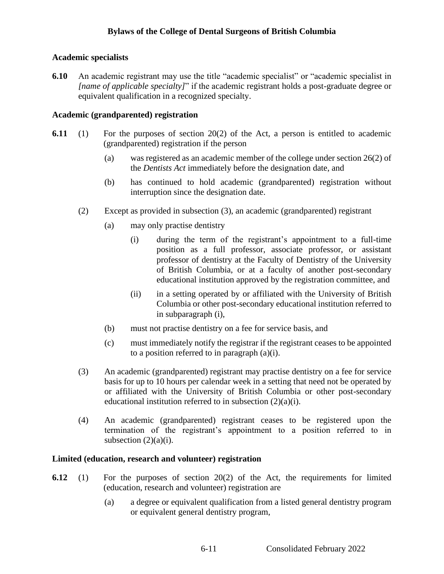# **Academic specialists**

**6.10** An academic registrant may use the title "academic specialist" or "academic specialist in *[name of applicable specialty]*" if the academic registrant holds a post-graduate degree or equivalent qualification in a recognized specialty.

# **Academic (grandparented) registration**

- **6.11** (1) For the purposes of section 20(2) of the Act, a person is entitled to academic (grandparented) registration if the person
	- (a) was registered as an academic member of the college under section 26(2) of the *Dentists Act* immediately before the designation date, and
	- (b) has continued to hold academic (grandparented) registration without interruption since the designation date.
	- (2) Except as provided in subsection (3), an academic (grandparented) registrant
		- (a) may only practise dentistry
			- (i) during the term of the registrant's appointment to a full-time position as a full professor, associate professor, or assistant professor of dentistry at the Faculty of Dentistry of the University of British Columbia, or at a faculty of another post-secondary educational institution approved by the registration committee, and
			- (ii) in a setting operated by or affiliated with the University of British Columbia or other post-secondary educational institution referred to in subparagraph (i),
		- (b) must not practise dentistry on a fee for service basis, and
		- (c) must immediately notify the registrar if the registrant ceases to be appointed to a position referred to in paragraph (a)(i).
	- (3) An academic (grandparented) registrant may practise dentistry on a fee for service basis for up to 10 hours per calendar week in a setting that need not be operated by or affiliated with the University of British Columbia or other post-secondary educational institution referred to in subsection (2)(a)(i).
	- (4) An academic (grandparented) registrant ceases to be registered upon the termination of the registrant's appointment to a position referred to in subsection  $(2)(a)(i)$ .

# **Limited (education, research and volunteer) registration**

- **6.12** (1) For the purposes of section 20(2) of the Act, the requirements for limited (education, research and volunteer) registration are
	- (a) a degree or equivalent qualification from a listed general dentistry program or equivalent general dentistry program,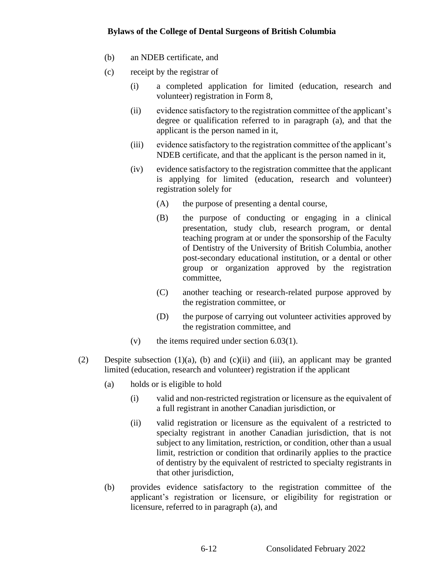- (b) an NDEB certificate, and
- (c) receipt by the registrar of
	- (i) a completed application for limited (education, research and volunteer) registration in Form 8,
	- (ii) evidence satisfactory to the registration committee of the applicant's degree or qualification referred to in paragraph (a), and that the applicant is the person named in it,
	- (iii) evidence satisfactory to the registration committee of the applicant's NDEB certificate, and that the applicant is the person named in it,
	- (iv) evidence satisfactory to the registration committee that the applicant is applying for limited (education, research and volunteer) registration solely for
		- (A) the purpose of presenting a dental course,
		- (B) the purpose of conducting or engaging in a clinical presentation, study club, research program, or dental teaching program at or under the sponsorship of the Faculty of Dentistry of the University of British Columbia, another post-secondary educational institution, or a dental or other group or organization approved by the registration committee,
		- (C) another teaching or research-related purpose approved by the registration committee, or
		- (D) the purpose of carrying out volunteer activities approved by the registration committee, and
	- (v) the items required under section  $6.03(1)$ .
- (2) Despite subsection  $(1)(a)$ , (b) and  $(c)(ii)$  and  $(iii)$ , an applicant may be granted limited (education, research and volunteer) registration if the applicant
	- (a) holds or is eligible to hold
		- (i) valid and non-restricted registration or licensure as the equivalent of a full registrant in another Canadian jurisdiction, or
		- (ii) valid registration or licensure as the equivalent of a restricted to specialty registrant in another Canadian jurisdiction, that is not subject to any limitation, restriction, or condition, other than a usual limit, restriction or condition that ordinarily applies to the practice of dentistry by the equivalent of restricted to specialty registrants in that other jurisdiction,
	- (b) provides evidence satisfactory to the registration committee of the applicant's registration or licensure, or eligibility for registration or licensure, referred to in paragraph (a), and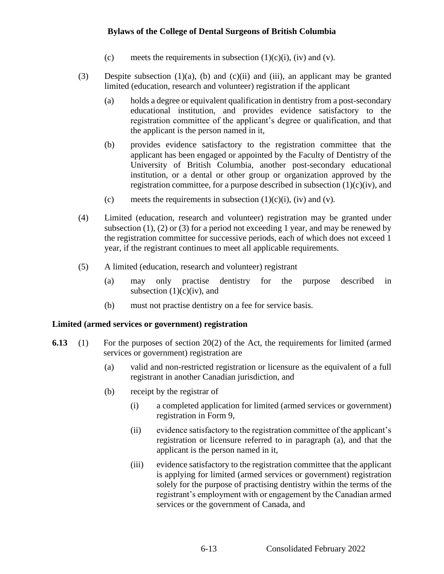- (c) meets the requirements in subsection  $(1)(c)(i)$ ,  $(iv)$  and  $(v)$ .
- (3) Despite subsection  $(1)(a)$ , (b) and  $(c)(ii)$  and  $(iii)$ , an applicant may be granted limited (education, research and volunteer) registration if the applicant
	- (a) holds a degree or equivalent qualification in dentistry from a post-secondary educational institution, and provides evidence satisfactory to the registration committee of the applicant's degree or qualification, and that the applicant is the person named in it,
	- (b) provides evidence satisfactory to the registration committee that the applicant has been engaged or appointed by the Faculty of Dentistry of the University of British Columbia, another post-secondary educational institution, or a dental or other group or organization approved by the registration committee, for a purpose described in subsection  $(1)(c)(iv)$ , and
	- (c) meets the requirements in subsection  $(1)(c)(i)$ , (iv) and (v).
- (4) Limited (education, research and volunteer) registration may be granted under subsection  $(1)$ ,  $(2)$  or  $(3)$  for a period not exceeding 1 year, and may be renewed by the registration committee for successive periods, each of which does not exceed 1 year, if the registrant continues to meet all applicable requirements.
- (5) A limited (education, research and volunteer) registrant
	- (a) may only practise dentistry for the purpose described in subsection  $(1)(c)(iv)$ , and
	- (b) must not practise dentistry on a fee for service basis.

# **Limited (armed services or government) registration**

- **6.13** (1) For the purposes of section 20(2) of the Act, the requirements for limited (armed services or government) registration are
	- (a) valid and non-restricted registration or licensure as the equivalent of a full registrant in another Canadian jurisdiction, and
	- (b) receipt by the registrar of
		- (i) a completed application for limited (armed services or government) registration in Form 9,
		- (ii) evidence satisfactory to the registration committee of the applicant's registration or licensure referred to in paragraph (a), and that the applicant is the person named in it,
		- (iii) evidence satisfactory to the registration committee that the applicant is applying for limited (armed services or government) registration solely for the purpose of practising dentistry within the terms of the registrant's employment with or engagement by the Canadian armed services or the government of Canada, and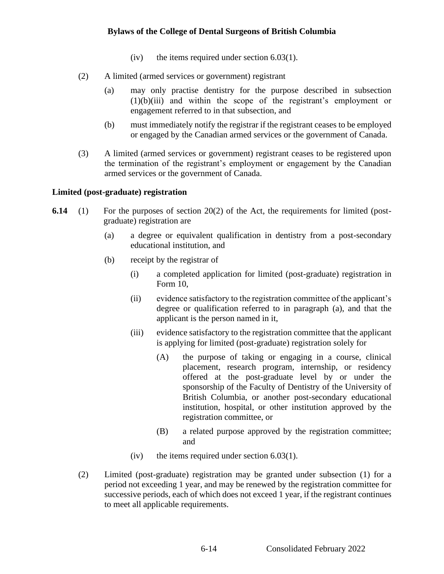- (iv) the items required under section 6.03(1).
- (2) A limited (armed services or government) registrant
	- (a) may only practise dentistry for the purpose described in subsection  $(1)(b)(iii)$  and within the scope of the registrant's employment or engagement referred to in that subsection, and
	- (b) must immediately notify the registrar if the registrant ceases to be employed or engaged by the Canadian armed services or the government of Canada.
- (3) A limited (armed services or government) registrant ceases to be registered upon the termination of the registrant's employment or engagement by the Canadian armed services or the government of Canada.

### **Limited (post-graduate) registration**

- **6.14** (1) For the purposes of section 20(2) of the Act, the requirements for limited (postgraduate) registration are
	- (a) a degree or equivalent qualification in dentistry from a post-secondary educational institution, and
	- (b) receipt by the registrar of
		- (i) a completed application for limited (post-graduate) registration in Form 10,
		- (ii) evidence satisfactory to the registration committee of the applicant's degree or qualification referred to in paragraph (a), and that the applicant is the person named in it,
		- (iii) evidence satisfactory to the registration committee that the applicant is applying for limited (post-graduate) registration solely for
			- (A) the purpose of taking or engaging in a course, clinical placement, research program, internship, or residency offered at the post-graduate level by or under the sponsorship of the Faculty of Dentistry of the University of British Columbia, or another post-secondary educational institution, hospital, or other institution approved by the registration committee, or
			- (B) a related purpose approved by the registration committee; and
		- (iv) the items required under section 6.03(1).
	- (2) Limited (post-graduate) registration may be granted under subsection (1) for a period not exceeding 1 year, and may be renewed by the registration committee for successive periods, each of which does not exceed 1 year, if the registrant continues to meet all applicable requirements.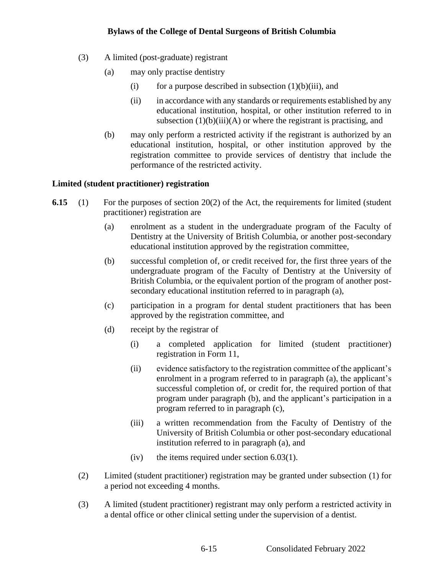- (3) A limited (post-graduate) registrant
	- (a) may only practise dentistry
		- (i) for a purpose described in subsection  $(1)(b)(iii)$ , and
		- (ii) in accordance with any standards or requirements established by any educational institution, hospital, or other institution referred to in subsection  $(1)(b)(iii)(A)$  or where the registrant is practising, and
	- (b) may only perform a restricted activity if the registrant is authorized by an educational institution, hospital, or other institution approved by the registration committee to provide services of dentistry that include the performance of the restricted activity.

# **Limited (student practitioner) registration**

- **6.15** (1) For the purposes of section 20(2) of the Act, the requirements for limited (student practitioner) registration are
	- (a) enrolment as a student in the undergraduate program of the Faculty of Dentistry at the University of British Columbia, or another post-secondary educational institution approved by the registration committee,
	- (b) successful completion of, or credit received for, the first three years of the undergraduate program of the Faculty of Dentistry at the University of British Columbia, or the equivalent portion of the program of another postsecondary educational institution referred to in paragraph (a),
	- (c) participation in a program for dental student practitioners that has been approved by the registration committee, and
	- (d) receipt by the registrar of
		- (i) a completed application for limited (student practitioner) registration in Form 11,
		- (ii) evidence satisfactory to the registration committee of the applicant's enrolment in a program referred to in paragraph (a), the applicant's successful completion of, or credit for, the required portion of that program under paragraph (b), and the applicant's participation in a program referred to in paragraph (c),
		- (iii) a written recommendation from the Faculty of Dentistry of the University of British Columbia or other post-secondary educational institution referred to in paragraph (a), and
		- $(iv)$  the items required under section 6.03(1).
	- (2) Limited (student practitioner) registration may be granted under subsection (1) for a period not exceeding 4 months.
	- (3) A limited (student practitioner) registrant may only perform a restricted activity in a dental office or other clinical setting under the supervision of a dentist.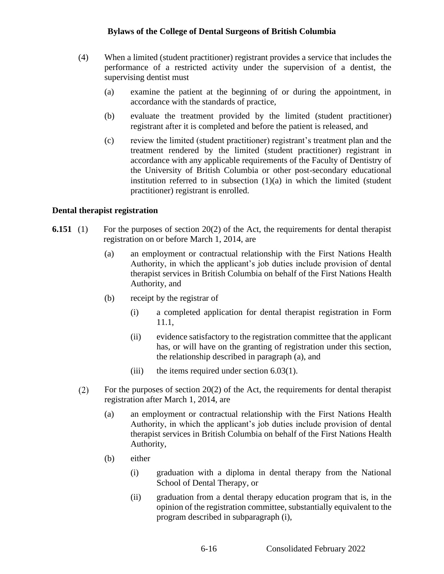- (4) When a limited (student practitioner) registrant provides a service that includes the performance of a restricted activity under the supervision of a dentist, the supervising dentist must
	- (a) examine the patient at the beginning of or during the appointment, in accordance with the standards of practice,
	- (b) evaluate the treatment provided by the limited (student practitioner) registrant after it is completed and before the patient is released, and
	- (c) review the limited (student practitioner) registrant's treatment plan and the treatment rendered by the limited (student practitioner) registrant in accordance with any applicable requirements of the Faculty of Dentistry of the University of British Columbia or other post-secondary educational institution referred to in subsection  $(1)(a)$  in which the limited (student practitioner) registrant is enrolled.

#### **Dental therapist registration**

- **6.151** (1) For the purposes of section 20(2) of the Act, the requirements for dental therapist registration on or before March 1, 2014, are
	- (a) an employment or contractual relationship with the First Nations Health Authority, in which the applicant's job duties include provision of dental therapist services in British Columbia on behalf of the First Nations Health Authority, and
	- (b) receipt by the registrar of
		- (i) a completed application for dental therapist registration in Form 11.1,
		- (ii) evidence satisfactory to the registration committee that the applicant has, or will have on the granting of registration under this section, the relationship described in paragraph (a), and
		- (iii) the items required under section  $6.03(1)$ .
	- $(2)$ For the purposes of section 20(2) of the Act, the requirements for dental therapist registration after March 1, 2014, are
		- (a) an employment or contractual relationship with the First Nations Health Authority, in which the applicant's job duties include provision of dental therapist services in British Columbia on behalf of the First Nations Health Authority,
		- (b) either
			- (i) graduation with a diploma in dental therapy from the National School of Dental Therapy, or
			- (ii) graduation from a dental therapy education program that is, in the opinion of the registration committee, substantially equivalent to the program described in subparagraph (i),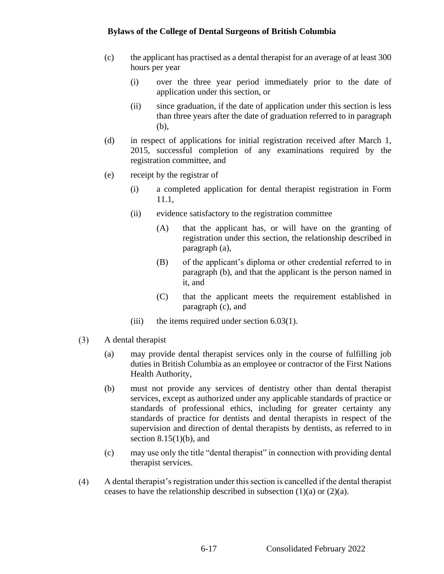- (c) the applicant has practised as a dental therapist for an average of at least 300 hours per year
	- (i) over the three year period immediately prior to the date of application under this section, or
	- (ii) since graduation, if the date of application under this section is less than three years after the date of graduation referred to in paragraph (b),
- (d) in respect of applications for initial registration received after March 1, 2015, successful completion of any examinations required by the registration committee, and
- (e) receipt by the registrar of
	- (i) a completed application for dental therapist registration in Form 11.1,
	- (ii) evidence satisfactory to the registration committee
		- (A) that the applicant has, or will have on the granting of registration under this section, the relationship described in paragraph (a),
		- (B) of the applicant's diploma or other credential referred to in paragraph (b), and that the applicant is the person named in it, and
		- (C) that the applicant meets the requirement established in paragraph (c), and
	- (iii) the items required under section  $6.03(1)$ .
- $(3)$ A dental therapist
	- (a) may provide dental therapist services only in the course of fulfilling job duties in British Columbia as an employee or contractor of the First Nations Health Authority,
	- (b) must not provide any services of dentistry other than dental therapist services, except as authorized under any applicable standards of practice or standards of professional ethics, including for greater certainty any standards of practice for dentists and dental therapists in respect of the supervision and direction of dental therapists by dentists, as referred to in section  $8.15(1)(b)$ , and
	- (c) may use only the title "dental therapist" in connection with providing dental therapist services.
- $(4)$ A dental therapist's registration under this section is cancelled if the dental therapist ceases to have the relationship described in subsection  $(1)(a)$  or  $(2)(a)$ .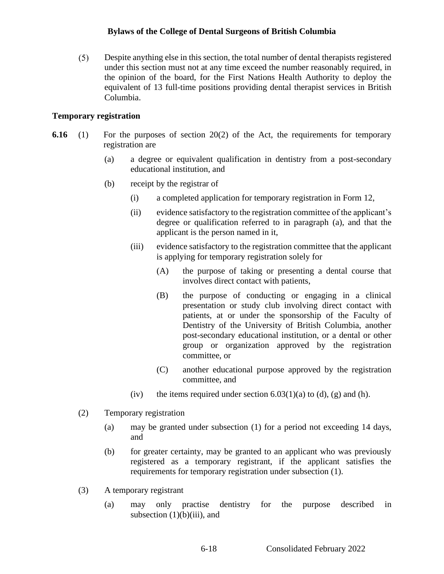$(5)$ Despite anything else in this section, the total number of dental therapists registered under this section must not at any time exceed the number reasonably required, in the opinion of the board, for the First Nations Health Authority to deploy the equivalent of 13 full-time positions providing dental therapist services in British Columbia.

#### **Temporary registration**

- **6.16** (1) For the purposes of section 20(2) of the Act, the requirements for temporary registration are
	- (a) a degree or equivalent qualification in dentistry from a post-secondary educational institution, and
	- (b) receipt by the registrar of
		- (i) a completed application for temporary registration in Form 12,
		- (ii) evidence satisfactory to the registration committee of the applicant's degree or qualification referred to in paragraph (a), and that the applicant is the person named in it,
		- (iii) evidence satisfactory to the registration committee that the applicant is applying for temporary registration solely for
			- (A) the purpose of taking or presenting a dental course that involves direct contact with patients,
			- (B) the purpose of conducting or engaging in a clinical presentation or study club involving direct contact with patients, at or under the sponsorship of the Faculty of Dentistry of the University of British Columbia, another post-secondary educational institution, or a dental or other group or organization approved by the registration committee, or
			- (C) another educational purpose approved by the registration committee, and
		- (iv) the items required under section  $6.03(1)(a)$  to (d), (g) and (h).
	- (2) Temporary registration
		- (a) may be granted under subsection (1) for a period not exceeding 14 days, and
		- (b) for greater certainty, may be granted to an applicant who was previously registered as a temporary registrant, if the applicant satisfies the requirements for temporary registration under subsection (1).
	- (3) A temporary registrant
		- (a) may only practise dentistry for the purpose described in subsection  $(1)(b)(iii)$ , and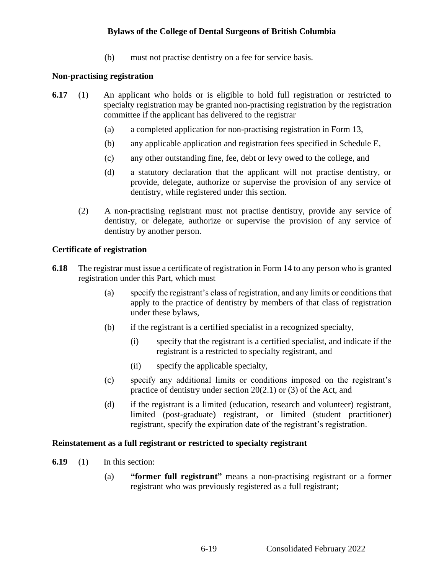(b) must not practise dentistry on a fee for service basis.

### **Non-practising registration**

- **6.17** (1) An applicant who holds or is eligible to hold full registration or restricted to specialty registration may be granted non-practising registration by the registration committee if the applicant has delivered to the registrar
	- (a) a completed application for non-practising registration in Form 13,
	- (b) any applicable application and registration fees specified in Schedule E,
	- (c) any other outstanding fine, fee, debt or levy owed to the college, and
	- (d) a statutory declaration that the applicant will not practise dentistry, or provide, delegate, authorize or supervise the provision of any service of dentistry, while registered under this section.
	- (2) A non-practising registrant must not practise dentistry, provide any service of dentistry, or delegate, authorize or supervise the provision of any service of dentistry by another person.

### **Certificate of registration**

- **6.18** The registrar must issue a certificate of registration in Form 14 to any person who is granted registration under this Part, which must
	- (a) specify the registrant's class of registration, and any limits or conditions that apply to the practice of dentistry by members of that class of registration under these bylaws,
	- (b) if the registrant is a certified specialist in a recognized specialty,
		- (i) specify that the registrant is a certified specialist, and indicate if the registrant is a restricted to specialty registrant, and
		- (ii) specify the applicable specialty,
	- (c) specify any additional limits or conditions imposed on the registrant's practice of dentistry under section 20(2.1) or (3) of the Act, and
	- (d) if the registrant is a limited (education, research and volunteer) registrant, limited (post-graduate) registrant, or limited (student practitioner) registrant, specify the expiration date of the registrant's registration.

#### **Reinstatement as a full registrant or restricted to specialty registrant**

- **6.19** (1) In this section:
	- (a) **"former full registrant"** means a non-practising registrant or a former registrant who was previously registered as a full registrant;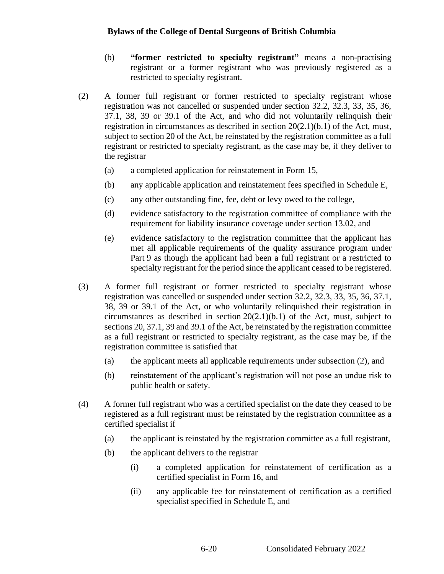- (b) **"former restricted to specialty registrant"** means a non-practising registrant or a former registrant who was previously registered as a restricted to specialty registrant.
- (2) A former full registrant or former restricted to specialty registrant whose registration was not cancelled or suspended under section 32.2, 32.3, 33, 35, 36, 37.1, 38, 39 or 39.1 of the Act, and who did not voluntarily relinquish their registration in circumstances as described in section  $20(2.1)(b.1)$  of the Act, must, subject to section 20 of the Act, be reinstated by the registration committee as a full registrant or restricted to specialty registrant, as the case may be, if they deliver to the registrar
	- (a) a completed application for reinstatement in Form 15,
	- (b) any applicable application and reinstatement fees specified in Schedule E,
	- (c) any other outstanding fine, fee, debt or levy owed to the college,
	- (d) evidence satisfactory to the registration committee of compliance with the requirement for liability insurance coverage under section 13.02, and
	- (e) evidence satisfactory to the registration committee that the applicant has met all applicable requirements of the quality assurance program under Part 9 as though the applicant had been a full registrant or a restricted to specialty registrant for the period since the applicant ceased to be registered.
- (3) A former full registrant or former restricted to specialty registrant whose registration was cancelled or suspended under section 32.2, 32.3, 33, 35, 36, 37.1, 38, 39 or 39.1 of the Act, or who voluntarily relinquished their registration in circumstances as described in section 20(2.1)(b.1) of the Act, must, subject to sections 20, 37.1, 39 and 39.1 of the Act, be reinstated by the registration committee as a full registrant or restricted to specialty registrant, as the case may be, if the registration committee is satisfied that
	- (a) the applicant meets all applicable requirements under subsection (2), and
	- (b) reinstatement of the applicant's registration will not pose an undue risk to public health or safety.
- (4) A former full registrant who was a certified specialist on the date they ceased to be registered as a full registrant must be reinstated by the registration committee as a certified specialist if
	- (a) the applicant is reinstated by the registration committee as a full registrant,
	- (b) the applicant delivers to the registrar
		- (i) a completed application for reinstatement of certification as a certified specialist in Form 16, and
		- (ii) any applicable fee for reinstatement of certification as a certified specialist specified in Schedule E, and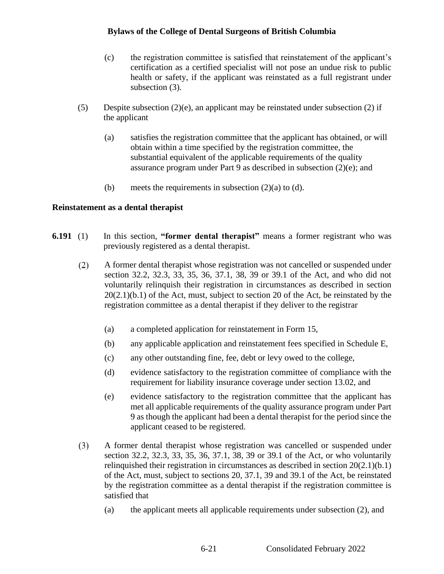- (c) the registration committee is satisfied that reinstatement of the applicant's certification as a certified specialist will not pose an undue risk to public health or safety, if the applicant was reinstated as a full registrant under subsection (3).
- (5) Despite subsection (2)(e), an applicant may be reinstated under subsection (2) if the applicant
	- (a) satisfies the registration committee that the applicant has obtained, or will obtain within a time specified by the registration committee, the substantial equivalent of the applicable requirements of the quality assurance program under Part 9 as described in subsection (2)(e); and
	- (b) meets the requirements in subsection  $(2)(a)$  to  $(d)$ .

### **Reinstatement as a dental therapist**

- **6.191** (1) In this section, **"former dental therapist"** means a former registrant who was previously registered as a dental therapist.
	- $(2)$ A former dental therapist whose registration was not cancelled or suspended under section 32.2, 32.3, 33, 35, 36, 37.1, 38, 39 or 39.1 of the Act, and who did not voluntarily relinquish their registration in circumstances as described in section 20(2.1)(b.1) of the Act, must, subject to section 20 of the Act, be reinstated by the registration committee as a dental therapist if they deliver to the registrar
		- (a) a completed application for reinstatement in Form 15,
		- (b) any applicable application and reinstatement fees specified in Schedule E,
		- (c) any other outstanding fine, fee, debt or levy owed to the college,
		- (d) evidence satisfactory to the registration committee of compliance with the requirement for liability insurance coverage under section 13.02, and
		- (e) evidence satisfactory to the registration committee that the applicant has met all applicable requirements of the quality assurance program under Part 9 as though the applicant had been a dental therapist for the period since the applicant ceased to be registered.
	- $(3)$ A former dental therapist whose registration was cancelled or suspended under section 32.2, 32.3, 33, 35, 36, 37.1, 38, 39 or 39.1 of the Act, or who voluntarily relinquished their registration in circumstances as described in section 20(2.1)(b.1) of the Act, must, subject to sections 20, 37.1, 39 and 39.1 of the Act, be reinstated by the registration committee as a dental therapist if the registration committee is satisfied that
		- (a) the applicant meets all applicable requirements under subsection (2), and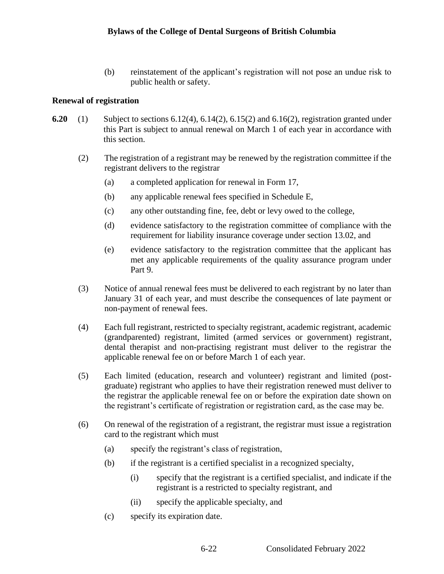(b) reinstatement of the applicant's registration will not pose an undue risk to public health or safety.

# **Renewal of registration**

- **6.20** (1) Subject to sections 6.12(4), 6.14(2), 6.15(2) and 6.16(2), registration granted under this Part is subject to annual renewal on March 1 of each year in accordance with this section.
	- (2) The registration of a registrant may be renewed by the registration committee if the registrant delivers to the registrar
		- (a) a completed application for renewal in Form 17,
		- (b) any applicable renewal fees specified in Schedule E,
		- (c) any other outstanding fine, fee, debt or levy owed to the college,
		- (d) evidence satisfactory to the registration committee of compliance with the requirement for liability insurance coverage under section 13.02, and
		- (e) evidence satisfactory to the registration committee that the applicant has met any applicable requirements of the quality assurance program under Part 9.
	- (3) Notice of annual renewal fees must be delivered to each registrant by no later than January 31 of each year, and must describe the consequences of late payment or non-payment of renewal fees.
	- (4) Each full registrant, restricted to specialty registrant, academic registrant, academic (grandparented) registrant, limited (armed services or government) registrant, dental therapist and non-practising registrant must deliver to the registrar the applicable renewal fee on or before March 1 of each year.
	- (5) Each limited (education, research and volunteer) registrant and limited (postgraduate) registrant who applies to have their registration renewed must deliver to the registrar the applicable renewal fee on or before the expiration date shown on the registrant's certificate of registration or registration card, as the case may be.
	- (6) On renewal of the registration of a registrant, the registrar must issue a registration card to the registrant which must
		- (a) specify the registrant's class of registration,
		- (b) if the registrant is a certified specialist in a recognized specialty,
			- (i) specify that the registrant is a certified specialist, and indicate if the registrant is a restricted to specialty registrant, and
			- (ii) specify the applicable specialty, and
		- (c) specify its expiration date.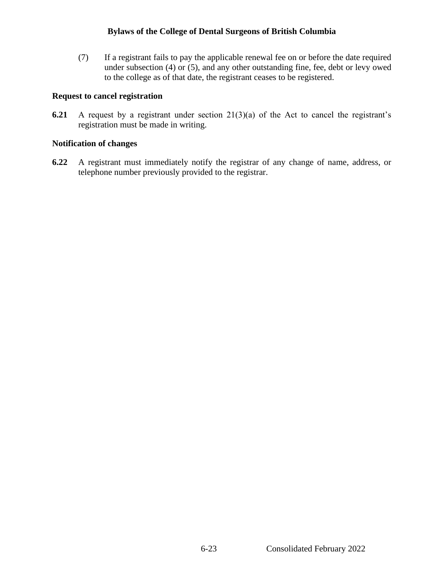(7) If a registrant fails to pay the applicable renewal fee on or before the date required under subsection (4) or (5), and any other outstanding fine, fee, debt or levy owed to the college as of that date, the registrant ceases to be registered.

#### **Request to cancel registration**

**6.21** A request by a registrant under section 21(3)(a) of the Act to cancel the registrant's registration must be made in writing.

### **Notification of changes**

**6.22** A registrant must immediately notify the registrar of any change of name, address, or telephone number previously provided to the registrar.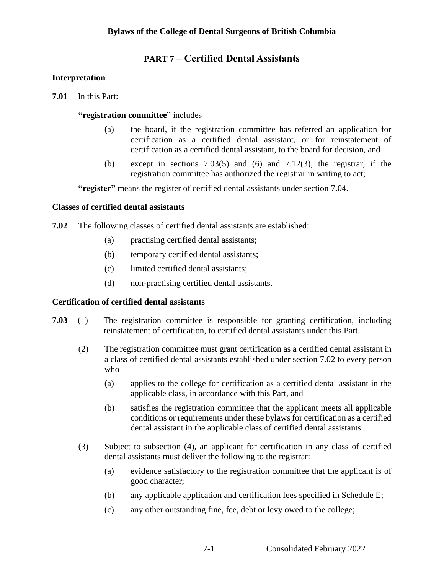# **PART 7** – **Certified Dental Assistants**

### **Interpretation**

**7.01** In this Part:

### **"registration committee**" includes

- (a) the board, if the registration committee has referred an application for certification as a certified dental assistant, or for reinstatement of certification as a certified dental assistant, to the board for decision, and
- (b) except in sections  $7.03(5)$  and  $(6)$  and  $7.12(3)$ , the registrar, if the registration committee has authorized the registrar in writing to act;

**"register"** means the register of certified dental assistants under section 7.04.

### **Classes of certified dental assistants**

- **7.02** The following classes of certified dental assistants are established:
	- (a) practising certified dental assistants;
	- (b) temporary certified dental assistants;
	- (c) limited certified dental assistants;
	- (d) non-practising certified dental assistants.

#### **Certification of certified dental assistants**

- **7.03** (1) The registration committee is responsible for granting certification, including reinstatement of certification, to certified dental assistants under this Part.
	- (2) The registration committee must grant certification as a certified dental assistant in a class of certified dental assistants established under section 7.02 to every person who
		- (a) applies to the college for certification as a certified dental assistant in the applicable class, in accordance with this Part, and
		- (b) satisfies the registration committee that the applicant meets all applicable conditions or requirements under these bylaws for certification as a certified dental assistant in the applicable class of certified dental assistants.
	- (3) Subject to subsection (4), an applicant for certification in any class of certified dental assistants must deliver the following to the registrar:
		- (a) evidence satisfactory to the registration committee that the applicant is of good character;
		- (b) any applicable application and certification fees specified in Schedule E;
		- (c) any other outstanding fine, fee, debt or levy owed to the college;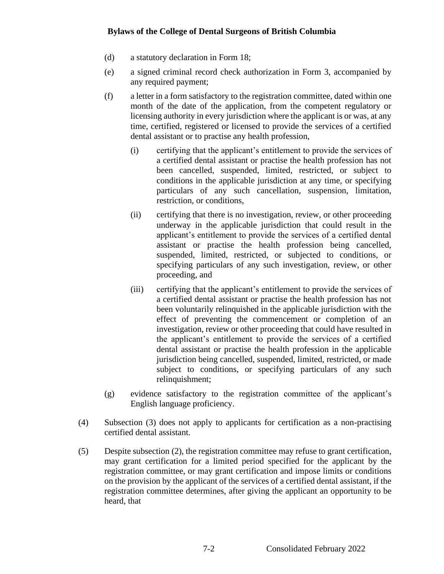- (d) a statutory declaration in Form 18;
- (e) a signed criminal record check authorization in Form 3, accompanied by any required payment;
- (f) a letter in a form satisfactory to the registration committee, dated within one month of the date of the application, from the competent regulatory or licensing authority in every jurisdiction where the applicant is or was, at any time, certified, registered or licensed to provide the services of a certified dental assistant or to practise any health profession,
	- (i) certifying that the applicant's entitlement to provide the services of a certified dental assistant or practise the health profession has not been cancelled, suspended, limited, restricted, or subject to conditions in the applicable jurisdiction at any time, or specifying particulars of any such cancellation, suspension, limitation, restriction, or conditions,
	- (ii) certifying that there is no investigation, review, or other proceeding underway in the applicable jurisdiction that could result in the applicant's entitlement to provide the services of a certified dental assistant or practise the health profession being cancelled, suspended, limited, restricted, or subjected to conditions, or specifying particulars of any such investigation, review, or other proceeding, and
	- (iii) certifying that the applicant's entitlement to provide the services of a certified dental assistant or practise the health profession has not been voluntarily relinquished in the applicable jurisdiction with the effect of preventing the commencement or completion of an investigation, review or other proceeding that could have resulted in the applicant's entitlement to provide the services of a certified dental assistant or practise the health profession in the applicable jurisdiction being cancelled, suspended, limited, restricted, or made subject to conditions, or specifying particulars of any such relinquishment;
- (g) evidence satisfactory to the registration committee of the applicant's English language proficiency.
- (4) Subsection (3) does not apply to applicants for certification as a non-practising certified dental assistant.
- (5) Despite subsection (2), the registration committee may refuse to grant certification, may grant certification for a limited period specified for the applicant by the registration committee, or may grant certification and impose limits or conditions on the provision by the applicant of the services of a certified dental assistant, if the registration committee determines, after giving the applicant an opportunity to be heard, that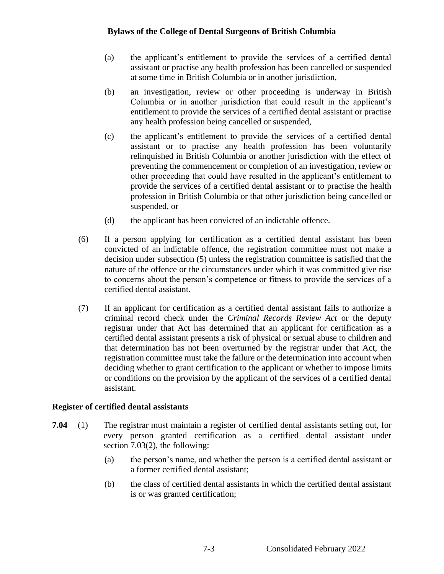- (a) the applicant's entitlement to provide the services of a certified dental assistant or practise any health profession has been cancelled or suspended at some time in British Columbia or in another jurisdiction,
- (b) an investigation, review or other proceeding is underway in British Columbia or in another jurisdiction that could result in the applicant's entitlement to provide the services of a certified dental assistant or practise any health profession being cancelled or suspended,
- (c) the applicant's entitlement to provide the services of a certified dental assistant or to practise any health profession has been voluntarily relinquished in British Columbia or another jurisdiction with the effect of preventing the commencement or completion of an investigation, review or other proceeding that could have resulted in the applicant's entitlement to provide the services of a certified dental assistant or to practise the health profession in British Columbia or that other jurisdiction being cancelled or suspended, or
- (d) the applicant has been convicted of an indictable offence.
- (6) If a person applying for certification as a certified dental assistant has been convicted of an indictable offence, the registration committee must not make a decision under subsection (5) unless the registration committee is satisfied that the nature of the offence or the circumstances under which it was committed give rise to concerns about the person's competence or fitness to provide the services of a certified dental assistant.
- (7) If an applicant for certification as a certified dental assistant fails to authorize a criminal record check under the *Criminal Records Review Act* or the deputy registrar under that Act has determined that an applicant for certification as a certified dental assistant presents a risk of physical or sexual abuse to children and that determination has not been overturned by the registrar under that Act, the registration committee must take the failure or the determination into account when deciding whether to grant certification to the applicant or whether to impose limits or conditions on the provision by the applicant of the services of a certified dental assistant.

# **Register of certified dental assistants**

- **7.04** (1) The registrar must maintain a register of certified dental assistants setting out, for every person granted certification as a certified dental assistant under section 7.03(2), the following:
	- (a) the person's name, and whether the person is a certified dental assistant or a former certified dental assistant;
	- (b) the class of certified dental assistants in which the certified dental assistant is or was granted certification;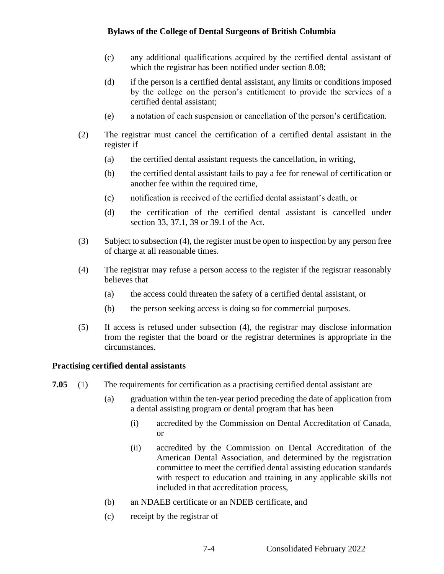- (c) any additional qualifications acquired by the certified dental assistant of which the registrar has been notified under section 8.08;
- (d) if the person is a certified dental assistant, any limits or conditions imposed by the college on the person's entitlement to provide the services of a certified dental assistant;
- (e) a notation of each suspension or cancellation of the person's certification.
- (2) The registrar must cancel the certification of a certified dental assistant in the register if
	- (a) the certified dental assistant requests the cancellation, in writing,
	- (b) the certified dental assistant fails to pay a fee for renewal of certification or another fee within the required time,
	- (c) notification is received of the certified dental assistant's death, or
	- (d) the certification of the certified dental assistant is cancelled under section 33, 37.1, 39 or 39.1 of the Act.
- (3) Subject to subsection (4), the register must be open to inspection by any person free of charge at all reasonable times.
- (4) The registrar may refuse a person access to the register if the registrar reasonably believes that
	- (a) the access could threaten the safety of a certified dental assistant, or
	- (b) the person seeking access is doing so for commercial purposes.
- (5) If access is refused under subsection (4), the registrar may disclose information from the register that the board or the registrar determines is appropriate in the circumstances.

#### **Practising certified dental assistants**

- **7.05** (1) The requirements for certification as a practising certified dental assistant are
	- (a) graduation within the ten-year period preceding the date of application from a dental assisting program or dental program that has been
		- (i) accredited by the Commission on Dental Accreditation of Canada, or
		- (ii) accredited by the Commission on Dental Accreditation of the American Dental Association, and determined by the registration committee to meet the certified dental assisting education standards with respect to education and training in any applicable skills not included in that accreditation process,
	- (b) an NDAEB certificate or an NDEB certificate, and
	- (c) receipt by the registrar of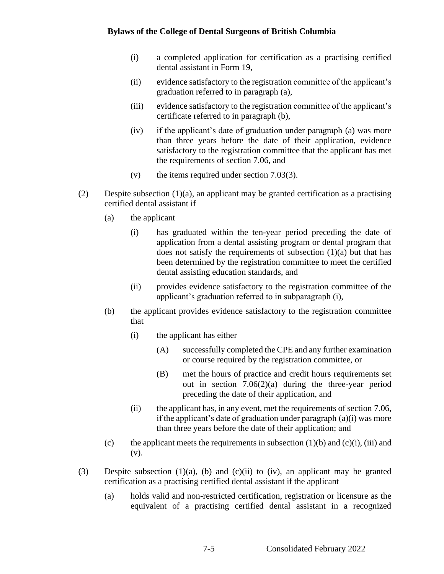- (i) a completed application for certification as a practising certified dental assistant in Form 19,
- (ii) evidence satisfactory to the registration committee of the applicant's graduation referred to in paragraph (a),
- (iii) evidence satisfactory to the registration committee of the applicant's certificate referred to in paragraph (b),
- (iv) if the applicant's date of graduation under paragraph (a) was more than three years before the date of their application, evidence satisfactory to the registration committee that the applicant has met the requirements of section 7.06, and
- (v) the items required under section 7.03(3).
- (2) Despite subsection (1)(a), an applicant may be granted certification as a practising certified dental assistant if
	- (a) the applicant
		- (i) has graduated within the ten-year period preceding the date of application from a dental assisting program or dental program that does not satisfy the requirements of subsection (1)(a) but that has been determined by the registration committee to meet the certified dental assisting education standards, and
		- (ii) provides evidence satisfactory to the registration committee of the applicant's graduation referred to in subparagraph (i),
	- (b) the applicant provides evidence satisfactory to the registration committee that
		- (i) the applicant has either
			- (A) successfully completed the CPE and any further examination or course required by the registration committee, or
			- (B) met the hours of practice and credit hours requirements set out in section  $7.06(2)(a)$  during the three-year period preceding the date of their application, and
		- (ii) the applicant has, in any event, met the requirements of section 7.06, if the applicant's date of graduation under paragraph (a)(i) was more than three years before the date of their application; and
	- (c) the applicant meets the requirements in subsection  $(1)(b)$  and  $(c)(i)$ , (iii) and (v).
- (3) Despite subsection (1)(a), (b) and (c)(ii) to (iv), an applicant may be granted certification as a practising certified dental assistant if the applicant
	- (a) holds valid and non-restricted certification, registration or licensure as the equivalent of a practising certified dental assistant in a recognized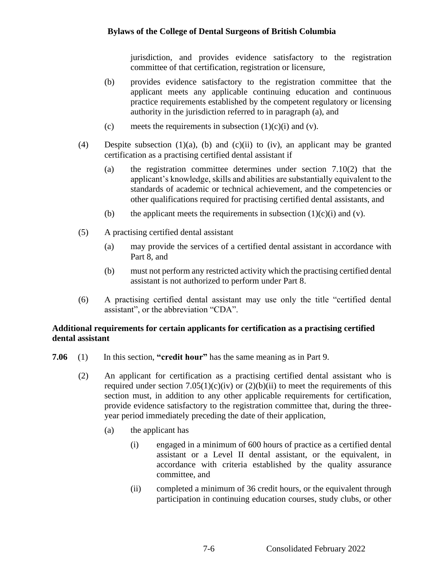jurisdiction, and provides evidence satisfactory to the registration committee of that certification, registration or licensure,

- (b) provides evidence satisfactory to the registration committee that the applicant meets any applicable continuing education and continuous practice requirements established by the competent regulatory or licensing authority in the jurisdiction referred to in paragraph (a), and
- (c) meets the requirements in subsection  $(1)(c)(i)$  and  $(v)$ .
- (4) Despite subsection (1)(a), (b) and (c)(ii) to (iv), an applicant may be granted certification as a practising certified dental assistant if
	- (a) the registration committee determines under section 7.10(2) that the applicant's knowledge, skills and abilities are substantially equivalent to the standards of academic or technical achievement, and the competencies or other qualifications required for practising certified dental assistants, and
	- (b) the applicant meets the requirements in subsection  $(1)(c)(i)$  and  $(v)$ .
- (5) A practising certified dental assistant
	- (a) may provide the services of a certified dental assistant in accordance with Part 8, and
	- (b) must not perform any restricted activity which the practising certified dental assistant is not authorized to perform under Part 8.
- (6) A practising certified dental assistant may use only the title "certified dental assistant", or the abbreviation "CDA".

# **Additional requirements for certain applicants for certification as a practising certified dental assistant**

- **7.06** (1) In this section, **"credit hour"** has the same meaning as in Part 9.
	- (2) An applicant for certification as a practising certified dental assistant who is required under section  $7.05(1)(c)(iv)$  or  $(2)(b)(ii)$  to meet the requirements of this section must, in addition to any other applicable requirements for certification, provide evidence satisfactory to the registration committee that, during the threeyear period immediately preceding the date of their application,
		- (a) the applicant has
			- (i) engaged in a minimum of 600 hours of practice as a certified dental assistant or a Level II dental assistant, or the equivalent, in accordance with criteria established by the quality assurance committee, and
			- (ii) completed a minimum of 36 credit hours, or the equivalent through participation in continuing education courses, study clubs, or other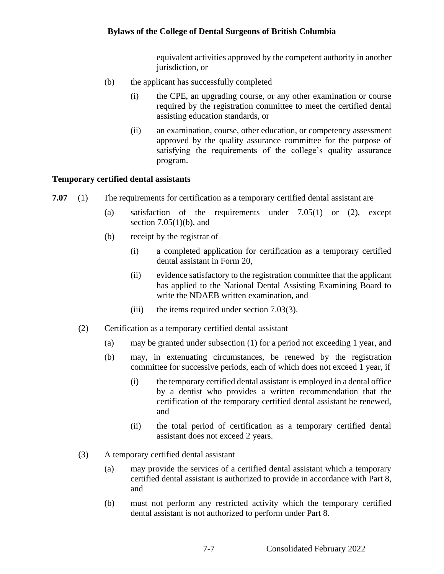equivalent activities approved by the competent authority in another jurisdiction, or

- (b) the applicant has successfully completed
	- (i) the CPE, an upgrading course, or any other examination or course required by the registration committee to meet the certified dental assisting education standards, or
	- (ii) an examination, course, other education, or competency assessment approved by the quality assurance committee for the purpose of satisfying the requirements of the college's quality assurance program.

#### **Temporary certified dental assistants**

- **7.07** (1) The requirements for certification as a temporary certified dental assistant are
	- (a) satisfaction of the requirements under 7.05(1) or (2), except section  $7.05(1)(b)$ , and
	- (b) receipt by the registrar of
		- (i) a completed application for certification as a temporary certified dental assistant in Form 20,
		- (ii) evidence satisfactory to the registration committee that the applicant has applied to the National Dental Assisting Examining Board to write the NDAEB written examination, and
		- (iii) the items required under section 7.03(3).
	- (2) Certification as a temporary certified dental assistant
		- (a) may be granted under subsection (1) for a period not exceeding 1 year, and
		- (b) may, in extenuating circumstances, be renewed by the registration committee for successive periods, each of which does not exceed 1 year, if
			- (i) the temporary certified dental assistant is employed in a dental office by a dentist who provides a written recommendation that the certification of the temporary certified dental assistant be renewed, and
			- (ii) the total period of certification as a temporary certified dental assistant does not exceed 2 years.
	- (3) A temporary certified dental assistant
		- (a) may provide the services of a certified dental assistant which a temporary certified dental assistant is authorized to provide in accordance with Part 8, and
		- (b) must not perform any restricted activity which the temporary certified dental assistant is not authorized to perform under Part 8.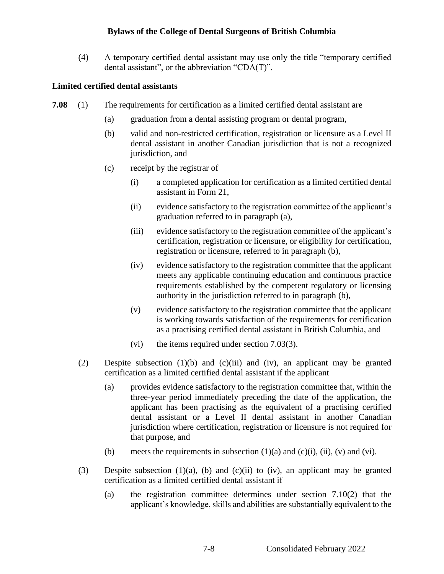(4) A temporary certified dental assistant may use only the title "temporary certified dental assistant", or the abbreviation "CDA(T)".

## **Limited certified dental assistants**

- **7.08** (1) The requirements for certification as a limited certified dental assistant are
	- (a) graduation from a dental assisting program or dental program,
	- (b) valid and non-restricted certification, registration or licensure as a Level II dental assistant in another Canadian jurisdiction that is not a recognized jurisdiction, and
	- (c) receipt by the registrar of
		- (i) a completed application for certification as a limited certified dental assistant in Form 21,
		- (ii) evidence satisfactory to the registration committee of the applicant's graduation referred to in paragraph (a),
		- (iii) evidence satisfactory to the registration committee of the applicant's certification, registration or licensure, or eligibility for certification, registration or licensure, referred to in paragraph (b),
		- (iv) evidence satisfactory to the registration committee that the applicant meets any applicable continuing education and continuous practice requirements established by the competent regulatory or licensing authority in the jurisdiction referred to in paragraph (b),
		- (v) evidence satisfactory to the registration committee that the applicant is working towards satisfaction of the requirements for certification as a practising certified dental assistant in British Columbia, and
		- (vi) the items required under section 7.03(3).
	- (2) Despite subsection (1)(b) and (c)(iii) and (iv), an applicant may be granted certification as a limited certified dental assistant if the applicant
		- (a) provides evidence satisfactory to the registration committee that, within the three-year period immediately preceding the date of the application, the applicant has been practising as the equivalent of a practising certified dental assistant or a Level II dental assistant in another Canadian jurisdiction where certification, registration or licensure is not required for that purpose, and
		- (b) meets the requirements in subsection  $(1)(a)$  and  $(c)(i)$ ,  $(ii)$ ,  $(v)$  and  $(vi)$ .
	- (3) Despite subsection (1)(a), (b) and (c)(ii) to (iv), an applicant may be granted certification as a limited certified dental assistant if
		- (a) the registration committee determines under section 7.10(2) that the applicant's knowledge, skills and abilities are substantially equivalent to the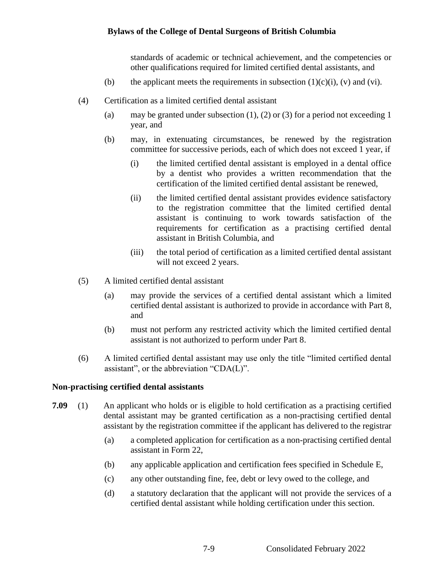standards of academic or technical achievement, and the competencies or other qualifications required for limited certified dental assistants, and

- (b) the applicant meets the requirements in subsection  $(1)(c)(i)$ ,  $(v)$  and  $(vi)$ .
- (4) Certification as a limited certified dental assistant
	- (a) may be granted under subsection  $(1)$ ,  $(2)$  or  $(3)$  for a period not exceeding 1 year, and
	- (b) may, in extenuating circumstances, be renewed by the registration committee for successive periods, each of which does not exceed 1 year, if
		- (i) the limited certified dental assistant is employed in a dental office by a dentist who provides a written recommendation that the certification of the limited certified dental assistant be renewed,
		- (ii) the limited certified dental assistant provides evidence satisfactory to the registration committee that the limited certified dental assistant is continuing to work towards satisfaction of the requirements for certification as a practising certified dental assistant in British Columbia, and
		- (iii) the total period of certification as a limited certified dental assistant will not exceed 2 years.
- (5) A limited certified dental assistant
	- (a) may provide the services of a certified dental assistant which a limited certified dental assistant is authorized to provide in accordance with Part 8, and
	- (b) must not perform any restricted activity which the limited certified dental assistant is not authorized to perform under Part 8.
- (6) A limited certified dental assistant may use only the title "limited certified dental assistant", or the abbreviation "CDA(L)".

#### **Non-practising certified dental assistants**

- **7.09** (1) An applicant who holds or is eligible to hold certification as a practising certified dental assistant may be granted certification as a non-practising certified dental assistant by the registration committee if the applicant has delivered to the registrar
	- (a) a completed application for certification as a non-practising certified dental assistant in Form 22,
	- (b) any applicable application and certification fees specified in Schedule E,
	- (c) any other outstanding fine, fee, debt or levy owed to the college, and
	- (d) a statutory declaration that the applicant will not provide the services of a certified dental assistant while holding certification under this section.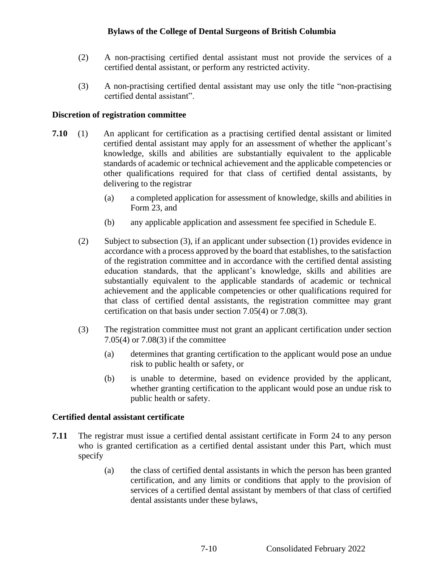- (2) A non-practising certified dental assistant must not provide the services of a certified dental assistant, or perform any restricted activity.
- (3) A non-practising certified dental assistant may use only the title "non-practising certified dental assistant".

## **Discretion of registration committee**

- **7.10** (1) An applicant for certification as a practising certified dental assistant or limited certified dental assistant may apply for an assessment of whether the applicant's knowledge, skills and abilities are substantially equivalent to the applicable standards of academic or technical achievement and the applicable competencies or other qualifications required for that class of certified dental assistants, by delivering to the registrar
	- (a) a completed application for assessment of knowledge, skills and abilities in Form 23, and
	- (b) any applicable application and assessment fee specified in Schedule E.
	- (2) Subject to subsection (3), if an applicant under subsection (1) provides evidence in accordance with a process approved by the board that establishes, to the satisfaction of the registration committee and in accordance with the certified dental assisting education standards, that the applicant's knowledge, skills and abilities are substantially equivalent to the applicable standards of academic or technical achievement and the applicable competencies or other qualifications required for that class of certified dental assistants, the registration committee may grant certification on that basis under section 7.05(4) or 7.08(3).
	- (3) The registration committee must not grant an applicant certification under section 7.05(4) or 7.08(3) if the committee
		- (a) determines that granting certification to the applicant would pose an undue risk to public health or safety, or
		- (b) is unable to determine, based on evidence provided by the applicant, whether granting certification to the applicant would pose an undue risk to public health or safety.

#### **Certified dental assistant certificate**

- **7.11** The registrar must issue a certified dental assistant certificate in Form 24 to any person who is granted certification as a certified dental assistant under this Part, which must specify
	- (a) the class of certified dental assistants in which the person has been granted certification, and any limits or conditions that apply to the provision of services of a certified dental assistant by members of that class of certified dental assistants under these bylaws,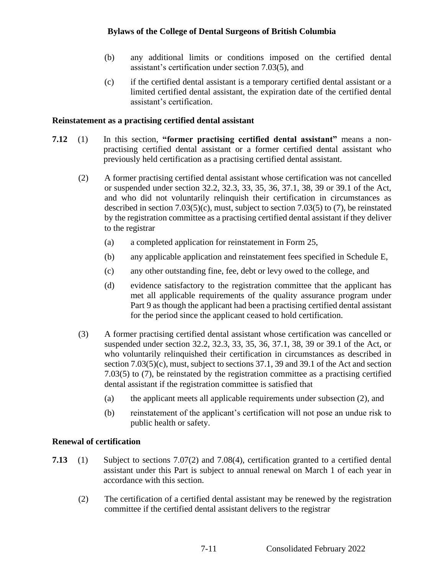- (b) any additional limits or conditions imposed on the certified dental assistant's certification under section 7.03(5), and
- (c) if the certified dental assistant is a temporary certified dental assistant or a limited certified dental assistant, the expiration date of the certified dental assistant's certification.

#### **Reinstatement as a practising certified dental assistant**

- **7.12** (1) In this section, **"former practising certified dental assistant"** means a nonpractising certified dental assistant or a former certified dental assistant who previously held certification as a practising certified dental assistant.
	- (2) A former practising certified dental assistant whose certification was not cancelled or suspended under section 32.2, 32.3, 33, 35, 36, 37.1, 38, 39 or 39.1 of the Act, and who did not voluntarily relinquish their certification in circumstances as described in section 7.03(5)(c), must, subject to section 7.03(5) to (7), be reinstated by the registration committee as a practising certified dental assistant if they deliver to the registrar
		- (a) a completed application for reinstatement in Form 25,
		- (b) any applicable application and reinstatement fees specified in Schedule E,
		- (c) any other outstanding fine, fee, debt or levy owed to the college, and
		- (d) evidence satisfactory to the registration committee that the applicant has met all applicable requirements of the quality assurance program under Part 9 as though the applicant had been a practising certified dental assistant for the period since the applicant ceased to hold certification.
	- (3) A former practising certified dental assistant whose certification was cancelled or suspended under section 32.2, 32.3, 33, 35, 36, 37.1, 38, 39 or 39.1 of the Act, or who voluntarily relinquished their certification in circumstances as described in section  $7.03(5)(c)$ , must, subject to sections  $37.1$ , 39 and 39.1 of the Act and section 7.03(5) to (7), be reinstated by the registration committee as a practising certified dental assistant if the registration committee is satisfied that
		- (a) the applicant meets all applicable requirements under subsection (2), and
		- (b) reinstatement of the applicant's certification will not pose an undue risk to public health or safety.

## **Renewal of certification**

- **7.13** (1) Subject to sections 7.07(2) and 7.08(4), certification granted to a certified dental assistant under this Part is subject to annual renewal on March 1 of each year in accordance with this section.
	- (2) The certification of a certified dental assistant may be renewed by the registration committee if the certified dental assistant delivers to the registrar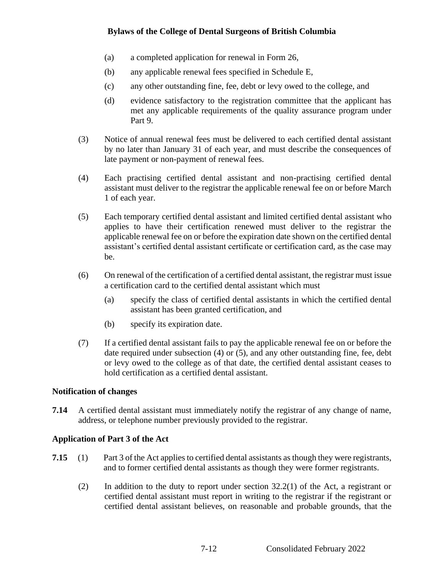- (a) a completed application for renewal in Form 26,
- (b) any applicable renewal fees specified in Schedule E,
- (c) any other outstanding fine, fee, debt or levy owed to the college, and
- (d) evidence satisfactory to the registration committee that the applicant has met any applicable requirements of the quality assurance program under Part 9.
- (3) Notice of annual renewal fees must be delivered to each certified dental assistant by no later than January 31 of each year, and must describe the consequences of late payment or non-payment of renewal fees.
- (4) Each practising certified dental assistant and non-practising certified dental assistant must deliver to the registrar the applicable renewal fee on or before March 1 of each year.
- (5) Each temporary certified dental assistant and limited certified dental assistant who applies to have their certification renewed must deliver to the registrar the applicable renewal fee on or before the expiration date shown on the certified dental assistant's certified dental assistant certificate or certification card, as the case may be.
- (6) On renewal of the certification of a certified dental assistant, the registrar must issue a certification card to the certified dental assistant which must
	- (a) specify the class of certified dental assistants in which the certified dental assistant has been granted certification, and
	- (b) specify its expiration date.
- (7) If a certified dental assistant fails to pay the applicable renewal fee on or before the date required under subsection (4) or (5), and any other outstanding fine, fee, debt or levy owed to the college as of that date, the certified dental assistant ceases to hold certification as a certified dental assistant.

## **Notification of changes**

**7.14** A certified dental assistant must immediately notify the registrar of any change of name, address, or telephone number previously provided to the registrar.

## **Application of Part 3 of the Act**

- **7.15** (1) Part 3 of the Act applies to certified dental assistants as though they were registrants, and to former certified dental assistants as though they were former registrants.
	- (2) In addition to the duty to report under section 32.2(1) of the Act, a registrant or certified dental assistant must report in writing to the registrar if the registrant or certified dental assistant believes, on reasonable and probable grounds, that the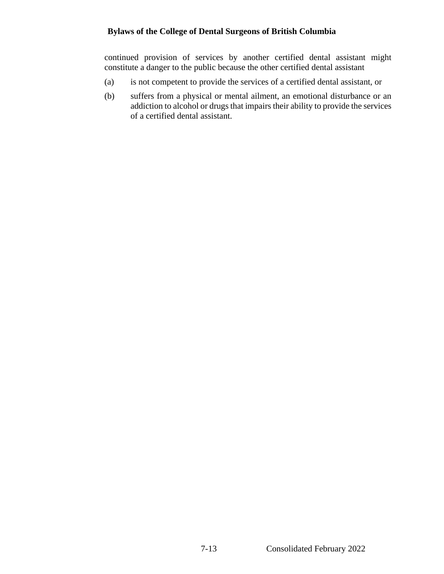continued provision of services by another certified dental assistant might constitute a danger to the public because the other certified dental assistant

- (a) is not competent to provide the services of a certified dental assistant, or
- (b) suffers from a physical or mental ailment, an emotional disturbance or an addiction to alcohol or drugs that impairs their ability to provide the services of a certified dental assistant.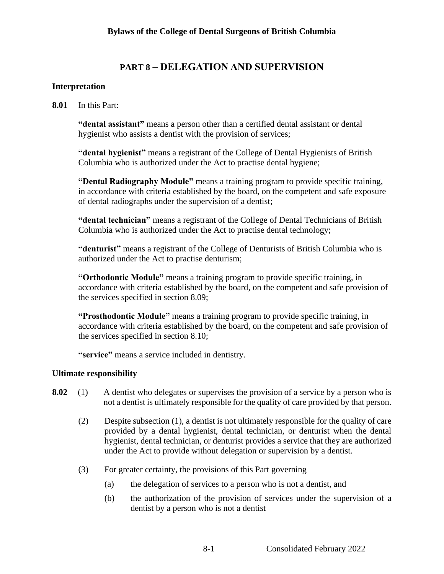# **PART 8 – DELEGATION AND SUPERVISION**

## **Interpretation**

**8.01** In this Part:

**"dental assistant"** means a person other than a certified dental assistant or dental hygienist who assists a dentist with the provision of services;

**"dental hygienist"** means a registrant of the College of Dental Hygienists of British Columbia who is authorized under the Act to practise dental hygiene;

**"Dental Radiography Module"** means a training program to provide specific training, in accordance with criteria established by the board, on the competent and safe exposure of dental radiographs under the supervision of a dentist;

**"dental technician"** means a registrant of the College of Dental Technicians of British Columbia who is authorized under the Act to practise dental technology;

**"denturist"** means a registrant of the College of Denturists of British Columbia who is authorized under the Act to practise denturism;

**"Orthodontic Module"** means a training program to provide specific training, in accordance with criteria established by the board, on the competent and safe provision of the services specified in section 8.09;

**"Prosthodontic Module"** means a training program to provide specific training, in accordance with criteria established by the board, on the competent and safe provision of the services specified in section 8.10;

**"service"** means a service included in dentistry.

## **Ultimate responsibility**

- **8.02** (1) A dentist who delegates or supervises the provision of a service by a person who is not a dentist is ultimately responsible for the quality of care provided by that person.
	- (2) Despite subsection (1), a dentist is not ultimately responsible for the quality of care provided by a dental hygienist, dental technician, or denturist when the dental hygienist, dental technician, or denturist provides a service that they are authorized under the Act to provide without delegation or supervision by a dentist.
	- (3) For greater certainty, the provisions of this Part governing
		- (a) the delegation of services to a person who is not a dentist, and
		- (b) the authorization of the provision of services under the supervision of a dentist by a person who is not a dentist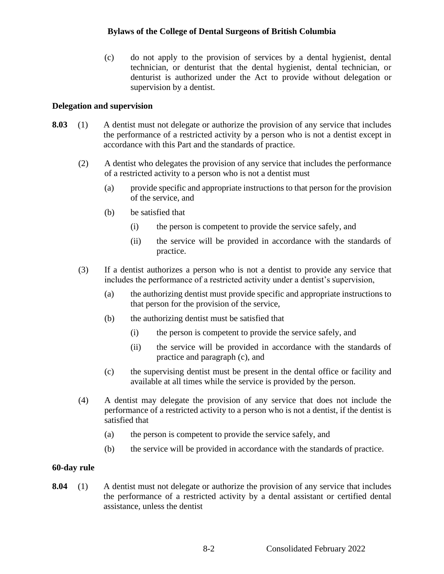(c) do not apply to the provision of services by a dental hygienist, dental technician, or denturist that the dental hygienist, dental technician, or denturist is authorized under the Act to provide without delegation or supervision by a dentist.

#### **Delegation and supervision**

- **8.03** (1) A dentist must not delegate or authorize the provision of any service that includes the performance of a restricted activity by a person who is not a dentist except in accordance with this Part and the standards of practice.
	- (2) A dentist who delegates the provision of any service that includes the performance of a restricted activity to a person who is not a dentist must
		- (a) provide specific and appropriate instructions to that person for the provision of the service, and
		- (b) be satisfied that
			- (i) the person is competent to provide the service safely, and
			- (ii) the service will be provided in accordance with the standards of practice.
	- (3) If a dentist authorizes a person who is not a dentist to provide any service that includes the performance of a restricted activity under a dentist's supervision,
		- (a) the authorizing dentist must provide specific and appropriate instructions to that person for the provision of the service,
		- (b) the authorizing dentist must be satisfied that
			- (i) the person is competent to provide the service safely, and
			- (ii) the service will be provided in accordance with the standards of practice and paragraph (c), and
		- (c) the supervising dentist must be present in the dental office or facility and available at all times while the service is provided by the person.
	- (4) A dentist may delegate the provision of any service that does not include the performance of a restricted activity to a person who is not a dentist, if the dentist is satisfied that
		- (a) the person is competent to provide the service safely, and
		- (b) the service will be provided in accordance with the standards of practice.

#### **60-day rule**

**8.04** (1) A dentist must not delegate or authorize the provision of any service that includes the performance of a restricted activity by a dental assistant or certified dental assistance, unless the dentist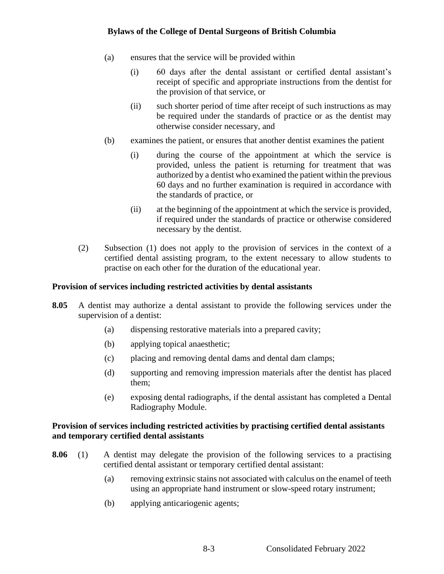- (a) ensures that the service will be provided within
	- (i) 60 days after the dental assistant or certified dental assistant's receipt of specific and appropriate instructions from the dentist for the provision of that service, or
	- (ii) such shorter period of time after receipt of such instructions as may be required under the standards of practice or as the dentist may otherwise consider necessary, and
- (b) examines the patient, or ensures that another dentist examines the patient
	- (i) during the course of the appointment at which the service is provided, unless the patient is returning for treatment that was authorized by a dentist who examined the patient within the previous 60 days and no further examination is required in accordance with the standards of practice, or
	- (ii) at the beginning of the appointment at which the service is provided, if required under the standards of practice or otherwise considered necessary by the dentist.
- (2) Subsection (1) does not apply to the provision of services in the context of a certified dental assisting program, to the extent necessary to allow students to practise on each other for the duration of the educational year.

## **Provision of services including restricted activities by dental assistants**

- **8.05** A dentist may authorize a dental assistant to provide the following services under the supervision of a dentist:
	- (a) dispensing restorative materials into a prepared cavity;
	- (b) applying topical anaesthetic;
	- (c) placing and removing dental dams and dental dam clamps;
	- (d) supporting and removing impression materials after the dentist has placed them;
	- (e) exposing dental radiographs, if the dental assistant has completed a Dental Radiography Module.

## **Provision of services including restricted activities by practising certified dental assistants and temporary certified dental assistants**

- **8.06** (1) A dentist may delegate the provision of the following services to a practising certified dental assistant or temporary certified dental assistant:
	- (a) removing extrinsic stains not associated with calculus on the enamel of teeth using an appropriate hand instrument or slow-speed rotary instrument;
	- (b) applying anticariogenic agents;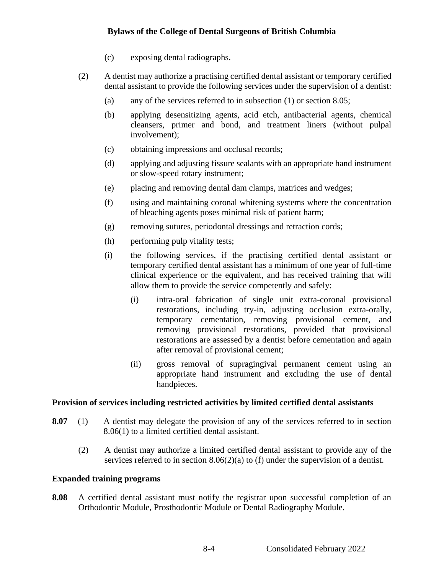- (c) exposing dental radiographs.
- (2) A dentist may authorize a practising certified dental assistant or temporary certified dental assistant to provide the following services under the supervision of a dentist:
	- (a) any of the services referred to in subsection (1) or section 8.05;
	- (b) applying desensitizing agents, acid etch, antibacterial agents, chemical cleansers, primer and bond, and treatment liners (without pulpal involvement);
	- (c) obtaining impressions and occlusal records;
	- (d) applying and adjusting fissure sealants with an appropriate hand instrument or slow-speed rotary instrument;
	- (e) placing and removing dental dam clamps, matrices and wedges;
	- (f) using and maintaining coronal whitening systems where the concentration of bleaching agents poses minimal risk of patient harm;
	- (g) removing sutures, periodontal dressings and retraction cords;
	- (h) performing pulp vitality tests;
	- (i) the following services, if the practising certified dental assistant or temporary certified dental assistant has a minimum of one year of full-time clinical experience or the equivalent, and has received training that will allow them to provide the service competently and safely:
		- (i) intra-oral fabrication of single unit extra-coronal provisional restorations, including try-in, adjusting occlusion extra-orally, temporary cementation, removing provisional cement, and removing provisional restorations, provided that provisional restorations are assessed by a dentist before cementation and again after removal of provisional cement;
		- (ii) gross removal of supragingival permanent cement using an appropriate hand instrument and excluding the use of dental handpieces.

#### **Provision of services including restricted activities by limited certified dental assistants**

- **8.07** (1) A dentist may delegate the provision of any of the services referred to in section 8.06(1) to a limited certified dental assistant.
	- (2) A dentist may authorize a limited certified dental assistant to provide any of the services referred to in section 8.06(2)(a) to (f) under the supervision of a dentist.

#### **Expanded training programs**

**8.08** A certified dental assistant must notify the registrar upon successful completion of an Orthodontic Module, Prosthodontic Module or Dental Radiography Module.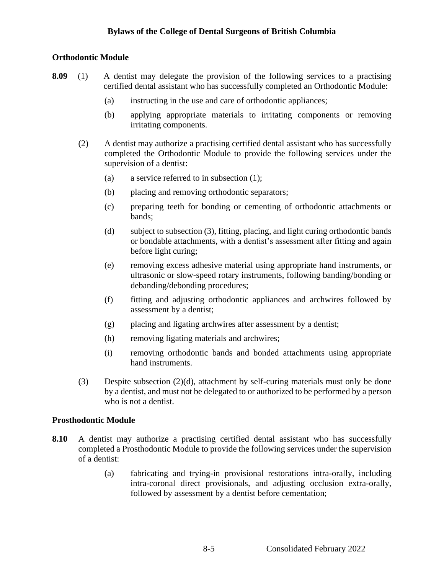## **Orthodontic Module**

- **8.09** (1) A dentist may delegate the provision of the following services to a practising certified dental assistant who has successfully completed an Orthodontic Module:
	- (a) instructing in the use and care of orthodontic appliances;
	- (b) applying appropriate materials to irritating components or removing irritating components.
	- (2) A dentist may authorize a practising certified dental assistant who has successfully completed the Orthodontic Module to provide the following services under the supervision of a dentist:
		- (a) a service referred to in subsection (1);
		- (b) placing and removing orthodontic separators;
		- (c) preparing teeth for bonding or cementing of orthodontic attachments or bands;
		- (d) subject to subsection (3), fitting, placing, and light curing orthodontic bands or bondable attachments, with a dentist's assessment after fitting and again before light curing;
		- (e) removing excess adhesive material using appropriate hand instruments, or ultrasonic or slow-speed rotary instruments, following banding/bonding or debanding/debonding procedures;
		- (f) fitting and adjusting orthodontic appliances and archwires followed by assessment by a dentist;
		- (g) placing and ligating archwires after assessment by a dentist;
		- (h) removing ligating materials and archwires;
		- (i) removing orthodontic bands and bonded attachments using appropriate hand instruments.
	- (3) Despite subsection (2)(d), attachment by self-curing materials must only be done by a dentist, and must not be delegated to or authorized to be performed by a person who is not a dentist.

#### **Prosthodontic Module**

- **8.10** A dentist may authorize a practising certified dental assistant who has successfully completed a Prosthodontic Module to provide the following services under the supervision of a dentist:
	- (a) fabricating and trying-in provisional restorations intra-orally, including intra-coronal direct provisionals, and adjusting occlusion extra-orally, followed by assessment by a dentist before cementation;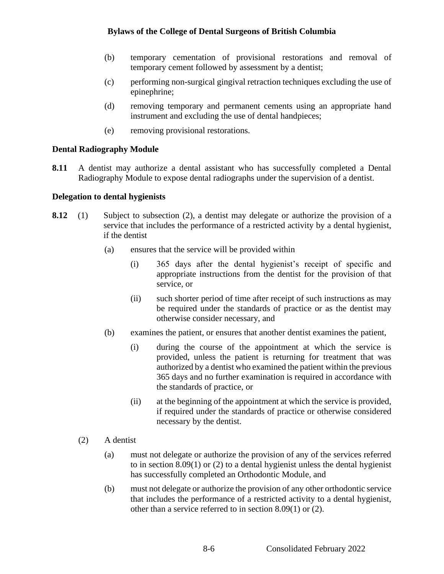- (b) temporary cementation of provisional restorations and removal of temporary cement followed by assessment by a dentist;
- (c) performing non-surgical gingival retraction techniques excluding the use of epinephrine;
- (d) removing temporary and permanent cements using an appropriate hand instrument and excluding the use of dental handpieces;
- (e) removing provisional restorations.

### **Dental Radiography Module**

**8.11** A dentist may authorize a dental assistant who has successfully completed a Dental Radiography Module to expose dental radiographs under the supervision of a dentist.

### **Delegation to dental hygienists**

- **8.12** (1) Subject to subsection (2), a dentist may delegate or authorize the provision of a service that includes the performance of a restricted activity by a dental hygienist, if the dentist
	- (a) ensures that the service will be provided within
		- (i) 365 days after the dental hygienist's receipt of specific and appropriate instructions from the dentist for the provision of that service, or
		- (ii) such shorter period of time after receipt of such instructions as may be required under the standards of practice or as the dentist may otherwise consider necessary, and
	- (b) examines the patient, or ensures that another dentist examines the patient,
		- (i) during the course of the appointment at which the service is provided, unless the patient is returning for treatment that was authorized by a dentist who examined the patient within the previous 365 days and no further examination is required in accordance with the standards of practice, or
		- (ii) at the beginning of the appointment at which the service is provided, if required under the standards of practice or otherwise considered necessary by the dentist.
	- (2) A dentist
		- (a) must not delegate or authorize the provision of any of the services referred to in section 8.09(1) or (2) to a dental hygienist unless the dental hygienist has successfully completed an Orthodontic Module, and
		- (b) must not delegate or authorize the provision of any other orthodontic service that includes the performance of a restricted activity to a dental hygienist, other than a service referred to in section 8.09(1) or (2).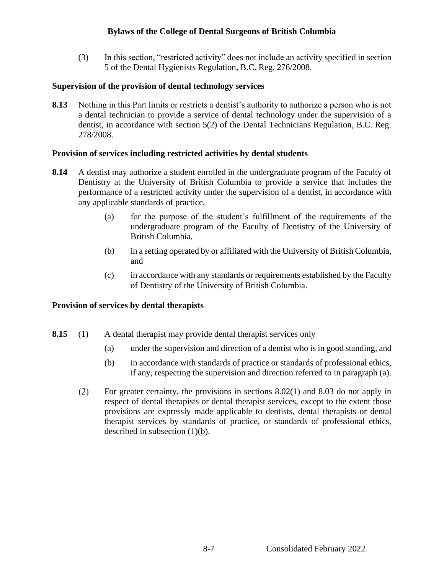(3) In this section, "restricted activity" does not include an activity specified in section 5 of the Dental Hygienists Regulation, B.C. Reg. 276/2008.

### **Supervision of the provision of dental technology services**

**8.13** Nothing in this Part limits or restricts a dentist's authority to authorize a person who is not a dental technician to provide a service of dental technology under the supervision of a dentist, in accordance with section 5(2) of the Dental Technicians Regulation, B.C. Reg. 278/2008.

#### **Provision of services including restricted activities by dental students**

- **8.14** A dentist may authorize a student enrolled in the undergraduate program of the Faculty of Dentistry at the University of British Columbia to provide a service that includes the performance of a restricted activity under the supervision of a dentist, in accordance with any applicable standards of practice,
	- (a) for the purpose of the student's fulfillment of the requirements of the undergraduate program of the Faculty of Dentistry of the University of British Columbia,
	- (b) in a setting operated by or affiliated with the University of British Columbia, and
	- (c) in accordance with any standards or requirements established by the Faculty of Dentistry of the University of British Columbia.

## **Provision of services by dental therapists**

- **8.15** (1) A dental therapist may provide dental therapist services only
	- (a) under the supervision and direction of a dentist who is in good standing, and
	- (b) in accordance with standards of practice or standards of professional ethics, if any, respecting the supervision and direction referred to in paragraph (a).
	- $(2)$ For greater certainty, the provisions in sections 8.02(1) and 8.03 do not apply in respect of dental therapists or dental therapist services, except to the extent those provisions are expressly made applicable to dentists, dental therapists or dental therapist services by standards of practice, or standards of professional ethics, described in subsection (1)(b).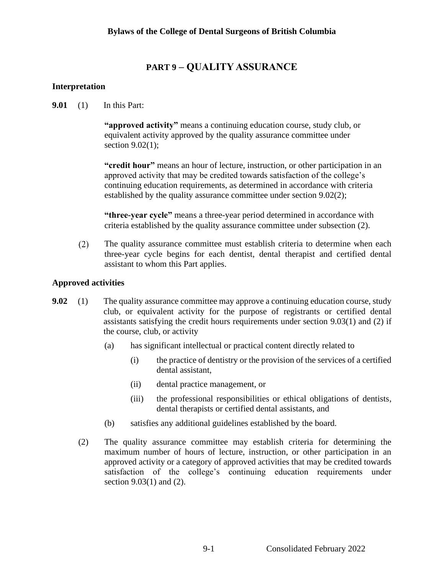# **PART 9 – QUALITY ASSURANCE**

## **Interpretation**

**9.01** (1) In this Part:

**"approved activity"** means a continuing education course, study club, or equivalent activity approved by the quality assurance committee under section 9.02(1);

**"credit hour"** means an hour of lecture, instruction, or other participation in an approved activity that may be credited towards satisfaction of the college's continuing education requirements, as determined in accordance with criteria established by the quality assurance committee under section 9.02(2);

**"three-year cycle"** means a three-year period determined in accordance with criteria established by the quality assurance committee under subsection (2).

 $(2)$ The quality assurance committee must establish criteria to determine when each three-year cycle begins for each dentist, dental therapist and certified dental assistant to whom this Part applies.

## **Approved activities**

- **9.02** (1) The quality assurance committee may approve a continuing education course, study club, or equivalent activity for the purpose of registrants or certified dental assistants satisfying the credit hours requirements under section 9.03(1) and (2) if the course, club, or activity
	- (a) has significant intellectual or practical content directly related to
		- (i) the practice of dentistry or the provision of the services of a certified dental assistant,
		- (ii) dental practice management, or
		- (iii) the professional responsibilities or ethical obligations of dentists, dental therapists or certified dental assistants, and
	- (b) satisfies any additional guidelines established by the board.
	- (2) The quality assurance committee may establish criteria for determining the maximum number of hours of lecture, instruction, or other participation in an approved activity or a category of approved activities that may be credited towards satisfaction of the college's continuing education requirements under section 9.03(1) and (2).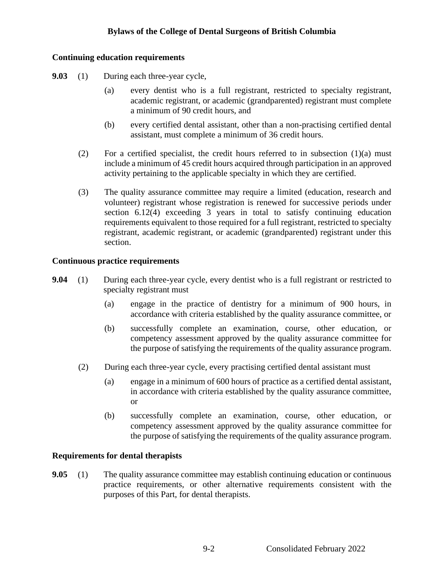## **Continuing education requirements**

- **9.03** (1) During each three-year cycle,
	- (a) every dentist who is a full registrant, restricted to specialty registrant, academic registrant, or academic (grandparented) registrant must complete a minimum of 90 credit hours, and
	- (b) every certified dental assistant, other than a non-practising certified dental assistant, must complete a minimum of 36 credit hours.
	- (2) For a certified specialist, the credit hours referred to in subsection (1)(a) must include a minimum of 45 credit hours acquired through participation in an approved activity pertaining to the applicable specialty in which they are certified.
	- (3) The quality assurance committee may require a limited (education, research and volunteer) registrant whose registration is renewed for successive periods under section 6.12(4) exceeding 3 years in total to satisfy continuing education requirements equivalent to those required for a full registrant, restricted to specialty registrant, academic registrant, or academic (grandparented) registrant under this section.

### **Continuous practice requirements**

- **9.04** (1) During each three-year cycle, every dentist who is a full registrant or restricted to specialty registrant must
	- (a) engage in the practice of dentistry for a minimum of 900 hours, in accordance with criteria established by the quality assurance committee, or
	- (b) successfully complete an examination, course, other education, or competency assessment approved by the quality assurance committee for the purpose of satisfying the requirements of the quality assurance program.
	- (2) During each three-year cycle, every practising certified dental assistant must
		- (a) engage in a minimum of 600 hours of practice as a certified dental assistant, in accordance with criteria established by the quality assurance committee, or
		- (b) successfully complete an examination, course, other education, or competency assessment approved by the quality assurance committee for the purpose of satisfying the requirements of the quality assurance program.

#### **Requirements for dental therapists**

**9.05** (1) The quality assurance committee may establish continuing education or continuous practice requirements, or other alternative requirements consistent with the purposes of this Part, for dental therapists.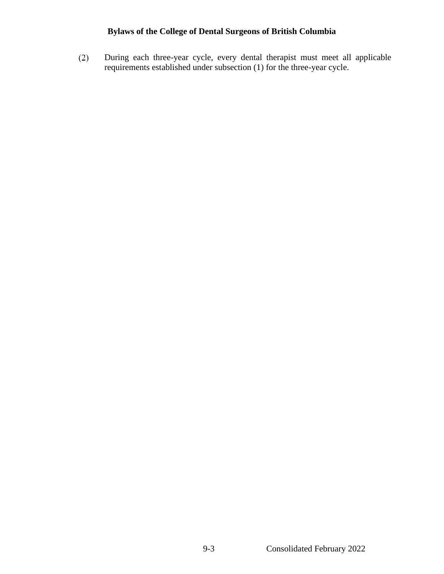During each three-year cycle, every dental therapist must meet all applicable  $(2)$ requirements established under subsection (1) for the three-year cycle.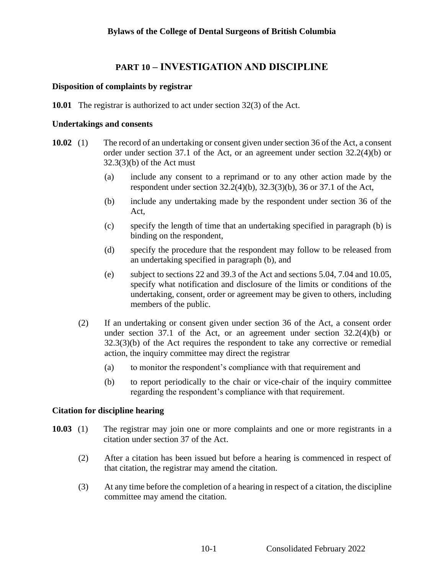# **PART 10 – INVESTIGATION AND DISCIPLINE**

### **Disposition of complaints by registrar**

**10.01** The registrar is authorized to act under section 32(3) of the Act.

#### **Undertakings and consents**

- **10.02** (1) The record of an undertaking or consent given under section 36 of the Act, a consent order under section 37.1 of the Act, or an agreement under section 32.2(4)(b) or 32.3(3)(b) of the Act must
	- (a) include any consent to a reprimand or to any other action made by the respondent under section 32.2(4)(b), 32.3(3)(b), 36 or 37.1 of the Act,
	- (b) include any undertaking made by the respondent under section 36 of the Act,
	- (c) specify the length of time that an undertaking specified in paragraph (b) is binding on the respondent,
	- (d) specify the procedure that the respondent may follow to be released from an undertaking specified in paragraph (b), and
	- (e) subject to sections 22 and 39.3 of the Act and sections 5.04, 7.04 and 10.05, specify what notification and disclosure of the limits or conditions of the undertaking, consent, order or agreement may be given to others, including members of the public.
	- (2) If an undertaking or consent given under section 36 of the Act, a consent order under section 37.1 of the Act, or an agreement under section 32.2(4)(b) or  $32.3(3)(b)$  of the Act requires the respondent to take any corrective or remedial action, the inquiry committee may direct the registrar
		- (a) to monitor the respondent's compliance with that requirement and
		- (b) to report periodically to the chair or vice-chair of the inquiry committee regarding the respondent's compliance with that requirement.

#### **Citation for discipline hearing**

- **10.03** (1) The registrar may join one or more complaints and one or more registrants in a citation under section 37 of the Act.
	- (2) After a citation has been issued but before a hearing is commenced in respect of that citation, the registrar may amend the citation.
	- (3) At any time before the completion of a hearing in respect of a citation, the discipline committee may amend the citation.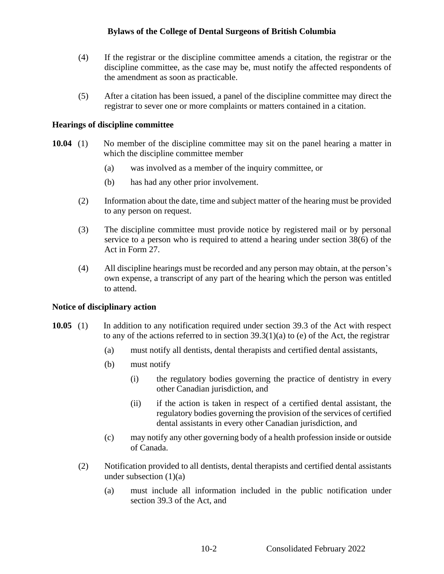- (4) If the registrar or the discipline committee amends a citation, the registrar or the discipline committee, as the case may be, must notify the affected respondents of the amendment as soon as practicable.
- (5) After a citation has been issued, a panel of the discipline committee may direct the registrar to sever one or more complaints or matters contained in a citation.

#### **Hearings of discipline committee**

- **10.04** (1) No member of the discipline committee may sit on the panel hearing a matter in which the discipline committee member
	- (a) was involved as a member of the inquiry committee, or
	- (b) has had any other prior involvement.
	- (2) Information about the date, time and subject matter of the hearing must be provided to any person on request.
	- (3) The discipline committee must provide notice by registered mail or by personal service to a person who is required to attend a hearing under section 38(6) of the Act in Form 27.
	- (4) All discipline hearings must be recorded and any person may obtain, at the person's own expense, a transcript of any part of the hearing which the person was entitled to attend.

#### **Notice of disciplinary action**

- **10.05** (1) In addition to any notification required under section 39.3 of the Act with respect to any of the actions referred to in section  $39.3(1)(a)$  to (e) of the Act, the registrar
	- (a) must notify all dentists, dental therapists and certified dental assistants,
	- (b) must notify
		- (i) the regulatory bodies governing the practice of dentistry in every other Canadian jurisdiction, and
		- (ii) if the action is taken in respect of a certified dental assistant, the regulatory bodies governing the provision of the services of certified dental assistants in every other Canadian jurisdiction, and
	- (c) may notify any other governing body of a health profession inside or outside of Canada.
	- (2) Notification provided to all dentists, dental therapists and certified dental assistants under subsection  $(1)(a)$ 
		- (a) must include all information included in the public notification under section 39.3 of the Act, and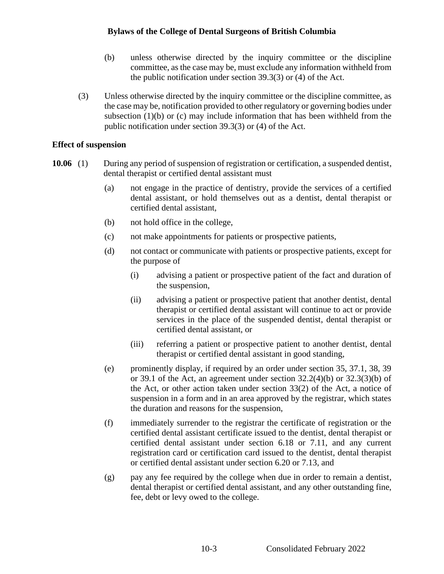- (b) unless otherwise directed by the inquiry committee or the discipline committee, as the case may be, must exclude any information withheld from the public notification under section 39.3(3) or (4) of the Act.
- (3) Unless otherwise directed by the inquiry committee or the discipline committee, as the case may be, notification provided to other regulatory or governing bodies under subsection (1)(b) or (c) may include information that has been withheld from the public notification under section 39.3(3) or (4) of the Act.

#### **Effect of suspension**

- **10.06** (1) During any period of suspension of registration or certification, a suspended dentist, dental therapist or certified dental assistant must
	- (a) not engage in the practice of dentistry, provide the services of a certified dental assistant, or hold themselves out as a dentist, dental therapist or certified dental assistant,
	- (b) not hold office in the college,
	- (c) not make appointments for patients or prospective patients,
	- (d) not contact or communicate with patients or prospective patients, except for the purpose of
		- (i) advising a patient or prospective patient of the fact and duration of the suspension,
		- (ii) advising a patient or prospective patient that another dentist, dental therapist or certified dental assistant will continue to act or provide services in the place of the suspended dentist, dental therapist or certified dental assistant, or
		- (iii) referring a patient or prospective patient to another dentist, dental therapist or certified dental assistant in good standing,
	- (e) prominently display, if required by an order under section 35, 37.1, 38, 39 or 39.1 of the Act, an agreement under section 32.2(4)(b) or 32.3(3)(b) of the Act, or other action taken under section 33(2) of the Act, a notice of suspension in a form and in an area approved by the registrar, which states the duration and reasons for the suspension,
	- (f) immediately surrender to the registrar the certificate of registration or the certified dental assistant certificate issued to the dentist, dental therapist or certified dental assistant under section 6.18 or 7.11, and any current registration card or certification card issued to the dentist, dental therapist or certified dental assistant under section 6.20 or 7.13, and
	- (g) pay any fee required by the college when due in order to remain a dentist, dental therapist or certified dental assistant, and any other outstanding fine, fee, debt or levy owed to the college.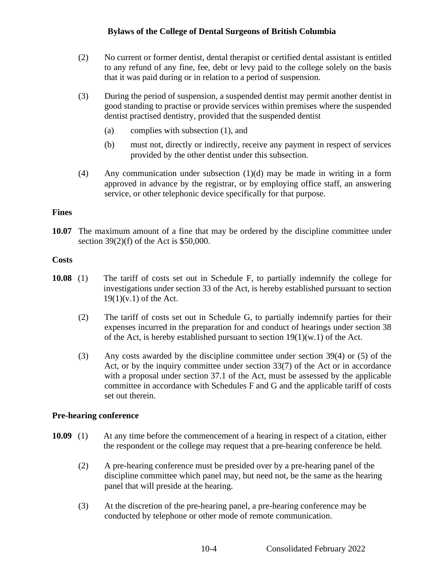- (2) No current or former dentist, dental therapist or certified dental assistant is entitled to any refund of any fine, fee, debt or levy paid to the college solely on the basis that it was paid during or in relation to a period of suspension.
- (3) During the period of suspension, a suspended dentist may permit another dentist in good standing to practise or provide services within premises where the suspended dentist practised dentistry, provided that the suspended dentist
	- (a) complies with subsection (1), and
	- (b) must not, directly or indirectly, receive any payment in respect of services provided by the other dentist under this subsection.
- (4) Any communication under subsection (1)(d) may be made in writing in a form approved in advance by the registrar, or by employing office staff, an answering service, or other telephonic device specifically for that purpose.

#### **Fines**

**10.07** The maximum amount of a fine that may be ordered by the discipline committee under section 39(2)(f) of the Act is \$50,000.

### **Costs**

- **10.08** (1) The tariff of costs set out in Schedule F, to partially indemnify the college for investigations under section 33 of the Act, is hereby established pursuant to section  $19(1)(v.1)$  of the Act.
	- (2) The tariff of costs set out in Schedule G, to partially indemnify parties for their expenses incurred in the preparation for and conduct of hearings under section 38 of the Act, is hereby established pursuant to section  $19(1)(w.1)$  of the Act.
	- (3) Any costs awarded by the discipline committee under section 39(4) or (5) of the Act, or by the inquiry committee under section 33(7) of the Act or in accordance with a proposal under section 37.1 of the Act, must be assessed by the applicable committee in accordance with Schedules F and G and the applicable tariff of costs set out therein.

#### **Pre-hearing conference**

- **10.09** (1) At any time before the commencement of a hearing in respect of a citation, either the respondent or the college may request that a pre-hearing conference be held.
	- (2) A pre-hearing conference must be presided over by a pre-hearing panel of the discipline committee which panel may, but need not, be the same as the hearing panel that will preside at the hearing.
	- (3) At the discretion of the pre-hearing panel, a pre-hearing conference may be conducted by telephone or other mode of remote communication.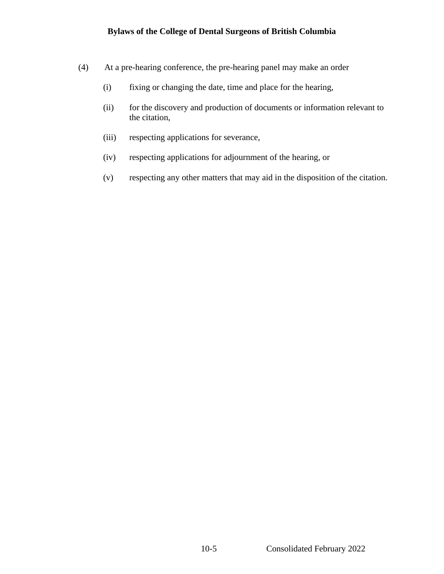- (4) At a pre-hearing conference, the pre-hearing panel may make an order
	- (i) fixing or changing the date, time and place for the hearing,
	- (ii) for the discovery and production of documents or information relevant to the citation,
	- (iii) respecting applications for severance,
	- (iv) respecting applications for adjournment of the hearing, or
	- (v) respecting any other matters that may aid in the disposition of the citation.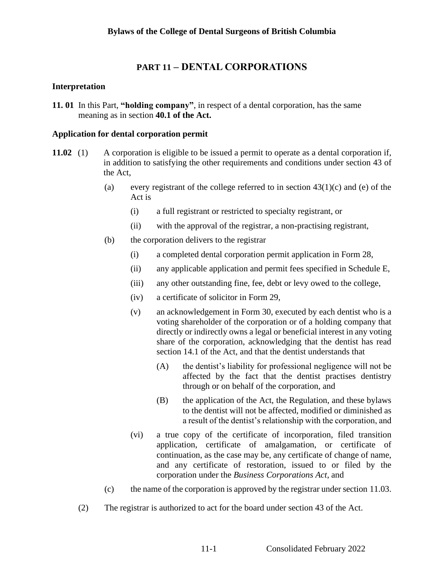## **PART 11 – DENTAL CORPORATIONS**

#### **Interpretation**

**11. 01** In this Part, **"holding company"**, in respect of a dental corporation, has the same meaning as in section **40.1 of the Act.**

#### **Application for dental corporation permit**

- **11.02** (1) A corporation is eligible to be issued a permit to operate as a dental corporation if, in addition to satisfying the other requirements and conditions under section 43 of the Act,
	- (a) every registrant of the college referred to in section  $43(1)(c)$  and (e) of the Act is
		- (i) a full registrant or restricted to specialty registrant, or
		- (ii) with the approval of the registrar, a non-practising registrant,
	- (b) the corporation delivers to the registrar
		- (i) a completed dental corporation permit application in Form 28,
		- (ii) any applicable application and permit fees specified in Schedule E,
		- (iii) any other outstanding fine, fee, debt or levy owed to the college,
		- (iv) a certificate of solicitor in Form 29,
		- (v) an acknowledgement in Form 30, executed by each dentist who is a voting shareholder of the corporation or of a holding company that directly or indirectly owns a legal or beneficial interest in any voting share of the corporation, acknowledging that the dentist has read section 14.1 of the Act, and that the dentist understands that
			- (A) the dentist's liability for professional negligence will not be affected by the fact that the dentist practises dentistry through or on behalf of the corporation, and
			- (B) the application of the Act, the Regulation, and these bylaws to the dentist will not be affected, modified or diminished as a result of the dentist's relationship with the corporation, and
		- (vi) a true copy of the certificate of incorporation, filed transition application, certificate of amalgamation, or certificate of continuation, as the case may be, any certificate of change of name, and any certificate of restoration, issued to or filed by the corporation under the *Business Corporations Act*, and
	- (c) the name of the corporation is approved by the registrar under section 11.03.
	- (2) The registrar is authorized to act for the board under section 43 of the Act.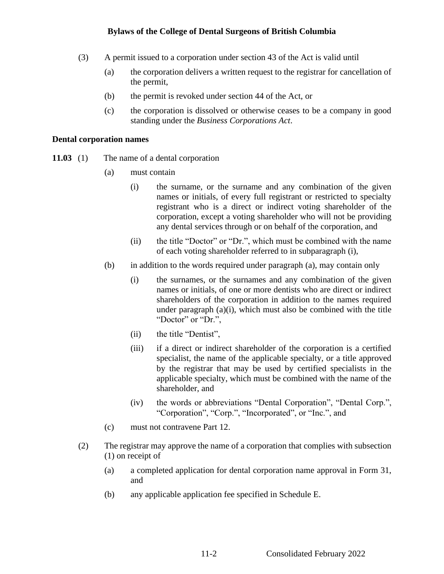- (3) A permit issued to a corporation under section 43 of the Act is valid until
	- (a) the corporation delivers a written request to the registrar for cancellation of the permit,
	- (b) the permit is revoked under section 44 of the Act, or
	- (c) the corporation is dissolved or otherwise ceases to be a company in good standing under the *Business Corporations Act*.

#### **Dental corporation names**

- **11.03** (1) The name of a dental corporation
	- (a) must contain
		- (i) the surname, or the surname and any combination of the given names or initials, of every full registrant or restricted to specialty registrant who is a direct or indirect voting shareholder of the corporation, except a voting shareholder who will not be providing any dental services through or on behalf of the corporation, and
		- (ii) the title "Doctor" or "Dr.", which must be combined with the name of each voting shareholder referred to in subparagraph (i),
	- (b) in addition to the words required under paragraph (a), may contain only
		- (i) the surnames, or the surnames and any combination of the given names or initials, of one or more dentists who are direct or indirect shareholders of the corporation in addition to the names required under paragraph (a)(i), which must also be combined with the title "Doctor" or "Dr.",
		- (ii) the title "Dentist",
		- (iii) if a direct or indirect shareholder of the corporation is a certified specialist, the name of the applicable specialty, or a title approved by the registrar that may be used by certified specialists in the applicable specialty, which must be combined with the name of the shareholder, and
		- (iv) the words or abbreviations "Dental Corporation", "Dental Corp.", "Corporation", "Corp.", "Incorporated", or "Inc.", and
	- (c) must not contravene Part 12.
	- (2) The registrar may approve the name of a corporation that complies with subsection (1) on receipt of
		- (a) a completed application for dental corporation name approval in Form 31, and
		- (b) any applicable application fee specified in Schedule E.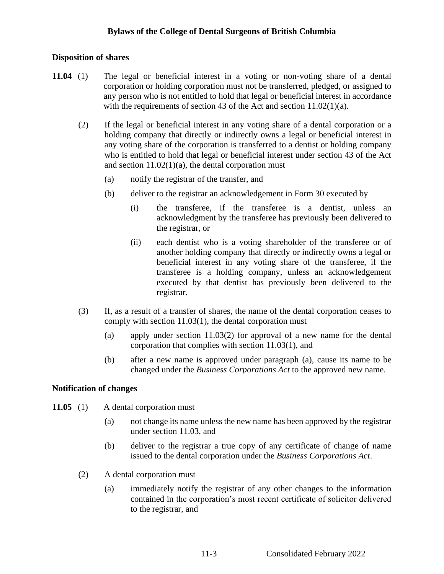#### **Disposition of shares**

- **11.04** (1) The legal or beneficial interest in a voting or non-voting share of a dental corporation or holding corporation must not be transferred, pledged, or assigned to any person who is not entitled to hold that legal or beneficial interest in accordance with the requirements of section 43 of the Act and section 11.02(1)(a).
	- (2) If the legal or beneficial interest in any voting share of a dental corporation or a holding company that directly or indirectly owns a legal or beneficial interest in any voting share of the corporation is transferred to a dentist or holding company who is entitled to hold that legal or beneficial interest under section 43 of the Act and section  $11.02(1)(a)$ , the dental corporation must
		- (a) notify the registrar of the transfer, and
		- (b) deliver to the registrar an acknowledgement in Form 30 executed by
			- (i) the transferee, if the transferee is a dentist, unless an acknowledgment by the transferee has previously been delivered to the registrar, or
			- (ii) each dentist who is a voting shareholder of the transferee or of another holding company that directly or indirectly owns a legal or beneficial interest in any voting share of the transferee, if the transferee is a holding company, unless an acknowledgement executed by that dentist has previously been delivered to the registrar.
	- (3) If, as a result of a transfer of shares, the name of the dental corporation ceases to comply with section 11.03(1), the dental corporation must
		- (a) apply under section  $11.03(2)$  for approval of a new name for the dental corporation that complies with section 11.03(1), and
		- (b) after a new name is approved under paragraph (a), cause its name to be changed under the *Business Corporations Act* to the approved new name.

#### **Notification of changes**

- 11.05 (1) A dental corporation must
	- (a) not change its name unless the new name has been approved by the registrar under section 11.03, and
	- (b) deliver to the registrar a true copy of any certificate of change of name issued to the dental corporation under the *Business Corporations Act*.
	- (2) A dental corporation must
		- (a) immediately notify the registrar of any other changes to the information contained in the corporation's most recent certificate of solicitor delivered to the registrar, and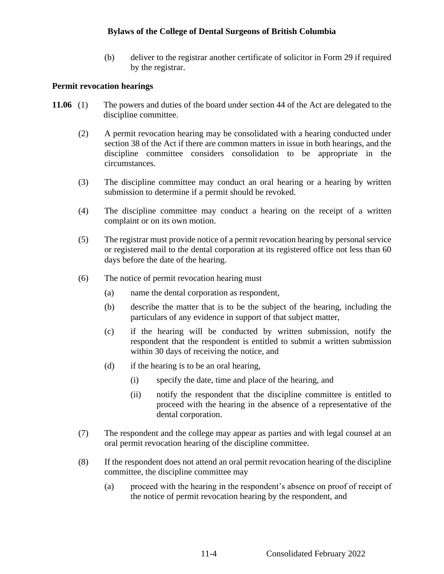(b) deliver to the registrar another certificate of solicitor in Form 29 if required by the registrar.

#### **Permit revocation hearings**

- **11.06** (1) The powers and duties of the board under section 44 of the Act are delegated to the discipline committee.
	- (2) A permit revocation hearing may be consolidated with a hearing conducted under section 38 of the Act if there are common matters in issue in both hearings, and the discipline committee considers consolidation to be appropriate in the circumstances.
	- (3) The discipline committee may conduct an oral hearing or a hearing by written submission to determine if a permit should be revoked.
	- (4) The discipline committee may conduct a hearing on the receipt of a written complaint or on its own motion.
	- (5) The registrar must provide notice of a permit revocation hearing by personal service or registered mail to the dental corporation at its registered office not less than 60 days before the date of the hearing.
	- (6) The notice of permit revocation hearing must
		- (a) name the dental corporation as respondent,
		- (b) describe the matter that is to be the subject of the hearing, including the particulars of any evidence in support of that subject matter,
		- (c) if the hearing will be conducted by written submission, notify the respondent that the respondent is entitled to submit a written submission within 30 days of receiving the notice, and
		- (d) if the hearing is to be an oral hearing,
			- (i) specify the date, time and place of the hearing, and
			- (ii) notify the respondent that the discipline committee is entitled to proceed with the hearing in the absence of a representative of the dental corporation.
	- (7) The respondent and the college may appear as parties and with legal counsel at an oral permit revocation hearing of the discipline committee.
	- (8) If the respondent does not attend an oral permit revocation hearing of the discipline committee, the discipline committee may
		- (a) proceed with the hearing in the respondent's absence on proof of receipt of the notice of permit revocation hearing by the respondent, and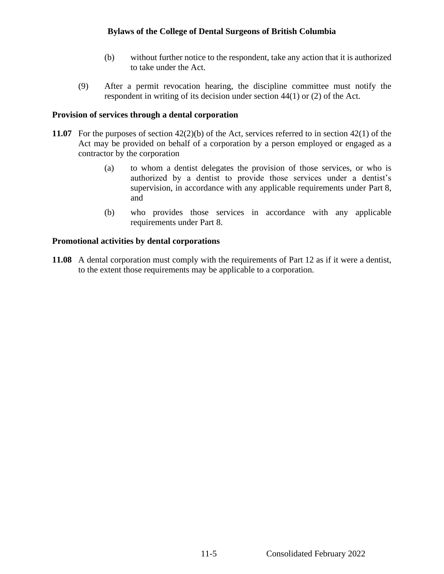- (b) without further notice to the respondent, take any action that it is authorized to take under the Act.
- (9) After a permit revocation hearing, the discipline committee must notify the respondent in writing of its decision under section 44(1) or (2) of the Act.

## **Provision of services through a dental corporation**

- **11.07** For the purposes of section 42(2)(b) of the Act, services referred to in section 42(1) of the Act may be provided on behalf of a corporation by a person employed or engaged as a contractor by the corporation
	- (a) to whom a dentist delegates the provision of those services, or who is authorized by a dentist to provide those services under a dentist's supervision, in accordance with any applicable requirements under Part 8, and
	- (b) who provides those services in accordance with any applicable requirements under Part 8.

## **Promotional activities by dental corporations**

**11.08** A dental corporation must comply with the requirements of Part 12 as if it were a dentist, to the extent those requirements may be applicable to a corporation.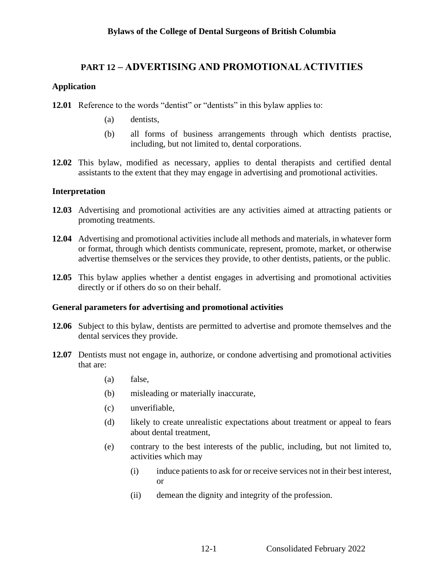# **PART 12 – ADVERTISING AND PROMOTIONAL ACTIVITIES**

## **Application**

- **12.01** Reference to the words "dentist" or "dentists" in this bylaw applies to:
	- (a) dentists,
	- (b) all forms of business arrangements through which dentists practise, including, but not limited to, dental corporations.
- **12.02** This bylaw, modified as necessary, applies to dental therapists and certified dental assistants to the extent that they may engage in advertising and promotional activities.

### **Interpretation**

- **12.03** Advertising and promotional activities are any activities aimed at attracting patients or promoting treatments.
- **12.04** Advertising and promotional activities include all methods and materials, in whatever form or format, through which dentists communicate, represent, promote, market, or otherwise advertise themselves or the services they provide, to other dentists, patients, or the public.
- **12.05** This bylaw applies whether a dentist engages in advertising and promotional activities directly or if others do so on their behalf.

## **General parameters for advertising and promotional activities**

- **12.06** Subject to this bylaw, dentists are permitted to advertise and promote themselves and the dental services they provide.
- **12.07** Dentists must not engage in, authorize, or condone advertising and promotional activities that are:
	- (a) false,
	- (b) misleading or materially inaccurate,
	- (c) unverifiable,
	- (d) likely to create unrealistic expectations about treatment or appeal to fears about dental treatment,
	- (e) contrary to the best interests of the public, including, but not limited to, activities which may
		- (i) induce patients to ask for or receive services not in their best interest, or
		- (ii) demean the dignity and integrity of the profession.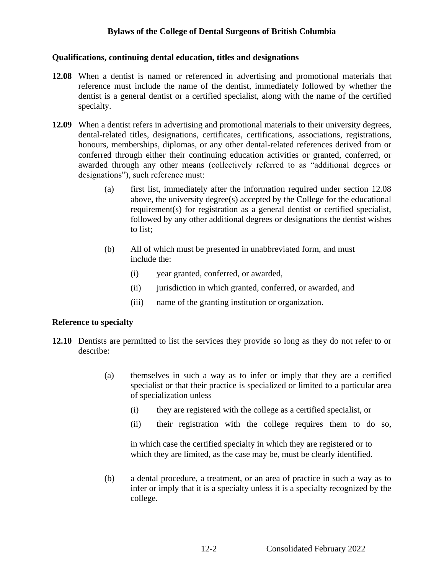#### **Qualifications, continuing dental education, titles and designations**

- **12.08** When a dentist is named or referenced in advertising and promotional materials that reference must include the name of the dentist, immediately followed by whether the dentist is a general dentist or a certified specialist, along with the name of the certified specialty.
- **12.09** When a dentist refers in advertising and promotional materials to their university degrees, dental-related titles, designations, certificates, certifications, associations, registrations, honours, memberships, diplomas, or any other dental-related references derived from or conferred through either their continuing education activities or granted, conferred, or awarded through any other means (collectively referred to as "additional degrees or designations"), such reference must:
	- (a) first list, immediately after the information required under section 12.08 above, the university degree(s) accepted by the College for the educational requirement(s) for registration as a general dentist or certified specialist, followed by any other additional degrees or designations the dentist wishes to list;
	- (b) All of which must be presented in unabbreviated form, and must include the:
		- (i) year granted, conferred, or awarded,
		- (ii) jurisdiction in which granted, conferred, or awarded, and
		- (iii) name of the granting institution or organization.

#### **Reference to specialty**

- **12.10** Dentists are permitted to list the services they provide so long as they do not refer to or describe:
	- (a) themselves in such a way as to infer or imply that they are a certified specialist or that their practice is specialized or limited to a particular area of specialization unless
		- (i) they are registered with the college as a certified specialist, or
		- (ii) their registration with the college requires them to do so,

in which case the certified specialty in which they are registered or to which they are limited, as the case may be, must be clearly identified.

(b) a dental procedure, a treatment, or an area of practice in such a way as to infer or imply that it is a specialty unless it is a specialty recognized by the college.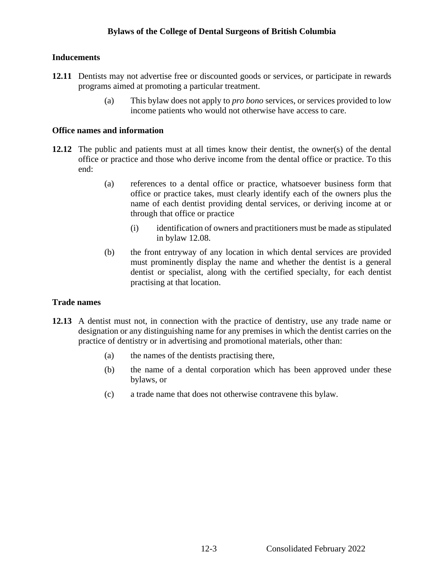## **Inducements**

- **12.11** Dentists may not advertise free or discounted goods or services, or participate in rewards programs aimed at promoting a particular treatment.
	- (a) This bylaw does not apply to *pro bono* services, or services provided to low income patients who would not otherwise have access to care.

#### **Office names and information**

- **12.12** The public and patients must at all times know their dentist, the owner(s) of the dental office or practice and those who derive income from the dental office or practice. To this end:
	- (a) references to a dental office or practice, whatsoever business form that office or practice takes, must clearly identify each of the owners plus the name of each dentist providing dental services, or deriving income at or through that office or practice
		- (i) identification of owners and practitioners must be made as stipulated in bylaw 12.08.
	- (b) the front entryway of any location in which dental services are provided must prominently display the name and whether the dentist is a general dentist or specialist, along with the certified specialty, for each dentist practising at that location.

#### **Trade names**

- **12.13** A dentist must not, in connection with the practice of dentistry, use any trade name or designation or any distinguishing name for any premises in which the dentist carries on the practice of dentistry or in advertising and promotional materials, other than:
	- (a) the names of the dentists practising there,
	- (b) the name of a dental corporation which has been approved under these bylaws, or
	- (c) a trade name that does not otherwise contravene this bylaw.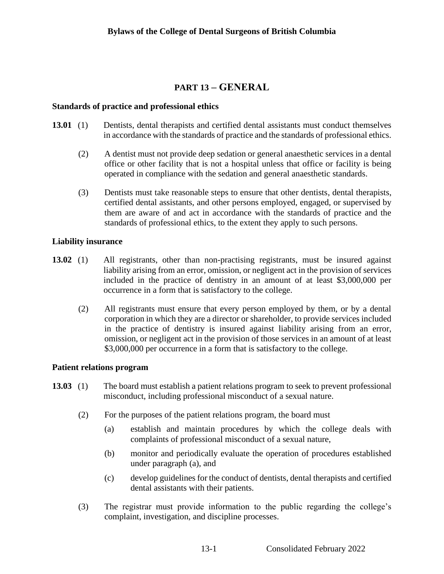## **PART 13 – GENERAL**

### **Standards of practice and professional ethics**

- **13.01** (1) Dentists, dental therapists and certified dental assistants must conduct themselves in accordance with the standards of practice and the standards of professional ethics.
	- (2) A dentist must not provide deep sedation or general anaesthetic services in a dental office or other facility that is not a hospital unless that office or facility is being operated in compliance with the sedation and general anaesthetic standards.
	- (3) Dentists must take reasonable steps to ensure that other dentists, dental therapists, certified dental assistants, and other persons employed, engaged, or supervised by them are aware of and act in accordance with the standards of practice and the standards of professional ethics, to the extent they apply to such persons.

#### **Liability insurance**

- **13.02** (1) All registrants, other than non-practising registrants, must be insured against liability arising from an error, omission, or negligent act in the provision of services included in the practice of dentistry in an amount of at least \$3,000,000 per occurrence in a form that is satisfactory to the college.
	- (2) All registrants must ensure that every person employed by them, or by a dental corporation in which they are a director or shareholder, to provide services included in the practice of dentistry is insured against liability arising from an error, omission, or negligent act in the provision of those services in an amount of at least \$3,000,000 per occurrence in a form that is satisfactory to the college.

#### **Patient relations program**

- **13.03** (1) The board must establish a patient relations program to seek to prevent professional misconduct, including professional misconduct of a sexual nature.
	- (2) For the purposes of the patient relations program, the board must
		- (a) establish and maintain procedures by which the college deals with complaints of professional misconduct of a sexual nature,
		- (b) monitor and periodically evaluate the operation of procedures established under paragraph (a), and
		- (c) develop guidelines for the conduct of dentists, dental therapists and certified dental assistants with their patients.
	- (3) The registrar must provide information to the public regarding the college's complaint, investigation, and discipline processes.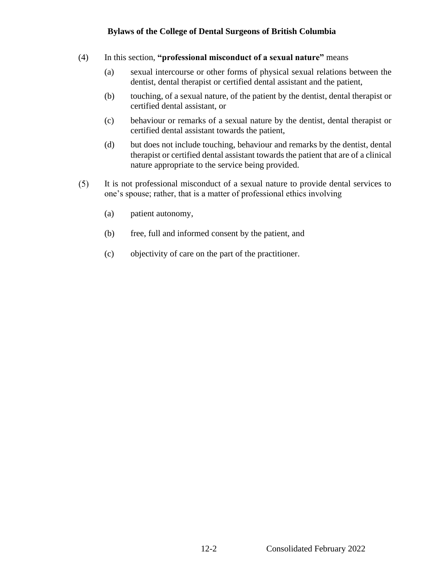- (4) In this section, **"professional misconduct of a sexual nature"** means
	- (a) sexual intercourse or other forms of physical sexual relations between the dentist, dental therapist or certified dental assistant and the patient,
	- (b) touching, of a sexual nature, of the patient by the dentist, dental therapist or certified dental assistant, or
	- (c) behaviour or remarks of a sexual nature by the dentist, dental therapist or certified dental assistant towards the patient,
	- (d) but does not include touching, behaviour and remarks by the dentist, dental therapist or certified dental assistant towards the patient that are of a clinical nature appropriate to the service being provided.
- It is not professional misconduct of a sexual nature to provide dental services to  $(5)$ one's spouse; rather, that is a matter of professional ethics involving
	- (a) patient autonomy,
	- (b) free, full and informed consent by the patient, and
	- (c) objectivity of care on the part of the practitioner.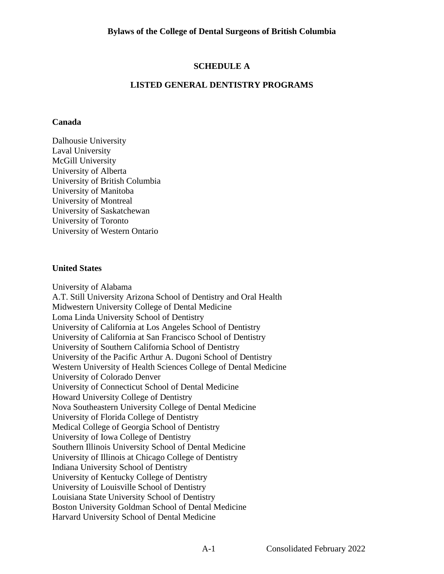## **SCHEDULE A**

## **LISTED GENERAL DENTISTRY PROGRAMS**

#### **Canada**

Dalhousie University Laval University McGill University University of Alberta University of British Columbia University of Manitoba University of Montreal University of Saskatchewan University of Toronto University of Western Ontario

#### **United States**

University of Alabama A.T. Still University Arizona School of Dentistry and Oral Health Midwestern University College of Dental Medicine Loma Linda University School of Dentistry University of California at Los Angeles School of Dentistry University of California at San Francisco School of Dentistry University of Southern California School of Dentistry University of the Pacific Arthur A. Dugoni School of Dentistry Western University of Health Sciences College of Dental Medicine University of Colorado Denver University of Connecticut School of Dental Medicine Howard University College of Dentistry Nova Southeastern University College of Dental Medicine University of Florida College of Dentistry Medical College of Georgia School of Dentistry University of Iowa College of Dentistry Southern Illinois University School of Dental Medicine University of Illinois at Chicago College of Dentistry Indiana University School of Dentistry University of Kentucky College of Dentistry University of Louisville School of Dentistry Louisiana State University School of Dentistry Boston University Goldman School of Dental Medicine Harvard University School of Dental Medicine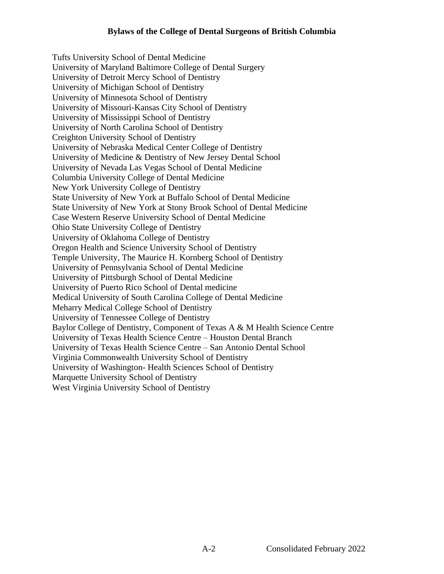Tufts University School of Dental Medicine University of Maryland Baltimore College of Dental Surgery University of Detroit Mercy School of Dentistry University of Michigan School of Dentistry University of Minnesota School of Dentistry University of Missouri-Kansas City School of Dentistry University of Mississippi School of Dentistry University of North Carolina School of Dentistry Creighton University School of Dentistry University of Nebraska Medical Center College of Dentistry University of Medicine & Dentistry of New Jersey Dental School University of Nevada Las Vegas School of Dental Medicine Columbia University College of Dental Medicine New York University College of Dentistry State University of New York at Buffalo School of Dental Medicine State University of New York at Stony Brook School of Dental Medicine Case Western Reserve University School of Dental Medicine Ohio State University College of Dentistry University of Oklahoma College of Dentistry Oregon Health and Science University School of Dentistry Temple University, The Maurice H. Kornberg School of Dentistry University of Pennsylvania School of Dental Medicine University of Pittsburgh School of Dental Medicine University of Puerto Rico School of Dental medicine Medical University of South Carolina College of Dental Medicine Meharry Medical College School of Dentistry University of Tennessee College of Dentistry Baylor College of Dentistry, Component of Texas A & M Health Science Centre University of Texas Health Science Centre – Houston Dental Branch University of Texas Health Science Centre – San Antonio Dental School Virginia Commonwealth University School of Dentistry University of Washington- Health Sciences School of Dentistry Marquette University School of Dentistry West Virginia University School of Dentistry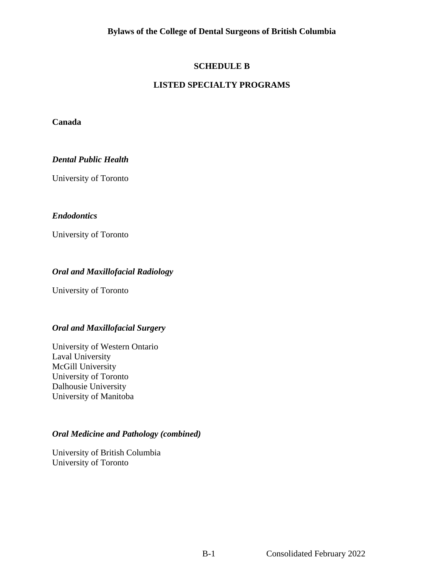## **SCHEDULE B**

## **LISTED SPECIALTY PROGRAMS**

### **Canada**

### *Dental Public Health*

University of Toronto

## *Endodontics*

University of Toronto

## *Oral and Maxillofacial Radiology*

University of Toronto

#### *Oral and Maxillofacial Surgery*

University of Western Ontario Laval University McGill University University of Toronto Dalhousie University University of Manitoba

## *Oral Medicine and Pathology (combined)*

University of British Columbia University of Toronto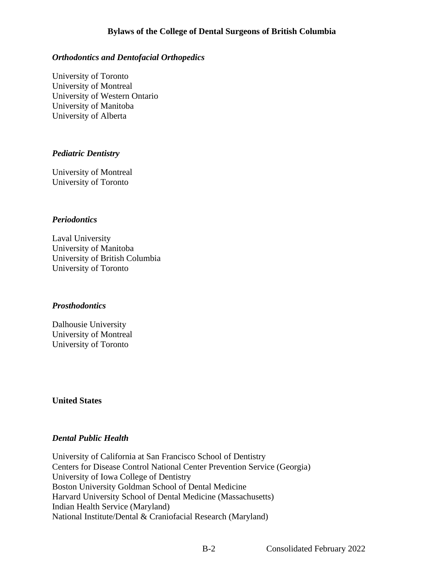## *Orthodontics and Dentofacial Orthopedics*

University of Toronto University of Montreal University of Western Ontario University of Manitoba University of Alberta

### *Pediatric Dentistry*

University of Montreal University of Toronto

### *Periodontics*

Laval University University of Manitoba University of British Columbia University of Toronto

#### *Prosthodontics*

Dalhousie University University of Montreal University of Toronto

#### **United States**

## *Dental Public Health*

University of California at San Francisco School of Dentistry Centers for Disease Control National Center Prevention Service (Georgia) University of Iowa College of Dentistry Boston University Goldman School of Dental Medicine Harvard University School of Dental Medicine (Massachusetts) Indian Health Service (Maryland) National Institute/Dental & Craniofacial Research (Maryland)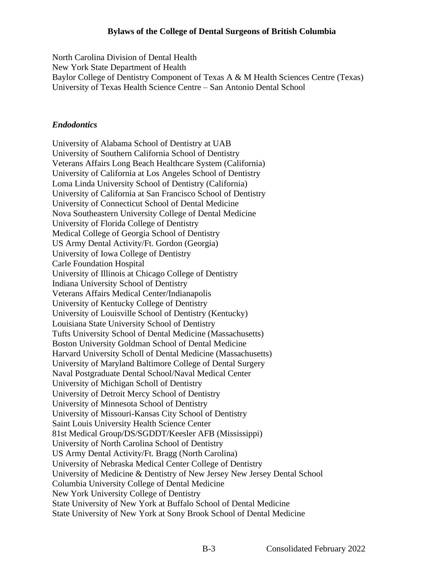North Carolina Division of Dental Health New York State Department of Health Baylor College of Dentistry Component of Texas A & M Health Sciences Centre (Texas) University of Texas Health Science Centre – San Antonio Dental School

## *Endodontics*

University of Alabama School of Dentistry at UAB University of Southern California School of Dentistry Veterans Affairs Long Beach Healthcare System (California) University of California at Los Angeles School of Dentistry Loma Linda University School of Dentistry (California) University of California at San Francisco School of Dentistry University of Connecticut School of Dental Medicine Nova Southeastern University College of Dental Medicine University of Florida College of Dentistry Medical College of Georgia School of Dentistry US Army Dental Activity/Ft. Gordon (Georgia) University of Iowa College of Dentistry Carle Foundation Hospital University of Illinois at Chicago College of Dentistry Indiana University School of Dentistry Veterans Affairs Medical Center/Indianapolis University of Kentucky College of Dentistry University of Louisville School of Dentistry (Kentucky) Louisiana State University School of Dentistry Tufts University School of Dental Medicine (Massachusetts) Boston University Goldman School of Dental Medicine Harvard University Scholl of Dental Medicine (Massachusetts) University of Maryland Baltimore College of Dental Surgery Naval Postgraduate Dental School/Naval Medical Center University of Michigan Scholl of Dentistry University of Detroit Mercy School of Dentistry University of Minnesota School of Dentistry University of Missouri-Kansas City School of Dentistry Saint Louis University Health Science Center 81st Medical Group/DS/SGDDT/Keesler AFB (Mississippi) University of North Carolina School of Dentistry US Army Dental Activity/Ft. Bragg (North Carolina) University of Nebraska Medical Center College of Dentistry University of Medicine & Dentistry of New Jersey New Jersey Dental School Columbia University College of Dental Medicine New York University College of Dentistry State University of New York at Buffalo School of Dental Medicine State University of New York at Sony Brook School of Dental Medicine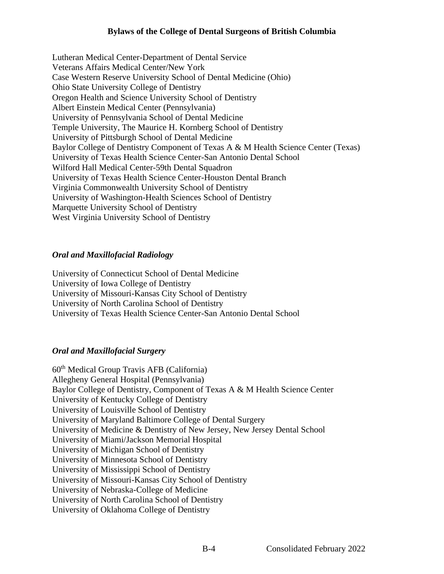Lutheran Medical Center-Department of Dental Service Veterans Affairs Medical Center/New York Case Western Reserve University School of Dental Medicine (Ohio) Ohio State University College of Dentistry Oregon Health and Science University School of Dentistry Albert Einstein Medical Center (Pennsylvania) University of Pennsylvania School of Dental Medicine Temple University, The Maurice H. Kornberg School of Dentistry University of Pittsburgh School of Dental Medicine Baylor College of Dentistry Component of Texas A & M Health Science Center (Texas) University of Texas Health Science Center-San Antonio Dental School Wilford Hall Medical Center-59th Dental Squadron University of Texas Health Science Center-Houston Dental Branch Virginia Commonwealth University School of Dentistry University of Washington-Health Sciences School of Dentistry Marquette University School of Dentistry West Virginia University School of Dentistry

#### *Oral and Maxillofacial Radiology*

University of Connecticut School of Dental Medicine University of Iowa College of Dentistry University of Missouri-Kansas City School of Dentistry University of North Carolina School of Dentistry University of Texas Health Science Center-San Antonio Dental School

## *Oral and Maxillofacial Surgery*

60th Medical Group Travis AFB (California) Allegheny General Hospital (Pennsylvania) Baylor College of Dentistry, Component of Texas A & M Health Science Center University of Kentucky College of Dentistry University of Louisville School of Dentistry University of Maryland Baltimore College of Dental Surgery University of Medicine & Dentistry of New Jersey, New Jersey Dental School University of Miami/Jackson Memorial Hospital University of Michigan School of Dentistry University of Minnesota School of Dentistry University of Mississippi School of Dentistry University of Missouri-Kansas City School of Dentistry University of Nebraska-College of Medicine University of North Carolina School of Dentistry University of Oklahoma College of Dentistry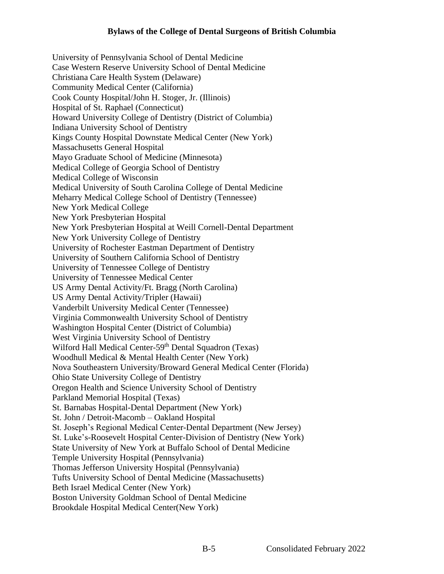University of Pennsylvania School of Dental Medicine Case Western Reserve University School of Dental Medicine Christiana Care Health System (Delaware) Community Medical Center (California) Cook County Hospital/John H. Stoger, Jr. (Illinois) Hospital of St. Raphael (Connecticut) Howard University College of Dentistry (District of Columbia) Indiana University School of Dentistry Kings County Hospital Downstate Medical Center (New York) Massachusetts General Hospital Mayo Graduate School of Medicine (Minnesota) Medical College of Georgia School of Dentistry Medical College of Wisconsin Medical University of South Carolina College of Dental Medicine Meharry Medical College School of Dentistry (Tennessee) New York Medical College New York Presbyterian Hospital New York Presbyterian Hospital at Weill Cornell-Dental Department New York University College of Dentistry University of Rochester Eastman Department of Dentistry University of Southern California School of Dentistry University of Tennessee College of Dentistry University of Tennessee Medical Center US Army Dental Activity/Ft. Bragg (North Carolina) US Army Dental Activity/Tripler (Hawaii) Vanderbilt University Medical Center (Tennessee) Virginia Commonwealth University School of Dentistry Washington Hospital Center (District of Columbia) West Virginia University School of Dentistry Wilford Hall Medical Center-59<sup>th</sup> Dental Squadron (Texas) Woodhull Medical & Mental Health Center (New York) Nova Southeastern University/Broward General Medical Center (Florida) Ohio State University College of Dentistry Oregon Health and Science University School of Dentistry Parkland Memorial Hospital (Texas) St. Barnabas Hospital-Dental Department (New York) St. John / Detroit-Macomb – Oakland Hospital St. Joseph's Regional Medical Center-Dental Department (New Jersey) St. Luke's-Roosevelt Hospital Center-Division of Dentistry (New York) State University of New York at Buffalo School of Dental Medicine Temple University Hospital (Pennsylvania) Thomas Jefferson University Hospital (Pennsylvania) Tufts University School of Dental Medicine (Massachusetts) Beth Israel Medical Center (New York) Boston University Goldman School of Dental Medicine Brookdale Hospital Medical Center(New York)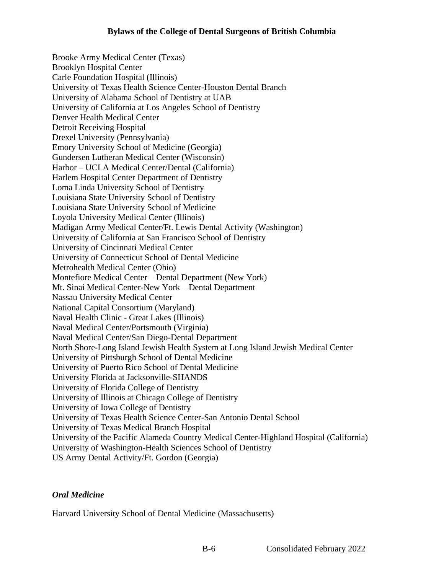Brooke Army Medical Center (Texas) Brooklyn Hospital Center Carle Foundation Hospital (Illinois) University of Texas Health Science Center-Houston Dental Branch University of Alabama School of Dentistry at UAB University of California at Los Angeles School of Dentistry Denver Health Medical Center Detroit Receiving Hospital Drexel University (Pennsylvania) Emory University School of Medicine (Georgia) Gundersen Lutheran Medical Center (Wisconsin) Harbor – UCLA Medical Center/Dental (California) Harlem Hospital Center Department of Dentistry Loma Linda University School of Dentistry Louisiana State University School of Dentistry Louisiana State University School of Medicine Loyola University Medical Center (Illinois) Madigan Army Medical Center/Ft. Lewis Dental Activity (Washington) University of California at San Francisco School of Dentistry University of Cincinnati Medical Center University of Connecticut School of Dental Medicine Metrohealth Medical Center (Ohio) Montefiore Medical Center – Dental Department (New York) Mt. Sinai Medical Center-New York – Dental Department Nassau University Medical Center National Capital Consortium (Maryland) Naval Health Clinic - Great Lakes (Illinois) Naval Medical Center/Portsmouth (Virginia) Naval Medical Center/San Diego-Dental Department North Shore-Long Island Jewish Health System at Long Island Jewish Medical Center University of Pittsburgh School of Dental Medicine University of Puerto Rico School of Dental Medicine University Florida at Jacksonville-SHANDS University of Florida College of Dentistry University of Illinois at Chicago College of Dentistry University of Iowa College of Dentistry University of Texas Health Science Center-San Antonio Dental School University of Texas Medical Branch Hospital University of the Pacific Alameda Country Medical Center-Highland Hospital (California) University of Washington-Health Sciences School of Dentistry US Army Dental Activity/Ft. Gordon (Georgia)

## *Oral Medicine*

Harvard University School of Dental Medicine (Massachusetts)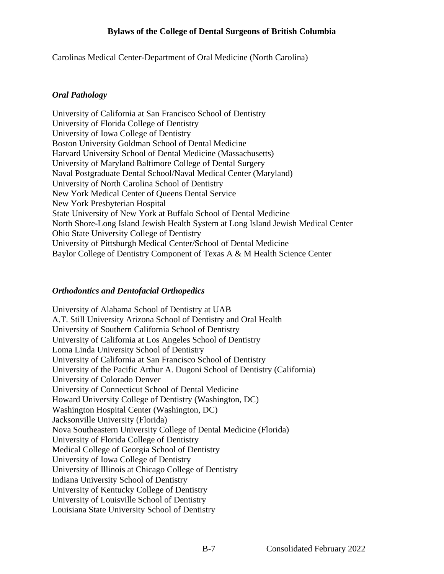Carolinas Medical Center-Department of Oral Medicine (North Carolina)

## *Oral Pathology*

University of California at San Francisco School of Dentistry University of Florida College of Dentistry University of Iowa College of Dentistry Boston University Goldman School of Dental Medicine Harvard University School of Dental Medicine (Massachusetts) University of Maryland Baltimore College of Dental Surgery Naval Postgraduate Dental School/Naval Medical Center (Maryland) University of North Carolina School of Dentistry New York Medical Center of Queens Dental Service New York Presbyterian Hospital State University of New York at Buffalo School of Dental Medicine North Shore-Long Island Jewish Health System at Long Island Jewish Medical Center Ohio State University College of Dentistry University of Pittsburgh Medical Center/School of Dental Medicine Baylor College of Dentistry Component of Texas A & M Health Science Center

## *Orthodontics and Dentofacial Orthopedics*

University of Alabama School of Dentistry at UAB A.T. Still University Arizona School of Dentistry and Oral Health University of Southern California School of Dentistry University of California at Los Angeles School of Dentistry Loma Linda University School of Dentistry University of California at San Francisco School of Dentistry University of the Pacific Arthur A. Dugoni School of Dentistry (California) University of Colorado Denver University of Connecticut School of Dental Medicine Howard University College of Dentistry (Washington, DC) Washington Hospital Center (Washington, DC) Jacksonville University (Florida) Nova Southeastern University College of Dental Medicine (Florida) University of Florida College of Dentistry Medical College of Georgia School of Dentistry University of Iowa College of Dentistry University of Illinois at Chicago College of Dentistry Indiana University School of Dentistry University of Kentucky College of Dentistry University of Louisville School of Dentistry Louisiana State University School of Dentistry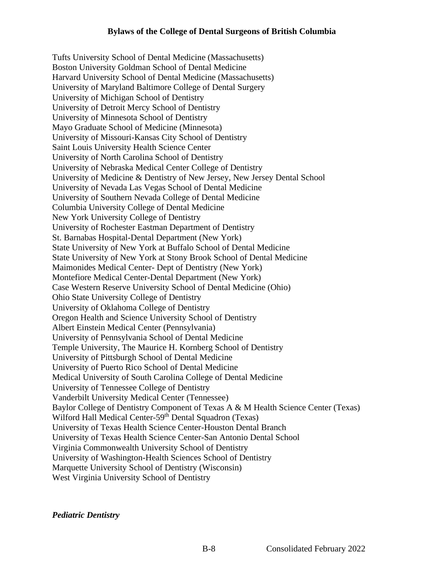Tufts University School of Dental Medicine (Massachusetts) Boston University Goldman School of Dental Medicine Harvard University School of Dental Medicine (Massachusetts) University of Maryland Baltimore College of Dental Surgery University of Michigan School of Dentistry University of Detroit Mercy School of Dentistry University of Minnesota School of Dentistry Mayo Graduate School of Medicine (Minnesota) University of Missouri-Kansas City School of Dentistry Saint Louis University Health Science Center University of North Carolina School of Dentistry University of Nebraska Medical Center College of Dentistry University of Medicine & Dentistry of New Jersey, New Jersey Dental School University of Nevada Las Vegas School of Dental Medicine University of Southern Nevada College of Dental Medicine Columbia University College of Dental Medicine New York University College of Dentistry University of Rochester Eastman Department of Dentistry St. Barnabas Hospital-Dental Department (New York) State University of New York at Buffalo School of Dental Medicine State University of New York at Stony Brook School of Dental Medicine Maimonides Medical Center- Dept of Dentistry (New York) Montefiore Medical Center-Dental Department (New York) Case Western Reserve University School of Dental Medicine (Ohio) Ohio State University College of Dentistry University of Oklahoma College of Dentistry Oregon Health and Science University School of Dentistry Albert Einstein Medical Center (Pennsylvania) University of Pennsylvania School of Dental Medicine Temple University, The Maurice H. Kornberg School of Dentistry University of Pittsburgh School of Dental Medicine University of Puerto Rico School of Dental Medicine Medical University of South Carolina College of Dental Medicine University of Tennessee College of Dentistry Vanderbilt University Medical Center (Tennessee) Baylor College of Dentistry Component of Texas A & M Health Science Center (Texas) Wilford Hall Medical Center-59<sup>th</sup> Dental Squadron (Texas) University of Texas Health Science Center-Houston Dental Branch University of Texas Health Science Center-San Antonio Dental School Virginia Commonwealth University School of Dentistry University of Washington-Health Sciences School of Dentistry Marquette University School of Dentistry (Wisconsin) West Virginia University School of Dentistry

*Pediatric Dentistry*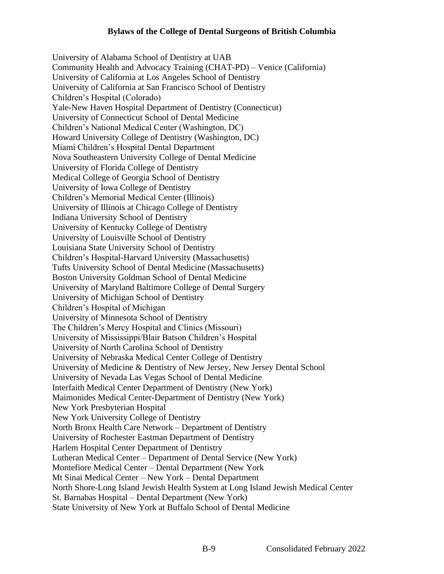University of Alabama School of Dentistry at UAB Community Health and Advocacy Training (CHAT-PD) – Venice (California) University of California at Los Angeles School of Dentistry University of California at San Francisco School of Dentistry Children's Hospital (Colorado) Yale-New Haven Hospital Department of Dentistry (Connecticut) University of Connecticut School of Dental Medicine Children's National Medical Center (Washington, DC) Howard University College of Dentistry (Washington, DC) Miami Children's Hospital Dental Department Nova Southeastern University College of Dental Medicine University of Florida College of Dentistry Medical College of Georgia School of Dentistry University of Iowa College of Dentistry Children's Memorial Medical Center (Illinois) University of Illinois at Chicago College of Dentistry Indiana University School of Dentistry University of Kentucky College of Dentistry University of Louisville School of Dentistry Louisiana State University School of Dentistry Children's Hospital-Harvard University (Massachusetts) Tufts University School of Dental Medicine (Massachusetts) Boston University Goldman School of Dental Medicine University of Maryland Baltimore College of Dental Surgery University of Michigan School of Dentistry Children's Hospital of Michigan University of Minnesota School of Dentistry The Children's Mercy Hospital and Clinics (Missouri) University of Mississippi/Blair Batson Children's Hospital University of North Carolina School of Dentistry University of Nebraska Medical Center College of Dentistry University of Medicine & Dentistry of New Jersey, New Jersey Dental School University of Nevada Las Vegas School of Dental Medicine Interfaith Medical Center Department of Dentistry (New York) Maimonides Medical Center-Department of Dentistry (New York) New York Presbyterian Hospital New York University College of Dentistry North Bronx Health Care Network – Department of Dentistry University of Rochester Eastman Department of Dentistry Harlem Hospital Center Department of Dentistry Lutheran Medical Center – Department of Dental Service (New York) Montefiore Medical Center – Dental Department (New York Mt Sinai Medical Center – New York – Dental Department North Shore-Long Island Jewish Health System at Long Island Jewish Medical Center St. Barnabas Hospital – Dental Department (New York) State University of New York at Buffalo School of Dental Medicine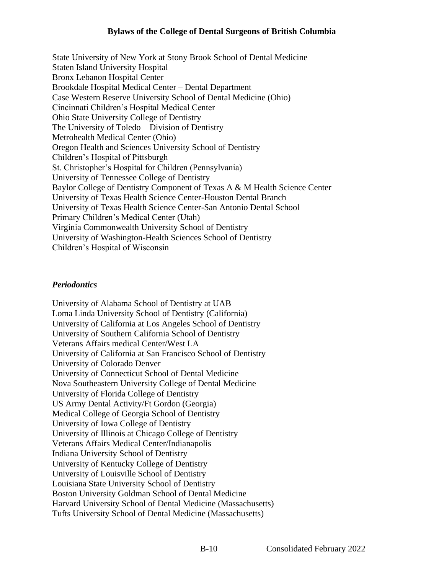State University of New York at Stony Brook School of Dental Medicine Staten Island University Hospital Bronx Lebanon Hospital Center Brookdale Hospital Medical Center – Dental Department Case Western Reserve University School of Dental Medicine (Ohio) Cincinnati Children's Hospital Medical Center Ohio State University College of Dentistry The University of Toledo – Division of Dentistry Metrohealth Medical Center (Ohio) Oregon Health and Sciences University School of Dentistry Children's Hospital of Pittsburgh St. Christopher's Hospital for Children (Pennsylvania) University of Tennessee College of Dentistry Baylor College of Dentistry Component of Texas A & M Health Science Center University of Texas Health Science Center-Houston Dental Branch University of Texas Health Science Center-San Antonio Dental School Primary Children's Medical Center (Utah) Virginia Commonwealth University School of Dentistry University of Washington-Health Sciences School of Dentistry Children's Hospital of Wisconsin

## *Periodontics*

University of Alabama School of Dentistry at UAB Loma Linda University School of Dentistry (California) University of California at Los Angeles School of Dentistry University of Southern California School of Dentistry Veterans Affairs medical Center/West LA University of California at San Francisco School of Dentistry University of Colorado Denver University of Connecticut School of Dental Medicine Nova Southeastern University College of Dental Medicine University of Florida College of Dentistry US Army Dental Activity/Ft Gordon (Georgia) Medical College of Georgia School of Dentistry University of Iowa College of Dentistry University of Illinois at Chicago College of Dentistry Veterans Affairs Medical Center/Indianapolis Indiana University School of Dentistry University of Kentucky College of Dentistry University of Louisville School of Dentistry Louisiana State University School of Dentistry Boston University Goldman School of Dental Medicine Harvard University School of Dental Medicine (Massachusetts) Tufts University School of Dental Medicine (Massachusetts)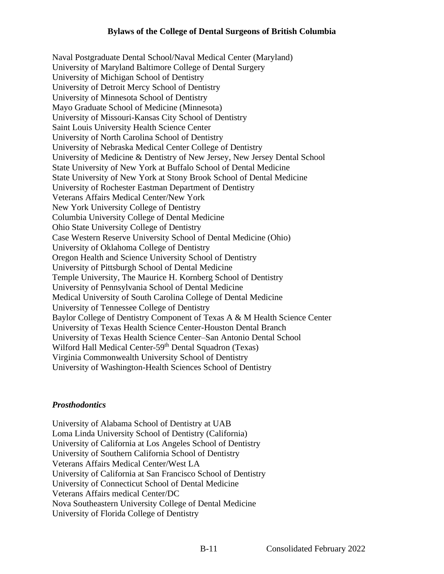Naval Postgraduate Dental School/Naval Medical Center (Maryland) University of Maryland Baltimore College of Dental Surgery University of Michigan School of Dentistry University of Detroit Mercy School of Dentistry University of Minnesota School of Dentistry Mayo Graduate School of Medicine (Minnesota) University of Missouri-Kansas City School of Dentistry Saint Louis University Health Science Center University of North Carolina School of Dentistry University of Nebraska Medical Center College of Dentistry University of Medicine & Dentistry of New Jersey, New Jersey Dental School State University of New York at Buffalo School of Dental Medicine State University of New York at Stony Brook School of Dental Medicine University of Rochester Eastman Department of Dentistry Veterans Affairs Medical Center/New York New York University College of Dentistry Columbia University College of Dental Medicine Ohio State University College of Dentistry Case Western Reserve University School of Dental Medicine (Ohio) University of Oklahoma College of Dentistry Oregon Health and Science University School of Dentistry University of Pittsburgh School of Dental Medicine Temple University, The Maurice H. Kornberg School of Dentistry University of Pennsylvania School of Dental Medicine Medical University of South Carolina College of Dental Medicine University of Tennessee College of Dentistry Baylor College of Dentistry Component of Texas A & M Health Science Center University of Texas Health Science Center-Houston Dental Branch University of Texas Health Science Center–San Antonio Dental School Wilford Hall Medical Center-59<sup>th</sup> Dental Squadron (Texas) Virginia Commonwealth University School of Dentistry University of Washington-Health Sciences School of Dentistry

## *Prosthodontics*

University of Alabama School of Dentistry at UAB Loma Linda University School of Dentistry (California) University of California at Los Angeles School of Dentistry University of Southern California School of Dentistry Veterans Affairs Medical Center/West LA University of California at San Francisco School of Dentistry University of Connecticut School of Dental Medicine Veterans Affairs medical Center/DC Nova Southeastern University College of Dental Medicine University of Florida College of Dentistry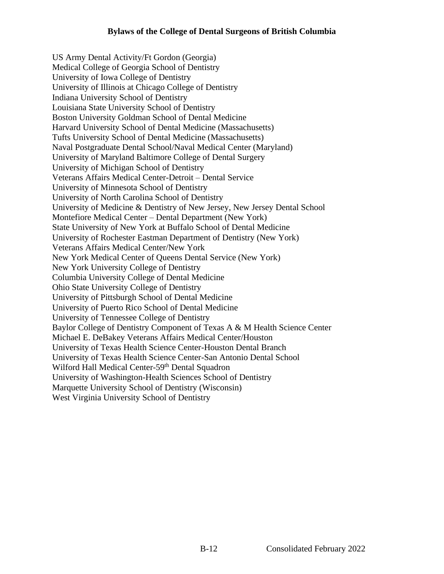US Army Dental Activity/Ft Gordon (Georgia) Medical College of Georgia School of Dentistry University of Iowa College of Dentistry University of Illinois at Chicago College of Dentistry Indiana University School of Dentistry Louisiana State University School of Dentistry Boston University Goldman School of Dental Medicine Harvard University School of Dental Medicine (Massachusetts) Tufts University School of Dental Medicine (Massachusetts) Naval Postgraduate Dental School/Naval Medical Center (Maryland) University of Maryland Baltimore College of Dental Surgery University of Michigan School of Dentistry Veterans Affairs Medical Center-Detroit – Dental Service University of Minnesota School of Dentistry University of North Carolina School of Dentistry University of Medicine & Dentistry of New Jersey, New Jersey Dental School Montefiore Medical Center – Dental Department (New York) State University of New York at Buffalo School of Dental Medicine University of Rochester Eastman Department of Dentistry (New York) Veterans Affairs Medical Center/New York New York Medical Center of Queens Dental Service (New York) New York University College of Dentistry Columbia University College of Dental Medicine Ohio State University College of Dentistry University of Pittsburgh School of Dental Medicine University of Puerto Rico School of Dental Medicine University of Tennessee College of Dentistry Baylor College of Dentistry Component of Texas A & M Health Science Center Michael E. DeBakey Veterans Affairs Medical Center/Houston University of Texas Health Science Center-Houston Dental Branch University of Texas Health Science Center-San Antonio Dental School Wilford Hall Medical Center-59<sup>th</sup> Dental Squadron University of Washington-Health Sciences School of Dentistry Marquette University School of Dentistry (Wisconsin) West Virginia University School of Dentistry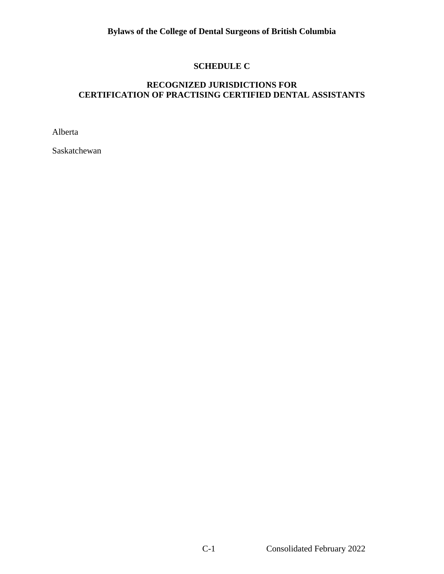## **SCHEDULE C**

# **RECOGNIZED JURISDICTIONS FOR CERTIFICATION OF PRACTISING CERTIFIED DENTAL ASSISTANTS**

Alberta

Saskatchewan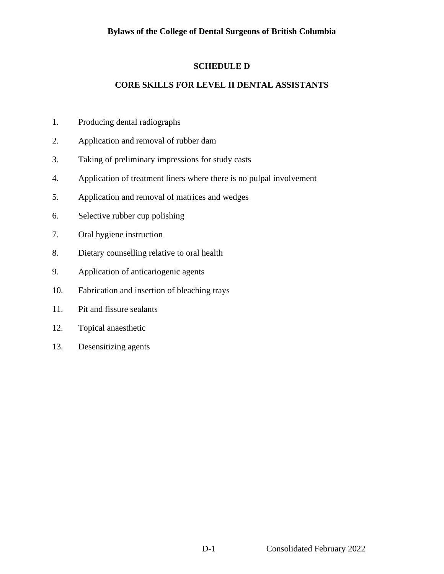## **SCHEDULE D**

## **CORE SKILLS FOR LEVEL II DENTAL ASSISTANTS**

- 1. Producing dental radiographs
- 2. Application and removal of rubber dam
- 3. Taking of preliminary impressions for study casts
- 4. Application of treatment liners where there is no pulpal involvement
- 5. Application and removal of matrices and wedges
- 6. Selective rubber cup polishing
- 7. Oral hygiene instruction
- 8. Dietary counselling relative to oral health
- 9. Application of anticariogenic agents
- 10. Fabrication and insertion of bleaching trays
- 11. Pit and fissure sealants
- 12. Topical anaesthetic
- 13. Desensitizing agents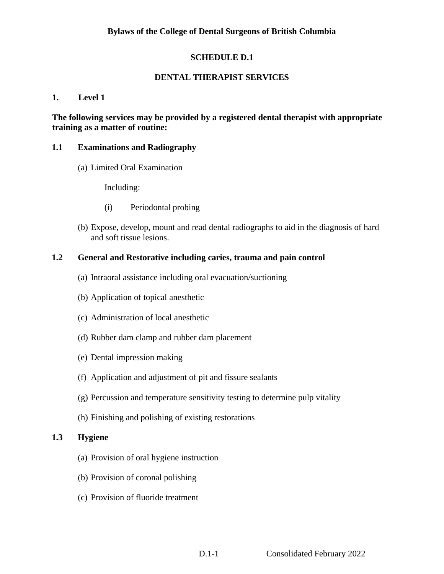## **SCHEDULE D.1**

## **DENTAL THERAPIST SERVICES**

#### **1. Level 1**

## **The following services may be provided by a registered dental therapist with appropriate training as a matter of routine:**

#### **1.1 Examinations and Radiography**

(a) Limited Oral Examination

Including:

- (i) Periodontal probing
- (b) Expose, develop, mount and read dental radiographs to aid in the diagnosis of hard and soft tissue lesions.

## **1.2 General and Restorative including caries, trauma and pain control**

- (a) Intraoral assistance including oral evacuation/suctioning
- (b) Application of topical anesthetic
- (c) Administration of local anesthetic
- (d) Rubber dam clamp and rubber dam placement
- (e) Dental impression making
- (f) Application and adjustment of pit and fissure sealants
- (g) Percussion and temperature sensitivity testing to determine pulp vitality
- (h) Finishing and polishing of existing restorations

## **1.3 Hygiene**

- (a) Provision of oral hygiene instruction
- (b) Provision of coronal polishing
- (c) Provision of fluoride treatment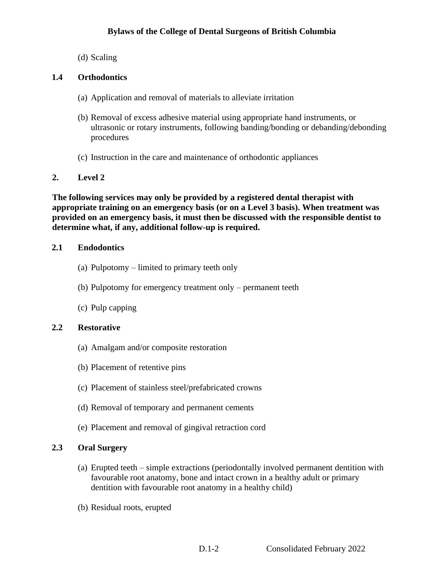(d) Scaling

## **1.4 Orthodontics**

- (a) Application and removal of materials to alleviate irritation
- (b) Removal of excess adhesive material using appropriate hand instruments, or ultrasonic or rotary instruments, following banding/bonding or debanding/debonding procedures
- (c) Instruction in the care and maintenance of orthodontic appliances

## **2. Level 2**

**The following services may only be provided by a registered dental therapist with appropriate training on an emergency basis (or on a Level 3 basis). When treatment was provided on an emergency basis, it must then be discussed with the responsible dentist to determine what, if any, additional follow-up is required.**

## **2.1 Endodontics**

- (a) Pulpotomy limited to primary teeth only
- (b) Pulpotomy for emergency treatment only permanent teeth
- (c) Pulp capping

## **2.2 Restorative**

- (a) Amalgam and/or composite restoration
- (b) Placement of retentive pins
- (c) Placement of stainless steel/prefabricated crowns
- (d) Removal of temporary and permanent cements
- (e) Placement and removal of gingival retraction cord

## **2.3 Oral Surgery**

- (a) Erupted teeth simple extractions (periodontally involved permanent dentition with favourable root anatomy, bone and intact crown in a healthy adult or primary dentition with favourable root anatomy in a healthy child)
- (b) Residual roots, erupted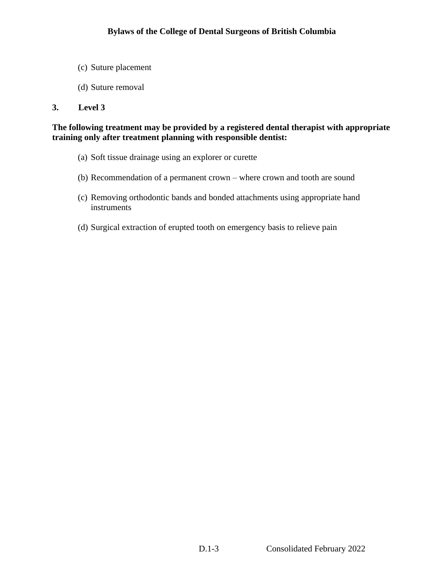- (c) Suture placement
- (d) Suture removal

#### **3. Level 3**

## **The following treatment may be provided by a registered dental therapist with appropriate training only after treatment planning with responsible dentist:**

- (a) Soft tissue drainage using an explorer or curette
- (b) Recommendation of a permanent crown where crown and tooth are sound
- (c) Removing orthodontic bands and bonded attachments using appropriate hand instruments
- (d) Surgical extraction of erupted tooth on emergency basis to relieve pain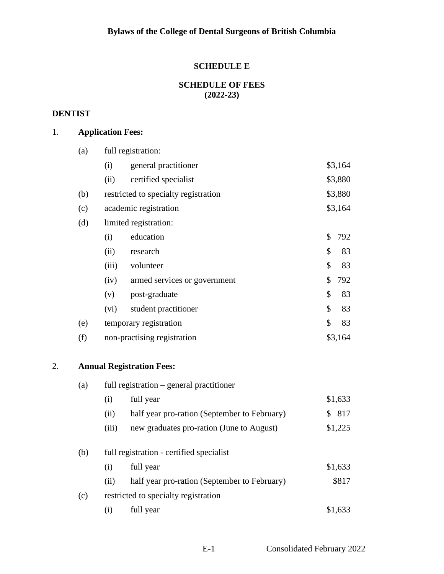## **SCHEDULE E**

## **SCHEDULE OF FEES (2022-23)**

## **DENTIST**

# 1. **Application Fees:**

|    | (a) |                       | full registration:                           |    |         |  |
|----|-----|-----------------------|----------------------------------------------|----|---------|--|
|    |     | (i)                   | general practitioner                         |    | \$3,164 |  |
|    |     | (ii)                  | certified specialist                         |    | \$3,880 |  |
|    | (b) |                       | restricted to specialty registration         |    | \$3,880 |  |
|    | (c) | academic registration |                                              |    | \$3,164 |  |
|    | (d) |                       | limited registration:                        |    |         |  |
|    |     | (i)                   | education                                    | \$ | 792     |  |
|    |     | (ii)                  | research                                     | \$ | 83      |  |
|    |     | (iii)                 | volunteer                                    | \$ | 83      |  |
|    |     | (iv)                  | armed services or government                 | \$ | 792     |  |
|    |     | (v)                   | post-graduate                                | \$ | 83      |  |
|    |     | (vi)                  | student practitioner                         | \$ | 83      |  |
|    | (e) |                       | temporary registration                       | \$ | 83      |  |
|    | (f) |                       | non-practising registration                  |    | \$3,164 |  |
| 2. |     |                       | <b>Annual Registration Fees:</b>             |    |         |  |
|    | (a) |                       | full registration – general practitioner     |    |         |  |
|    |     | (i)                   | full year                                    |    | \$1,633 |  |
|    |     | (ii)                  | half year pro-ration (September to February) |    | \$817   |  |
|    |     | (iii)                 | new graduates pro-ration (June to August)    |    | \$1,225 |  |
|    | (b) |                       | full registration - certified specialist     |    |         |  |
|    |     | (i)                   | full year                                    |    | \$1,633 |  |
|    |     | (ii)                  | half year pro-ration (September to February) |    | \$817   |  |
|    |     |                       |                                              |    |         |  |

- (c) restricted to specialty registration
	- (i) full year  $$1,633$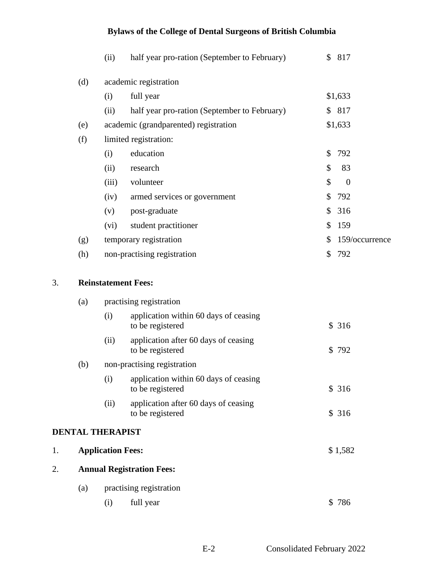|     | (ii)                       | half year pro-ration (September to February) |    | \$817          |  |  |  |
|-----|----------------------------|----------------------------------------------|----|----------------|--|--|--|
| (d) |                            | academic registration                        |    |                |  |  |  |
|     | (i)                        | full year                                    |    | \$1,633        |  |  |  |
|     | (ii)                       | half year pro-ration (September to February) |    | \$817          |  |  |  |
| (e) |                            | academic (grandparented) registration        |    | \$1,633        |  |  |  |
| (f) |                            | limited registration:                        |    |                |  |  |  |
|     | (i)                        | education                                    | \$ | 792            |  |  |  |
|     | (ii)                       | research                                     | \$ | 83             |  |  |  |
|     | (iii)                      | volunteer                                    | \$ | $\theta$       |  |  |  |
|     | (iv)                       | armed services or government                 | \$ | 792            |  |  |  |
|     | (v)                        | post-graduate                                | \$ | 316            |  |  |  |
|     | (vi)                       | student practitioner                         | \$ | 159            |  |  |  |
| (g) |                            | temporary registration                       | \$ | 159/occurrence |  |  |  |
| (h) |                            | non-practising registration                  |    | \$792          |  |  |  |
|     |                            |                                              |    |                |  |  |  |
|     | <b>Reinstatement Fees:</b> |                                              |    |                |  |  |  |

#### 3. **Reinstatement Fees:**

|    | (a)                     |                          | practising registration                                   |         |
|----|-------------------------|--------------------------|-----------------------------------------------------------|---------|
|    |                         | (i)                      | application within 60 days of ceasing<br>to be registered | \$316   |
|    |                         | (ii)                     | application after 60 days of ceasing<br>to be registered  | \$792   |
|    | (b)                     |                          | non-practising registration                               |         |
|    |                         | (i)                      | application within 60 days of ceasing<br>to be registered | \$316   |
|    |                         | (ii)                     | application after 60 days of ceasing<br>to be registered  | \$316   |
|    | <b>DENTAL THERAPIST</b> |                          |                                                           |         |
| 1. |                         | <b>Application Fees:</b> |                                                           | \$1,582 |
| 2. |                         |                          | <b>Annual Registration Fees:</b>                          |         |
|    | (a)                     |                          | practising registration                                   |         |
|    |                         |                          |                                                           |         |

(i) full year  $$ 786$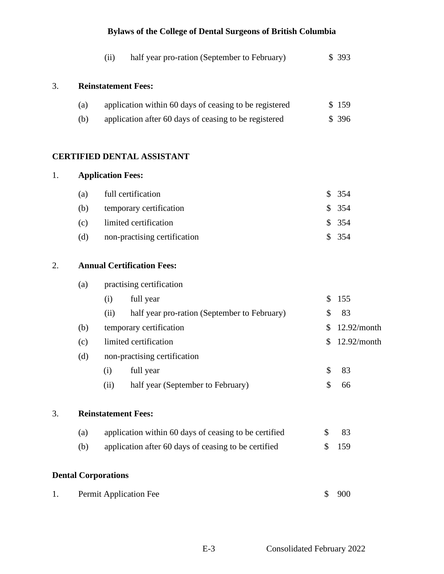|    |     | (ii)                              | half year pro-ration (September to February)           |               | \$393       |
|----|-----|-----------------------------------|--------------------------------------------------------|---------------|-------------|
| 3. |     | <b>Reinstatement Fees:</b>        |                                                        |               |             |
|    | (a) |                                   | application within 60 days of ceasing to be registered |               | \$159       |
|    | (b) |                                   | application after 60 days of ceasing to be registered  |               | \$396       |
|    |     |                                   | <b>CERTIFIED DENTAL ASSISTANT</b>                      |               |             |
| 1. |     | <b>Application Fees:</b>          |                                                        |               |             |
|    | (a) | full certification                |                                                        | $\mathbb{S}$  | 354         |
|    | (b) |                                   | temporary certification                                |               | \$354       |
|    | (c) | limited certification             |                                                        | \$            | 354         |
|    | (d) |                                   | non-practising certification                           | $\mathbb{S}$  | 354         |
| 2. |     | <b>Annual Certification Fees:</b> |                                                        |               |             |
|    | (a) |                                   | practising certification                               |               |             |
|    |     | (i)                               | full year                                              | \$            | 155         |
|    |     | (ii)                              | half year pro-ration (September to February)           | \$            | 83          |
|    | (b) |                                   | temporary certification                                | \$            | 12.92/month |
|    | (c) | limited certification             |                                                        | \$            | 12.92/month |
|    | (d) |                                   | non-practising certification                           |               |             |
|    |     | (i)                               | full year                                              | \$            | 83          |
|    |     | (ii)                              | half year (September to February)                      | $\mathcal{S}$ | 66          |
| 3. |     | <b>Reinstatement Fees:</b>        |                                                        |               |             |
|    | (a) |                                   | application within 60 days of ceasing to be certified  | \$            | 83          |
|    | (b) |                                   | application after 60 days of ceasing to be certified   | \$            | 159         |
|    |     | <b>Dental Corporations</b>        |                                                        |               |             |
| 1. |     | Permit Application Fee            |                                                        | \$            | 900         |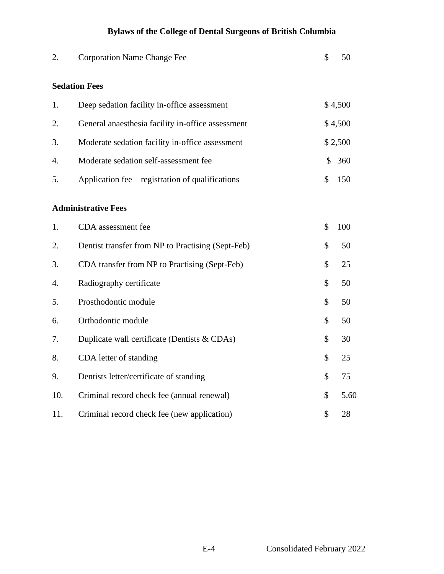| 2.  | <b>Corporation Name Change Fee</b>                | \$<br>50   |
|-----|---------------------------------------------------|------------|
|     | <b>Sedation Fees</b>                              |            |
| 1.  | Deep sedation facility in-office assessment       | \$4,500    |
| 2.  | General anaesthesia facility in-office assessment | \$4,500    |
| 3.  | Moderate sedation facility in-office assessment   | \$2,500    |
| 4.  | Moderate sedation self-assessment fee             | \$<br>360  |
| 5.  | Application fee – registration of qualifications  | \$<br>150  |
|     | <b>Administrative Fees</b>                        |            |
| 1.  | CDA assessment fee                                | \$<br>100  |
| 2.  | Dentist transfer from NP to Practising (Sept-Feb) | \$<br>50   |
| 3.  | CDA transfer from NP to Practising (Sept-Feb)     | \$<br>25   |
| 4.  | Radiography certificate                           | \$<br>50   |
| 5.  | Prosthodontic module                              | \$<br>50   |
| 6.  | Orthodontic module                                | \$<br>50   |
| 7.  | Duplicate wall certificate (Dentists & CDAs)      | \$<br>30   |
| 8.  | CDA letter of standing                            | \$<br>25   |
| 9.  | Dentists letter/certificate of standing           | \$<br>75   |
| 10. | Criminal record check fee (annual renewal)        | \$<br>5.60 |
| 11. | Criminal record check fee (new application)       | \$<br>28   |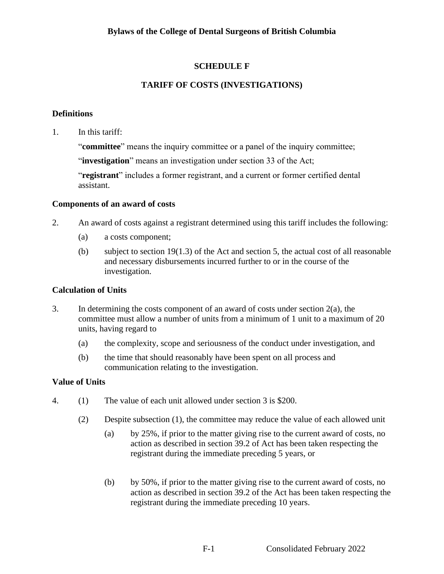# **SCHEDULE F**

# **TARIFF OF COSTS (INVESTIGATIONS)**

## **Definitions**

1. In this tariff:

"**committee**" means the inquiry committee or a panel of the inquiry committee;

"**investigation**" means an investigation under section 33 of the Act;

"**registrant**" includes a former registrant, and a current or former certified dental assistant.

#### **Components of an award of costs**

- 2. An award of costs against a registrant determined using this tariff includes the following:
	- (a) a costs component;
	- (b) subject to section 19(1.3) of the Act and section 5, the actual cost of all reasonable and necessary disbursements incurred further to or in the course of the investigation.

## **Calculation of Units**

- 3. In determining the costs component of an award of costs under section 2(a), the committee must allow a number of units from a minimum of 1 unit to a maximum of 20 units, having regard to
	- (a) the complexity, scope and seriousness of the conduct under investigation, and
	- (b) the time that should reasonably have been spent on all process and communication relating to the investigation.

## **Value of Units**

- 4. (1) The value of each unit allowed under section 3 is \$200.
	- (2) Despite subsection (1), the committee may reduce the value of each allowed unit
		- (a) by 25%, if prior to the matter giving rise to the current award of costs, no action as described in section 39.2 of Act has been taken respecting the registrant during the immediate preceding 5 years, or
		- (b) by 50%, if prior to the matter giving rise to the current award of costs, no action as described in section 39.2 of the Act has been taken respecting the registrant during the immediate preceding 10 years.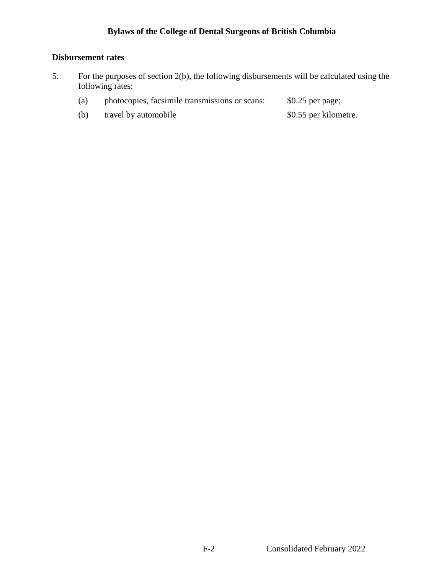# **Disbursement rates**

- 5. For the purposes of section 2(b), the following disbursements will be calculated using the following rates:
	- (a) photocopies, facsimile transmissions or scans: \$0.25 per page;
	- (b) travel by automobile \$0.55 per kilometre.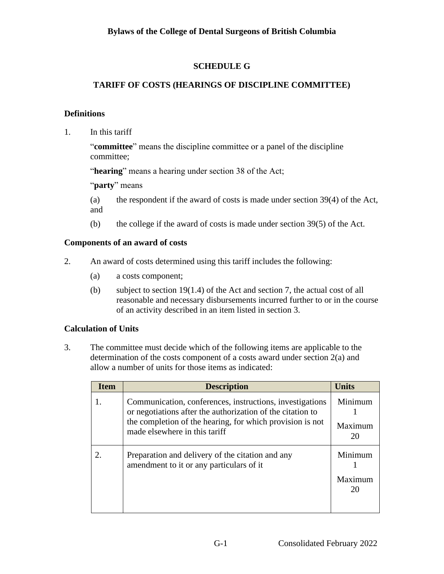# **SCHEDULE G**

# **TARIFF OF COSTS (HEARINGS OF DISCIPLINE COMMITTEE)**

## **Definitions**

1. In this tariff

"**committee**" means the discipline committee or a panel of the discipline committee;

"**hearing**" means a hearing under section 38 of the Act;

"**party**" means

(a) the respondent if the award of costs is made under section 39(4) of the Act, and

(b) the college if the award of costs is made under section 39(5) of the Act.

## **Components of an award of costs**

- 2. An award of costs determined using this tariff includes the following:
	- (a) a costs component;
	- (b) subject to section 19(1.4) of the Act and section 7, the actual cost of all reasonable and necessary disbursements incurred further to or in the course of an activity described in an item listed in section 3.

# **Calculation of Units**

3. The committee must decide which of the following items are applicable to the determination of the costs component of a costs award under section 2(a) and allow a number of units for those items as indicated:

| <b>Item</b> | <b>Description</b>                                                                                                                                                                                                   | <b>Units</b>             |
|-------------|----------------------------------------------------------------------------------------------------------------------------------------------------------------------------------------------------------------------|--------------------------|
|             | Communication, conferences, instructions, investigations<br>or negotiations after the authorization of the citation to<br>the completion of the hearing, for which provision is not<br>made elsewhere in this tariff | Minimum<br>Maximum<br>20 |
|             | Preparation and delivery of the citation and any<br>amendment to it or any particulars of it                                                                                                                         | Minimum<br>Maximum<br>20 |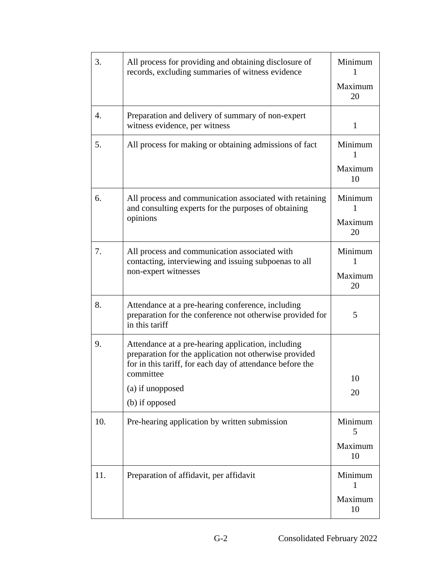| 3.  | All process for providing and obtaining disclosure of<br>records, excluding summaries of witness evidence                                                                                                                    | Minimum<br>Maximum<br>20      |
|-----|------------------------------------------------------------------------------------------------------------------------------------------------------------------------------------------------------------------------------|-------------------------------|
| 4.  | Preparation and delivery of summary of non-expert<br>witness evidence, per witness                                                                                                                                           | $\mathbf{1}$                  |
| 5.  | All process for making or obtaining admissions of fact                                                                                                                                                                       | Minimum<br>Maximum<br>10      |
| 6.  | All process and communication associated with retaining<br>and consulting experts for the purposes of obtaining<br>opinions                                                                                                  | Minimum<br>1<br>Maximum<br>20 |
| 7.  | All process and communication associated with<br>contacting, interviewing and issuing subpoenas to all<br>non-expert witnesses                                                                                               | Minimum<br>1<br>Maximum<br>20 |
| 8.  | Attendance at a pre-hearing conference, including<br>preparation for the conference not otherwise provided for<br>in this tariff                                                                                             | 5                             |
| 9.  | Attendance at a pre-hearing application, including<br>preparation for the application not otherwise provided<br>for in this tariff, for each day of attendance before the<br>committee<br>(a) if unopposed<br>(b) if opposed | 10<br>20                      |
| 10. | Pre-hearing application by written submission                                                                                                                                                                                | Minimum<br>5<br>Maximum<br>10 |
| 11. | Preparation of affidavit, per affidavit                                                                                                                                                                                      | Minimum<br>1<br>Maximum<br>10 |